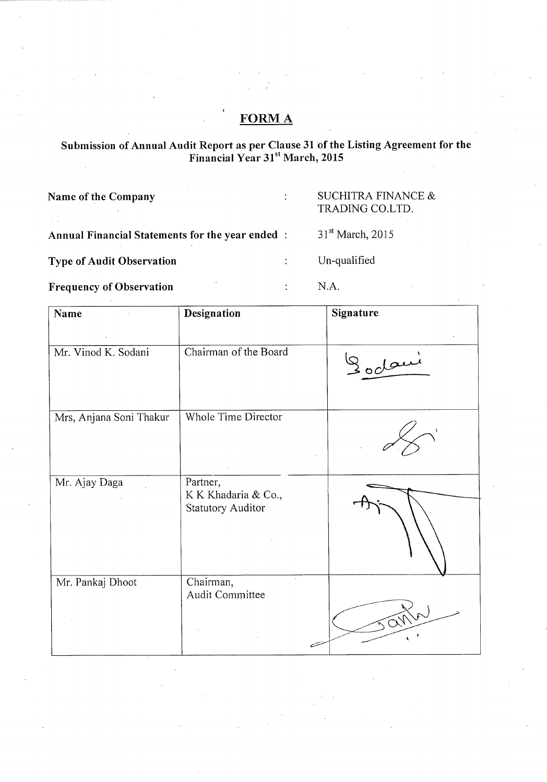## **FORM A**

## Submission of Annual Audit Report as per Clause 31 of the Listing Agreement for the<br>Financial Year 31<sup>st</sup> March, 2015

 $\ddot{\cdot}$ 

 $\ddot{\cdot}$ 

 $\ddot{\cdot}$ 

Name of the Company

 $\mathbb{Z}_{\geq 0}$ 

## SUCHITRA FINANCE  $\&$ TRADING CO.LTD.

Annual Financial Statements for the year ended:

31<sup>st</sup> March, 2015 Un-qualified

**Type of Audit Observation** 

**Frequency of Observation** 

N.A.

| Name                    | Designation                                                 | Signature               |
|-------------------------|-------------------------------------------------------------|-------------------------|
| Mr. Vinod K. Sodani     | Chairman of the Board                                       | Sodani                  |
| Mrs, Anjana Soni Thakur | Whole Time Director                                         |                         |
| Mr. Ajay Daga           | Partner,<br>K K Khadaria & Co.,<br><b>Statutory Auditor</b> |                         |
| Mr. Pankaj Dhoot        | Chairman,<br>Audit Committee                                | $\widehat{\mathcal{M}}$ |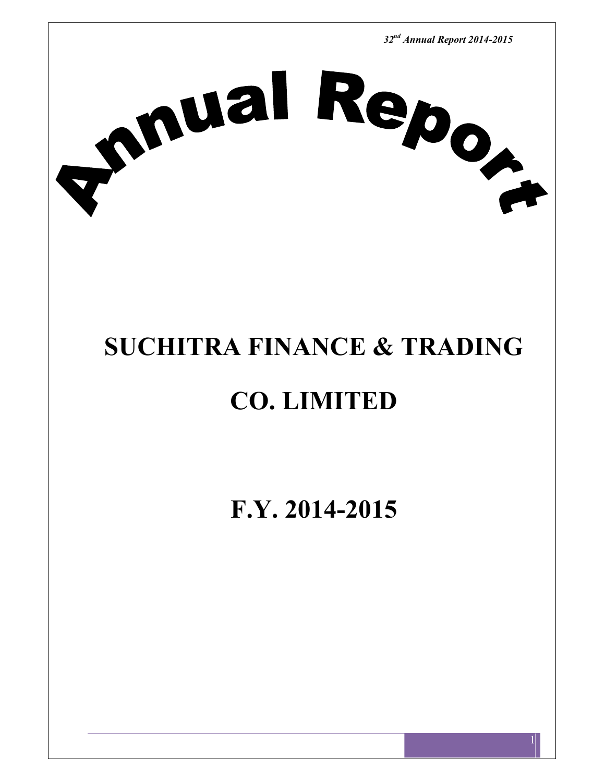

## **SUCHITRA FINANCE & TRADING**

# **CO. LIMITED**

**F.Y. 2014-2015**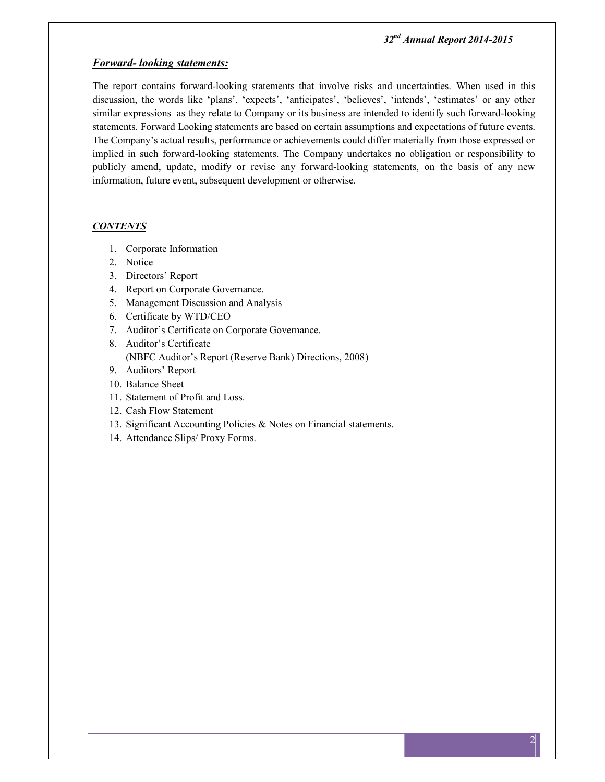#### *Forward- looking statements:*

The report contains forward-looking statements that involve risks and uncertainties. When used in this discussion, the words like 'plans', 'expects', 'anticipates', 'believes', 'intends', 'estimates' or any other similar expressions as they relate to Company or its business are intended to identify such forward-looking statements. Forward Looking statements are based on certain assumptions and expectations of future events. The Company's actual results, performance or achievements could differ materially from those expressed or implied in such forward-looking statements. The Company undertakes no obligation or responsibility to publicly amend, update, modify or revise any forward-looking statements, on the basis of any new information, future event, subsequent development or otherwise.

#### *CONTENTS*

- 1. Corporate Information
- 2. Notice
- 3. Directors' Report
- 4. Report on Corporate Governance.
- 5. Management Discussion and Analysis
- 6. Certificate by WTD/CEO
- 7. Auditor's Certificate on Corporate Governance.
- 8. Auditor's Certificate
	- (NBFC Auditor's Report (Reserve Bank) Directions, 2008)
- 9. Auditors' Report
- 10. Balance Sheet
- 11. Statement of Profit and Loss.
- 12. Cash Flow Statement
- 13. Significant Accounting Policies & Notes on Financial statements.
- 14. Attendance Slips/ Proxy Forms.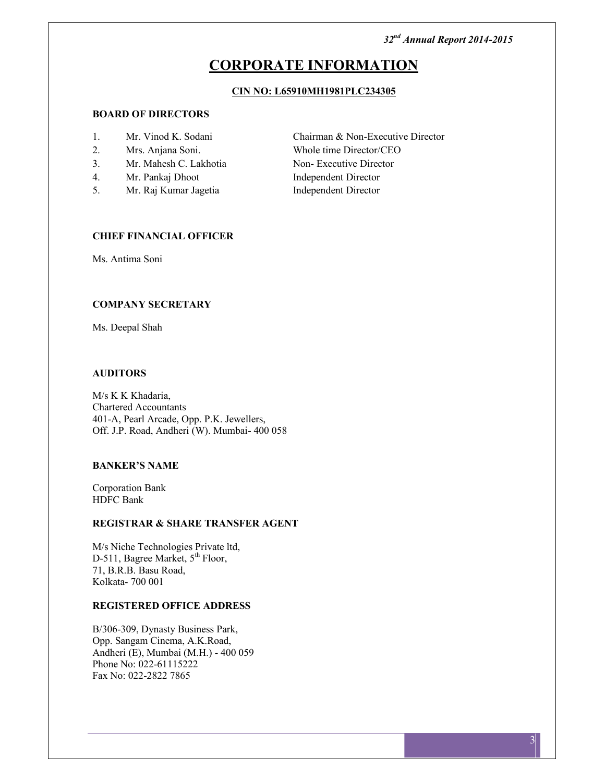## **CORPORATE INFORMATION**

#### **CIN NO: L65910MH1981PLC234305**

## **BOARD OF DIRECTORS**

- 
- 
- 3. Mr. Mahesh C. Lakhotia Non- Executive Director
- 4. Mr. Pankaj Dhoot Independent Director
- 5. Mr. Raj Kumar Jagetia Independent Director

1. Mr. Vinod K. Sodani Chairman & Non-Executive Director 2. Mrs. Anjana Soni. Whole time Director/CEO

## **CHIEF FINANCIAL OFFICER**

Ms. Antima Soni

### **COMPANY SECRETARY**

Ms. Deepal Shah

#### **AUDITORS**

M/s K K Khadaria, Chartered Accountants 401-A, Pearl Arcade, Opp. P.K. Jewellers, Off. J.P. Road, Andheri (W). Mumbai- 400 058

#### **BANKER'S NAME**

Corporation Bank HDFC Bank

#### **REGISTRAR & SHARE TRANSFER AGENT**

M/s Niche Technologies Private ltd, D-511, Bagree Market,  $5<sup>th</sup>$  Floor, 71, B.R.B. Basu Road, Kolkata- 700 001

#### **REGISTERED OFFICE ADDRESS**

B/306-309, Dynasty Business Park, Opp. Sangam Cinema, A.K.Road, Andheri (E), Mumbai (M.H.) - 400 059 Phone No: 022-61115222 Fax No: 022-2822 7865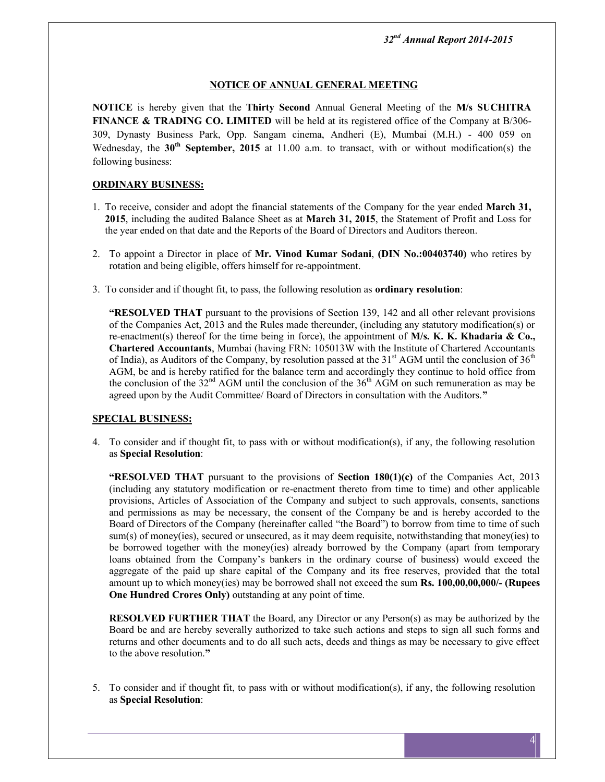## **NOTICE OF ANNUAL GENERAL MEETING**

**NOTICE** is hereby given that the **Thirty Second** Annual General Meeting of the **M/s SUCHITRA FINANCE & TRADING CO. LIMITED** will be held at its registered office of the Company at B/306-309, Dynasty Business Park, Opp. Sangam cinema, Andheri (E), Mumbai (M.H.) - 400 059 on Wednesday, the **30th September, 2015** at 11.00 a.m. to transact, with or without modification(s) the following business:

## **ORDINARY BUSINESS:**

- 1. To receive, consider and adopt the financial statements of the Company for the year ended **March 31, 2015**, including the audited Balance Sheet as at **March 31, 2015**, the Statement of Profit and Loss for the year ended on that date and the Reports of the Board of Directors and Auditors thereon.
- 2. To appoint a Director in place of **Mr. Vinod Kumar Sodani**, **(DIN No.:00403740)** who retires by rotation and being eligible, offers himself for re-appointment.
- 3. To consider and if thought fit, to pass, the following resolution as **ordinary resolution**:

**"RESOLVED THAT** pursuant to the provisions of Section 139, 142 and all other relevant provisions of the Companies Act, 2013 and the Rules made thereunder, (including any statutory modification(s) or re-enactment(s) thereof for the time being in force), the appointment of **M/s. K. K. Khadaria & Co., Chartered Accountants**, Mumbai (having FRN: 105013W with the Institute of Chartered Accountants of India), as Auditors of the Company, by resolution passed at the  $31<sup>st</sup>$  AGM until the conclusion of  $36<sup>th</sup>$ AGM, be and is hereby ratified for the balance term and accordingly they continue to hold office from the conclusion of the  $32<sup>nd</sup>$  AGM until the conclusion of the  $36<sup>th</sup>$  AGM on such remuneration as may be agreed upon by the Audit Committee/ Board of Directors in consultation with the Auditors.**"**

## **SPECIAL BUSINESS:**

4. To consider and if thought fit, to pass with or without modification(s), if any, the following resolution as **Special Resolution**:

**"RESOLVED THAT** pursuant to the provisions of **Section 180(1)(c)** of the Companies Act, 2013 (including any statutory modification or re-enactment thereto from time to time) and other applicable provisions, Articles of Association of the Company and subject to such approvals, consents, sanctions and permissions as may be necessary, the consent of the Company be and is hereby accorded to the Board of Directors of the Company (hereinafter called "the Board") to borrow from time to time of such sum(s) of money(ies), secured or unsecured, as it may deem requisite, notwithstanding that money(ies) to be borrowed together with the money(ies) already borrowed by the Company (apart from temporary loans obtained from the Company's bankers in the ordinary course of business) would exceed the aggregate of the paid up share capital of the Company and its free reserves, provided that the total amount up to which money(ies) may be borrowed shall not exceed the sum **Rs. 100,00,00,000/- (Rupees One Hundred Crores Only)** outstanding at any point of time.

**RESOLVED FURTHER THAT** the Board, any Director or any Person(s) as may be authorized by the Board be and are hereby severally authorized to take such actions and steps to sign all such forms and returns and other documents and to do all such acts, deeds and things as may be necessary to give effect to the above resolution.**"**

5. To consider and if thought fit, to pass with or without modification(s), if any, the following resolution as **Special Resolution**: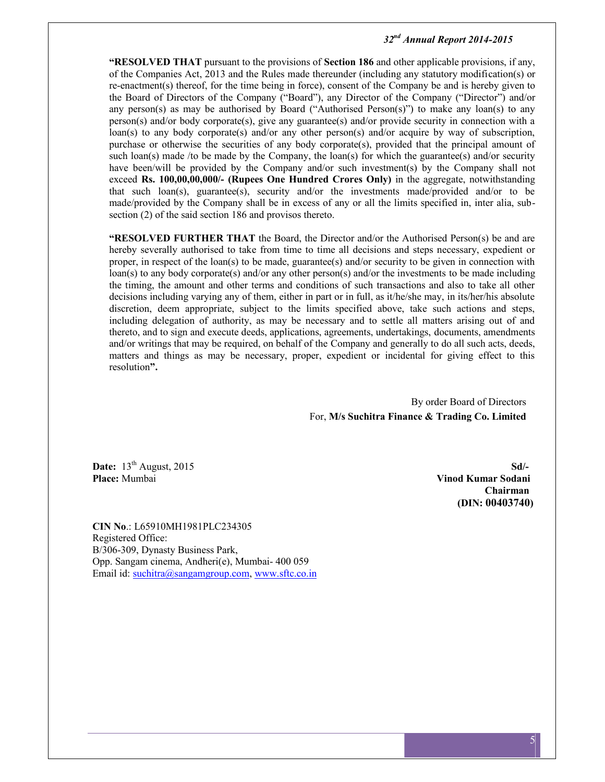**"RESOLVED THAT** pursuant to the provisions of **Section 186** and other applicable provisions, if any, of the Companies Act, 2013 and the Rules made thereunder (including any statutory modification(s) or re-enactment(s) thereof, for the time being in force), consent of the Company be and is hereby given to the Board of Directors of the Company ("Board"), any Director of the Company ("Director") and/or any person(s) as may be authorised by Board ("Authorised Person(s)") to make any loan(s) to any person(s) and/or body corporate(s), give any guarantee(s) and/or provide security in connection with a loan(s) to any body corporate(s) and/or any other person(s) and/or acquire by way of subscription, purchase or otherwise the securities of any body corporate(s), provided that the principal amount of such loan(s) made /to be made by the Company, the loan(s) for which the guarantee(s) and/or security have been/will be provided by the Company and/or such investment(s) by the Company shall not exceed **Rs. 100,00,00,000/- (Rupees One Hundred Crores Only)** in the aggregate, notwithstanding that such loan(s), guarantee(s), security and/or the investments made/provided and/or to be made/provided by the Company shall be in excess of any or all the limits specified in, inter alia, sub section (2) of the said section 186 and provisos thereto.

**"RESOLVED FURTHER THAT** the Board, the Director and/or the Authorised Person(s) be and are hereby severally authorised to take from time to time all decisions and steps necessary, expedient or proper, in respect of the loan(s) to be made, guarantee(s) and/or security to be given in connection with loan(s) to any body corporate(s) and/or any other person(s) and/or the investments to be made including the timing, the amount and other terms and conditions of such transactions and also to take all other decisions including varying any of them, either in part or in full, as it/he/she may, in its/her/his absolute discretion, deem appropriate, subject to the limits specified above, take such actions and steps, including delegation of authority, as may be necessary and to settle all matters arising out of and thereto, and to sign and execute deeds, applications, agreements, undertakings, documents, amendments and/or writings that may be required, on behalf of the Company and generally to do all such acts, deeds, matters and things as may be necessary, proper, expedient or incidental for giving effect to this resolution**".**

> By order Board of Directors For, **M/s Suchitra Finance & Trading Co. Limited**

**Date:** 13<sup>th</sup> August, 2015 **Sd**/-<br>**Place:** Mumbai **Sdie State:** Mumbai **Sdie State: Sdie State: Sdie State: School State: School State: School State: School State: School State: School State: School Stat** 

**Place:** Mumbai **Vinod Kumar Sodani Chairman (DIN: 00403740)**

**CIN No**.: L65910MH1981PLC234305 Registered Office: B/306-309, Dynasty Business Park, Opp. Sangam cinema, Andheri(e), Mumbai- 400 059 Email id: suchitra@sangamgroup.com, www.sftc.co.in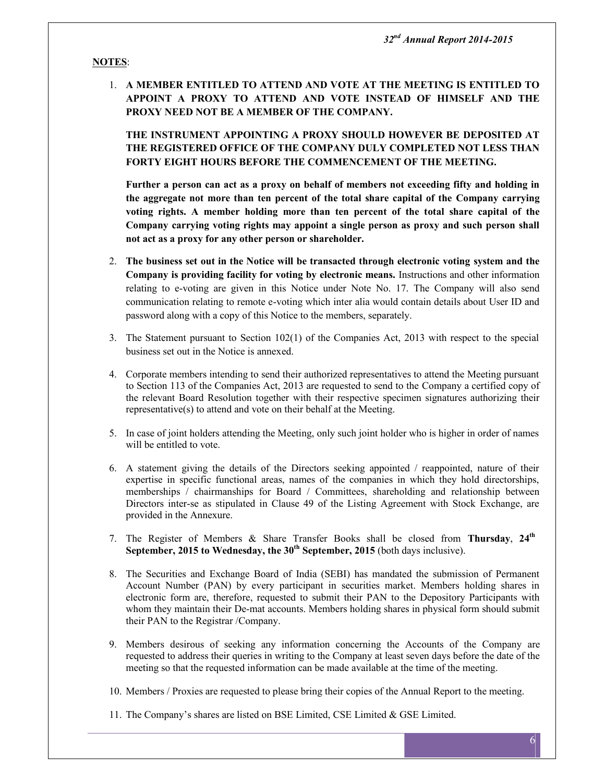## **NOTES**:

1. **A MEMBER ENTITLED TO ATTEND AND VOTE AT THE MEETING IS ENTITLED TO APPOINT A PROXY TO ATTEND AND VOTE INSTEAD OF HIMSELF AND THE PROXY NEED NOT BE A MEMBER OF THE COMPANY.**

**THE INSTRUMENT APPOINTING A PROXY SHOULD HOWEVER BE DEPOSITED AT THE REGISTERED OFFICE OF THE COMPANY DULY COMPLETED NOT LESS THAN FORTY EIGHT HOURS BEFORE THE COMMENCEMENT OF THE MEETING.**

**Further a person can act as a proxy on behalf of members not exceeding fifty and holding in the aggregate not more than ten percent of the total share capital of the Company carrying voting rights. A member holding more than ten percent of the total share capital of the Company carrying voting rights may appoint a single person as proxy and such person shall not act as a proxy for any other person or shareholder.**

- 2. **The business set out in the Notice will be transacted through electronic voting system and the Company is providing facility for voting by electronic means.** Instructions and other information relating to e-voting are given in this Notice under Note No. 17. The Company will also send communication relating to remote e-voting which inter alia would contain details about User ID and password along with a copy of this Notice to the members, separately.
- 3. The Statement pursuant to Section 102(1) of the Companies Act, 2013 with respect to the special business set out in the Notice is annexed.
- 4. Corporate members intending to send their authorized representatives to attend the Meeting pursuant to Section 113 of the Companies Act, 2013 are requested to send to the Company a certified copy of the relevant Board Resolution together with their respective specimen signatures authorizing their representative(s) to attend and vote on their behalf at the Meeting.
- 5. In case of joint holders attending the Meeting, only such joint holder who is higher in order of names will be entitled to vote.
- 6. A statement giving the details of the Directors seeking appointed / reappointed, nature of their expertise in specific functional areas, names of the companies in which they hold directorships, memberships / chairmanships for Board / Committees, shareholding and relationship between Directors inter-se as stipulated in Clause 49 of the Listing Agreement with Stock Exchange, are provided in the Annexure.
- 7. The Register of Members & Share Transfer Books shall be closed from **Thursday**, **24 th September, 2015 to Wednesday, the 30th September, 2015** (both days inclusive).
- 8. The Securities and Exchange Board of India (SEBI) has mandated the submission of Permanent Account Number (PAN) by every participant in securities market. Members holding shares in electronic form are, therefore, requested to submit their PAN to the Depository Participants with whom they maintain their De-mat accounts. Members holding shares in physical form should submit their PAN to the Registrar /Company.
- 9. Members desirous of seeking any information concerning the Accounts of the Company are requested to address their queries in writing to the Company at least seven days before the date of the meeting so that the requested information can be made available at the time of the meeting.
- 10. Members / Proxies are requested to please bring their copies of the Annual Report to the meeting.
- 11. The Company's shares are listed on BSE Limited, CSE Limited & GSE Limited.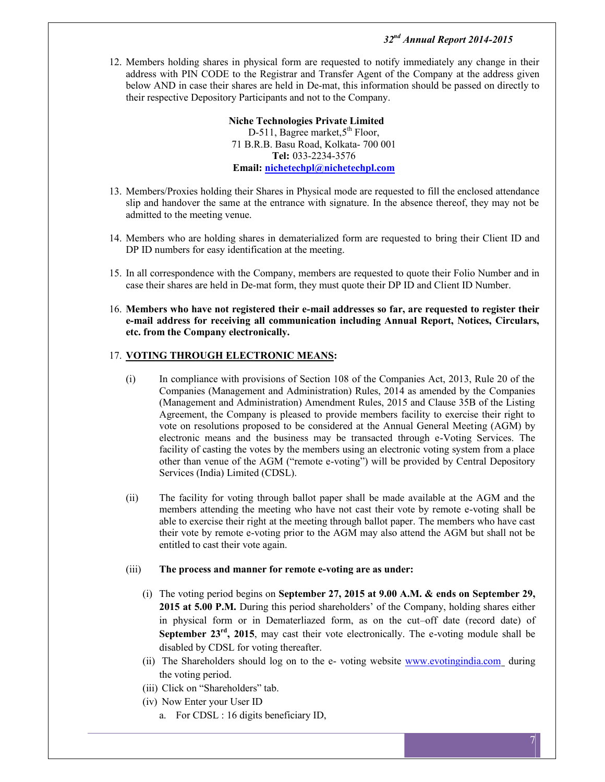12. Members holding shares in physical form are requested to notify immediately any change in their address with PIN CODE to the Registrar and Transfer Agent of the Company at the address given below AND in case their shares are held in De-mat, this information should be passed on directly to their respective Depository Participants and not to the Company.

> **Niche Technologies Private Limited** D-511, Bagree market, 5<sup>th</sup> Floor, 71 B.R.B. Basu Road, Kolkata- 700 001 **Tel:** 033-2234-3576 **Email: nichetechpl@nichetechpl.com**

- 13. Members/Proxies holding their Shares in Physical mode are requested to fill the enclosed attendance slip and handover the same at the entrance with signature. In the absence thereof, they may not be admitted to the meeting venue.
- 14. Members who are holding shares in dematerialized form are requested to bring their Client ID and DP ID numbers for easy identification at the meeting.
- 15. In all correspondence with the Company, members are requested to quote their Folio Number and in case their shares are held in De-mat form, they must quote their DP ID and Client ID Number.
- 16. **Members who have not registered their e-mail addresses so far, are requested to register their e-mail address for receiving all communication including Annual Report, Notices, Circulars, etc. from the Company electronically.**

## 17. **VOTING THROUGH ELECTRONIC MEANS:**

- (i) In compliance with provisions of Section 108 of the Companies Act, 2013, Rule 20 of the Companies (Management and Administration) Rules, 2014 as amended by the Companies (Management and Administration) Amendment Rules, 2015 and Clause 35B of the Listing Agreement, the Company is pleased to provide members facility to exercise their right to vote on resolutions proposed to be considered at the Annual General Meeting (AGM) by electronic means and the business may be transacted through e-Voting Services. The facility of casting the votes by the members using an electronic voting system from a place other than venue of the AGM ("remote e-voting") will be provided by Central Depository Services (India) Limited (CDSL).
- (ii) The facility for voting through ballot paper shall be made available at the AGM and the members attending the meeting who have not cast their vote by remote e-voting shall be able to exercise their right at the meeting through ballot paper. The members who have cast their vote by remote e-voting prior to the AGM may also attend the AGM but shall not be entitled to cast their vote again.

#### (iii) **The process and manner for remote e-voting are as under:**

- (i) The voting period begins on **September 27, 2015 at 9.00 A.M. & ends on September 29, 2015 at 5.00 P.M.** During this period shareholders' of the Company, holding shares either in physical form or in Dematerliazed form, as on the cut–off date (record date) of **September 23<sup>rd</sup>, 2015**, may cast their vote electronically. The e-voting module shall be disabled by CDSL for voting thereafter.
- (ii) The Shareholders should log on to the e- voting website www.evotingindia.com during the voting period.
- (iii) Click on "Shareholders" tab.
- (iv) Now Enter your User ID
	- a. For CDSL : 16 digits beneficiary ID,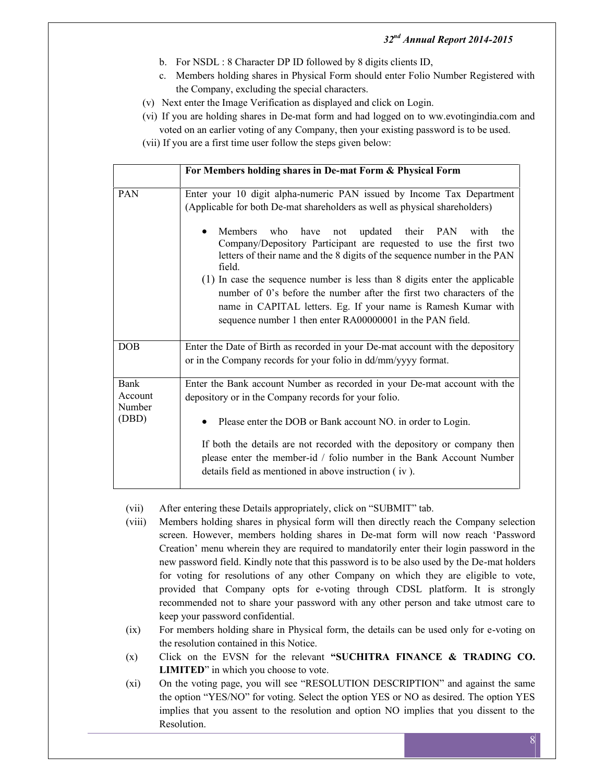- b. For NSDL : 8 Character DP ID followed by 8 digits clients ID,
- c. Members holding shares in Physical Form should enter Folio Number Registered with the Company, excluding the special characters.
- (v) Next enter the Image Verification as displayed and click on Login.
- (vi) If you are holding shares in De-mat form and had logged on to ww.evotingindia.com and
	- voted on an earlier voting of any Company, then your existing password is to be used.
- (vii) If you are a first time user follow the steps given below:

| For Members holding shares in De-mat Form & Physical Form                                                                                                                                                                           |  |  |  |  |  |
|-------------------------------------------------------------------------------------------------------------------------------------------------------------------------------------------------------------------------------------|--|--|--|--|--|
| Enter your 10 digit alpha-numeric PAN issued by Income Tax Department<br>(Applicable for both De-mat shareholders as well as physical shareholders)                                                                                 |  |  |  |  |  |
| updated their PAN<br><b>Members</b><br>have<br>who<br>not<br>with<br>the<br>Company/Depository Participant are requested to use the first two<br>letters of their name and the 8 digits of the sequence number in the PAN<br>field. |  |  |  |  |  |
| (1) In case the sequence number is less than 8 digits enter the applicable<br>number of 0's before the number after the first two characters of the                                                                                 |  |  |  |  |  |
| name in CAPITAL letters. Eg. If your name is Ramesh Kumar with<br>sequence number 1 then enter RA00000001 in the PAN field.                                                                                                         |  |  |  |  |  |
| Enter the Date of Birth as recorded in your De-mat account with the depository<br>or in the Company records for your folio in dd/mm/yyyy format.                                                                                    |  |  |  |  |  |
| Enter the Bank account Number as recorded in your De-mat account with the<br>depository or in the Company records for your folio.                                                                                                   |  |  |  |  |  |
| Please enter the DOB or Bank account NO. in order to Login.                                                                                                                                                                         |  |  |  |  |  |
| If both the details are not recorded with the depository or company then<br>please enter the member-id / folio number in the Bank Account Number<br>details field as mentioned in above instruction (iv).                           |  |  |  |  |  |
|                                                                                                                                                                                                                                     |  |  |  |  |  |

- (vii) After entering these Details appropriately, click on "SUBMIT" tab.
- (viii) Members holding shares in physical form will then directly reach the Company selection screen. However, members holding shares in De-mat form will now reach 'Password Creation' menu wherein they are required to mandatorily enter their login password in the new password field. Kindly note that this password is to be also used by the De-mat holders for voting for resolutions of any other Company on which they are eligible to vote, provided that Company opts for e-voting through CDSL platform. It is strongly recommended not to share your password with any other person and take utmost care to keep your password confidential.
- (ix) For members holding share in Physical form, the details can be used only for e-voting on the resolution contained in this Notice.
- (x) Click on the EVSN for the relevant **"SUCHITRA FINANCE & TRADING CO. LIMITED**" in which you choose to vote.
- (xi) On the voting page, you will see "RESOLUTION DESCRIPTION" and against the same the option "YES/NO" for voting. Select the option YES or NO as desired. The option YES implies that you assent to the resolution and option NO implies that you dissent to the Resolution.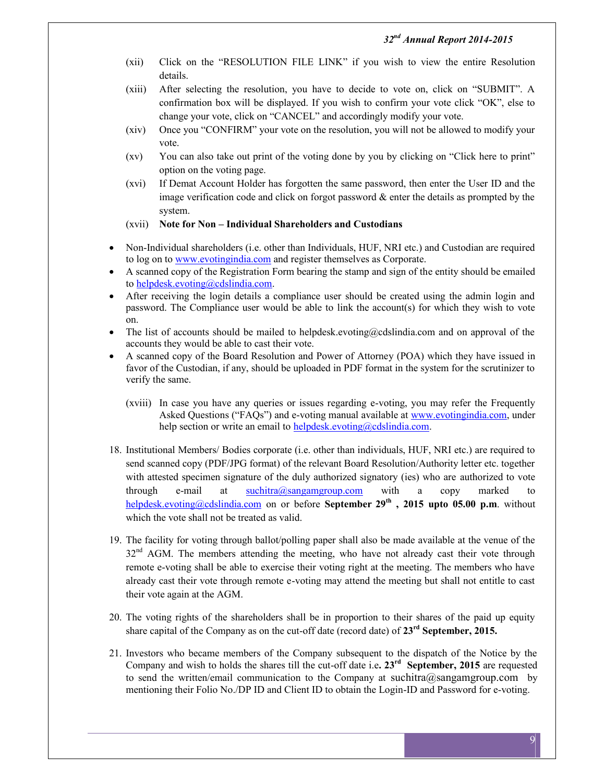- (xii) Click on the "RESOLUTION FILE LINK" if you wish to view the entire Resolution details.
- (xiii) After selecting the resolution, you have to decide to vote on, click on "SUBMIT". A confirmation box will be displayed. If you wish to confirm your vote click "OK", else to change your vote, click on "CANCEL" and accordingly modify your vote.
- (xiv) Once you "CONFIRM" your vote on the resolution, you will not be allowed to modify your vote.
- (xv) You can also take out print of the voting done by you by clicking on "Click here to print" option on the voting page.
- (xvi) If Demat Account Holder has forgotten the same password, then enter the User ID and the image verification code and click on forgot password  $\&$  enter the details as prompted by the system.

#### (xvii) **Note for Non – Individual Shareholders and Custodians**

- Non-Individual shareholders (i.e. other than Individuals, HUF, NRI etc.) and Custodian are required to log on to www.evotingindia.com and register themselves as Corporate.
- A scanned copy of the Registration Form bearing the stamp and sign of the entity should be emailed to helpdesk.evoting@cdslindia.com.
- After receiving the login details a compliance user should be created using the admin login and password. The Compliance user would be able to link the account(s) for which they wish to vote on.
- The list of accounts should be mailed to helpdesk.evoting@cdslindia.com and on approval of the accounts they would be able to cast their vote.
- A scanned copy of the Board Resolution and Power of Attorney (POA) which they have issued in favor of the Custodian, if any, should be uploaded in PDF format in the system for the scrutinizer to verify the same.
	- (xviii) In case you have any queries or issues regarding e-voting, you may refer the Frequently Asked Questions ("FAQs") and e-voting manual available at www.evotingindia.com, under help section or write an email to helpdesk.evoting@cdslindia.com.
- 18. Institutional Members/ Bodies corporate (i.e. other than individuals, HUF, NRI etc.) are required to send scanned copy (PDF/JPG format) of the relevant Board Resolution/Authority letter etc. together with attested specimen signature of the duly authorized signatory (ies) who are authorized to vote through e-mail at suchitra@sangamgroup.com with a copy marked helpdesk.evoting@cdslindia.com on or before **September 29th , 2015 upto 05.00 p.m**. without which the vote shall not be treated as valid.
- 19. The facility for voting through ballot/polling paper shall also be made available at the venue of the 32<sup>nd</sup> AGM. The members attending the meeting, who have not already cast their vote through remote e-voting shall be able to exercise their voting right at the meeting. The members who have already cast their vote through remote e-voting may attend the meeting but shall not entitle to cast their vote again at the AGM.
- 20. The voting rights of the shareholders shall be in proportion to their shares of the paid up equity share capital of the Company as on the cut-off date (record date) of **23 rd September, 2015.**
- 21. Investors who became members of the Company subsequent to the dispatch of the Notice by the Company and wish to holds the shares till the cut-off date i.e**. 23rd September, 2015** are requested to send the written/email communication to the Company at suchitra@sangamgroup.com by mentioning their Folio No./DP ID and Client ID to obtain the Login-ID and Password for e-voting.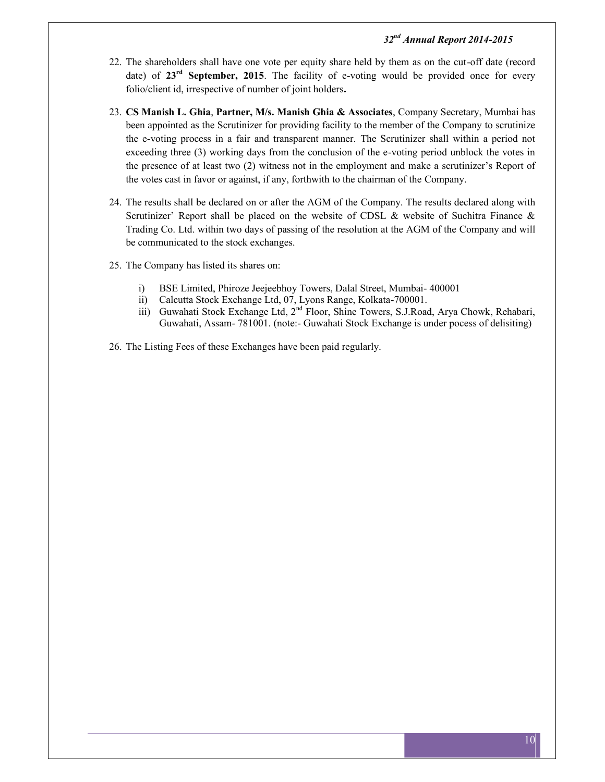- 22. The shareholders shall have one vote per equity share held by them as on the cut-off date (record date) of 23<sup>rd</sup> September, 2015. The facility of e-voting would be provided once for every folio/client id, irrespective of number of joint holders**.**
- 23. **CS Manish L. Ghia**, **Partner, M/s. Manish Ghia & Associates**, Company Secretary, Mumbai has been appointed as the Scrutinizer for providing facility to the member of the Company to scrutinize the e-voting process in a fair and transparent manner. The Scrutinizer shall within a period not exceeding three (3) working days from the conclusion of the e-voting period unblock the votes in the presence of at least two (2) witness not in the employment and make a scrutinizer's Report of the votes cast in favor or against, if any, forthwith to the chairman of the Company.
- 24. The results shall be declared on or after the AGM of the Company. The results declared along with Scrutinizer' Report shall be placed on the website of CDSL & website of Suchitra Finance & Trading Co. Ltd. within two days of passing of the resolution at the AGM of the Company and will be communicated to the stock exchanges.
- 25. The Company has listed its shares on:
	- i) BSE Limited, Phiroze Jeejeebhoy Towers, Dalal Street, Mumbai- 400001
	- ii) Calcutta Stock Exchange Ltd, 07, Lyons Range, Kolkata-700001.
	- iii) Guwahati Stock Exchange Ltd, 2<sup>nd</sup> Floor, Shine Towers, S.J.Road, Arya Chowk, Rehabari, Guwahati, Assam- 781001. (note:- Guwahati Stock Exchange is under pocess of delisiting)
- 26. The Listing Fees of these Exchanges have been paid regularly.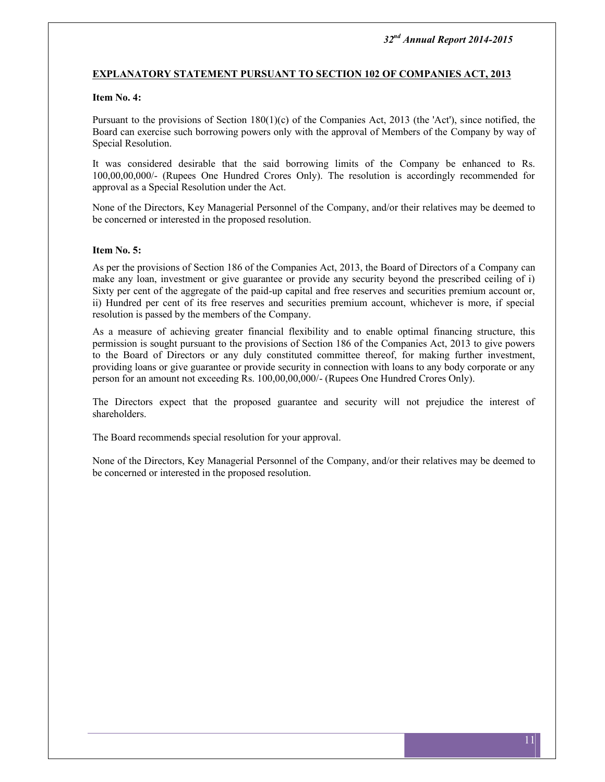#### **EXPLANATORY STATEMENT PURSUANT TO SECTION 102 OF COMPANIES ACT, 2013**

### **Item No. 4:**

Pursuant to the provisions of Section 180(1)(c) of the Companies Act, 2013 (the 'Act'), since notified, the Board can exercise such borrowing powers only with the approval of Members of the Company by way of Special Resolution.

It was considered desirable that the said borrowing limits of the Company be enhanced to Rs. 100,00,00,000/- (Rupees One Hundred Crores Only). The resolution is accordingly recommended for approval as a Special Resolution under the Act.

None of the Directors, Key Managerial Personnel of the Company, and/or their relatives may be deemed to be concerned or interested in the proposed resolution.

#### **Item No. 5:**

As per the provisions of Section 186 of the Companies Act, 2013, the Board of Directors of a Company can make any loan, investment or give guarantee or provide any security beyond the prescribed ceiling of i) Sixty per cent of the aggregate of the paid-up capital and free reserves and securities premium account or, ii) Hundred per cent of its free reserves and securities premium account, whichever is more, if special resolution is passed by the members of the Company.

As a measure of achieving greater financial flexibility and to enable optimal financing structure, this permission is sought pursuant to the provisions of Section 186 of the Companies Act, 2013 to give powers to the Board of Directors or any duly constituted committee thereof, for making further investment, providing loans or give guarantee or provide security in connection with loans to any body corporate or any person for an amount not exceeding Rs. 100,00,00,000/- (Rupees One Hundred Crores Only).

The Directors expect that the proposed guarantee and security will not prejudice the interest of shareholders.

The Board recommends special resolution for your approval.

None of the Directors, Key Managerial Personnel of the Company, and/or their relatives may be deemed to be concerned or interested in the proposed resolution.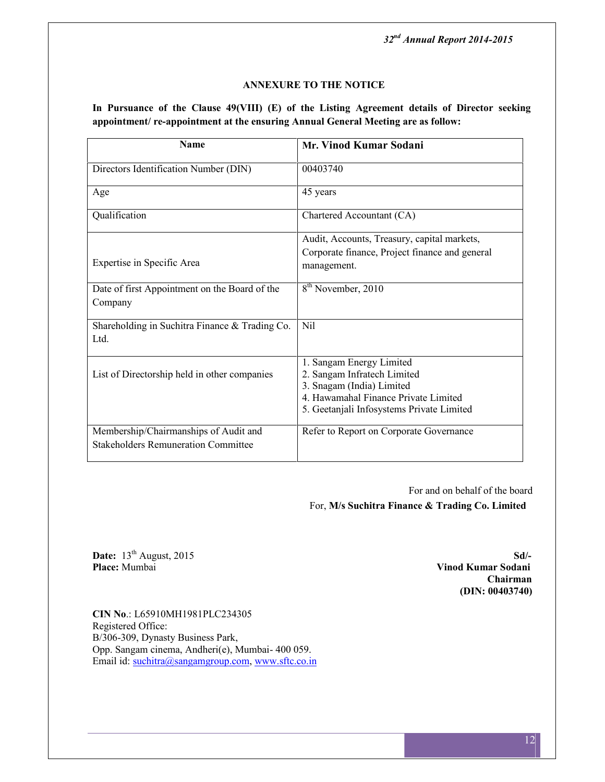### **ANNEXURE TO THE NOTICE**

**In Pursuance of the Clause 49(VIII) (E) of the Listing Agreement details of Director seeking appointment/ re-appointment at the ensuring Annual General Meeting are as follow:**

| <b>Name</b>                                    | <b>Mr. Vinod Kumar Sodani</b>                  |
|------------------------------------------------|------------------------------------------------|
| Directors Identification Number (DIN)          | 00403740                                       |
| Age                                            | 45 years                                       |
| Qualification                                  | Chartered Accountant (CA)                      |
|                                                | Audit, Accounts, Treasury, capital markets,    |
|                                                | Corporate finance, Project finance and general |
| Expertise in Specific Area                     | management.                                    |
| Date of first Appointment on the Board of the  | 8 <sup>th</sup> November, 2010                 |
| Company                                        |                                                |
| Shareholding in Suchitra Finance & Trading Co. | <b>Nil</b>                                     |
| Ltd.                                           |                                                |
|                                                | 1. Sangam Energy Limited                       |
| List of Directorship held in other companies   | 2. Sangam Infratech Limited                    |
|                                                | 3. Snagam (India) Limited                      |
|                                                | 4. Hawamahal Finance Private Limited           |
|                                                | 5. Geetanjali Infosystems Private Limited      |
| Membership/Chairmanships of Audit and          | Refer to Report on Corporate Governance        |
| <b>Stakeholders Remuneration Committee</b>     |                                                |

For and on behalf of the board For, **M/s Suchitra Finance & Trading Co. Limited**

**Date:** 13<sup>th</sup> August, 2015 **Sd**/-<br>**Place:** Mumbai **Sdie 2015 Sdie 2016 Sdie 2016 Sdie 2016 Sdie 2016 Still and Sodani Sodani Sodani Sodani Solari 10.000 Still and Sodani Solari 10.000 Still and Sod** 

**Place:** Mumbai **Vinod Kumar Sodani Chairman (DIN: 00403740)**

**CIN No**.: L65910MH1981PLC234305 Registered Office: B/306-309, Dynasty Business Park, Opp. Sangam cinema, Andheri(e), Mumbai- 400 059. Email id: suchitra@sangamgroup.com, www.sftc.co.in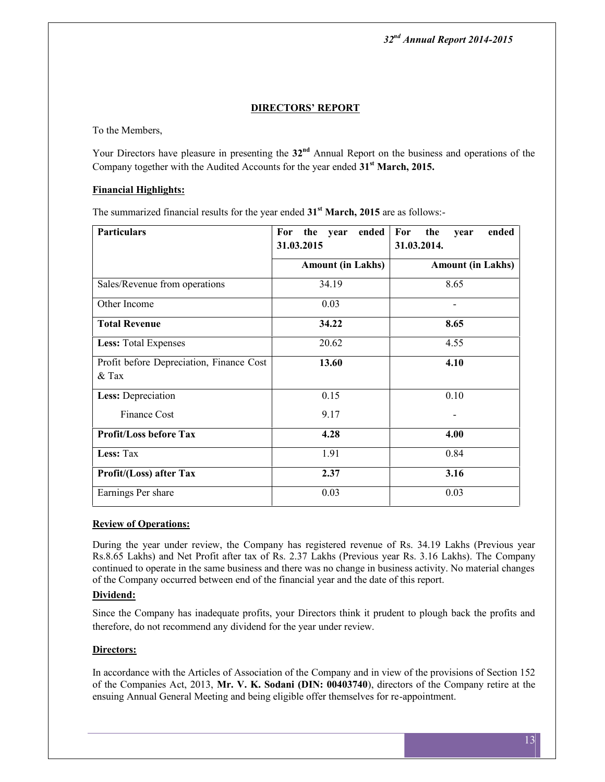## **DIRECTORS' REPORT**

To the Members,

Your Directors have pleasure in presenting the  $32<sup>nd</sup>$  Annual Report on the business and operations of the Company together with the Audited Accounts for the year ended **31st March, 2015.**

## **Financial Highlights:**

The summarized financial results for the year ended **31st March, 2015** are as follows:-

| <b>Particulars</b>                                  | ended<br>For the year<br>31.03.2015 | For<br>ended<br>the<br>year<br>31.03.2014. |  |
|-----------------------------------------------------|-------------------------------------|--------------------------------------------|--|
|                                                     | <b>Amount (in Lakhs)</b>            | <b>Amount (in Lakhs)</b>                   |  |
| Sales/Revenue from operations                       | 34.19                               | 8.65                                       |  |
| Other Income                                        | 0.03                                |                                            |  |
| <b>Total Revenue</b>                                | 34.22                               | 8.65                                       |  |
| <b>Less:</b> Total Expenses                         | 20.62                               | 4.55                                       |  |
| Profit before Depreciation, Finance Cost<br>$&$ Tax | 13.60                               | 4.10                                       |  |
| Less: Depreciation                                  | 0.15                                | 0.10                                       |  |
| Finance Cost                                        | 9.17                                |                                            |  |
| <b>Profit/Loss before Tax</b>                       | 4.28                                | 4.00                                       |  |
| Less: Tax                                           | 1.91                                | 0.84                                       |  |
| Profit/(Loss) after Tax                             | 2.37                                | 3.16                                       |  |
| Earnings Per share                                  | 0.03<br>0.03                        |                                            |  |

## **Review of Operations:**

During the year under review, the Company has registered revenue of Rs. 34.19 Lakhs (Previous year Rs.8.65 Lakhs) and Net Profit after tax of Rs. 2.37 Lakhs (Previous year Rs. 3.16 Lakhs). The Company continued to operate in the same business and there was no change in business activity. No material changes of the Company occurred between end of the financial year and the date of this report.

## **Dividend:**

Since the Company has inadequate profits, your Directors think it prudent to plough back the profits and therefore, do not recommend any dividend for the year under review.

## **Directors:**

In accordance with the Articles of Association of the Company and in view of the provisions of Section 152 of the Companies Act, 2013, **Mr. V. K. Sodani (DIN: 00403740**), directors of the Company retire at the ensuing Annual General Meeting and being eligible offer themselves for re-appointment.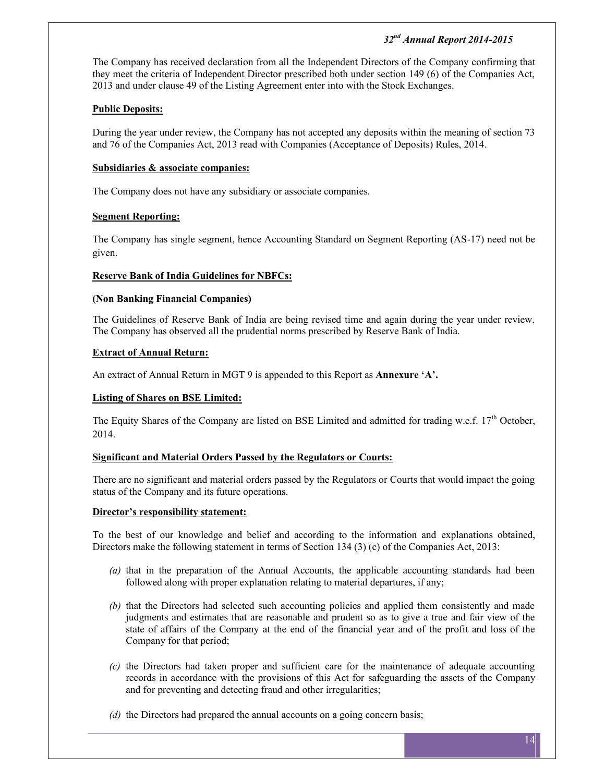The Company has received declaration from all the Independent Directors of the Company confirming that they meet the criteria of Independent Director prescribed both under section 149 (6) of the Companies Act, 2013 and under clause 49 of the Listing Agreement enter into with the Stock Exchanges.

## **Public Deposits:**

During the year under review, the Company has not accepted any deposits within the meaning of section 73 and 76 of the Companies Act, 2013 read with Companies (Acceptance of Deposits) Rules, 2014.

## **Subsidiaries & associate companies:**

The Company does not have any subsidiary or associate companies.

## **Segment Reporting:**

The Company has single segment, hence Accounting Standard on Segment Reporting (AS-17) need not be given.

## **Reserve Bank of India Guidelines for NBFCs:**

## **(Non Banking Financial Companies)**

The Guidelines of Reserve Bank of India are being revised time and again during the year under review. The Company has observed all the prudential norms prescribed by Reserve Bank of India.

## **Extract of Annual Return:**

An extract of Annual Return in MGT 9 is appended to this Report as **Annexure 'A'.**

## **Listing of Shares on BSE Limited:**

The Equity Shares of the Company are listed on BSE Limited and admitted for trading w.e.f. 17<sup>th</sup> October, 2014.

## **Significant and Material Orders Passed by the Regulators or Courts:**

There are no significant and material orders passed by the Regulators or Courts that would impact the going status of the Company and its future operations.

## **Director's responsibility statement:**

To the best of our knowledge and belief and according to the information and explanations obtained, Directors make the following statement in terms of Section 134 (3) (c) of the Companies Act, 2013:

- *(a)* that in the preparation of the Annual Accounts, the applicable accounting standards had been followed along with proper explanation relating to material departures, if any;
- *(b)* that the Directors had selected such accounting policies and applied them consistently and made judgments and estimates that are reasonable and prudent so as to give a true and fair view of the state of affairs of the Company at the end of the financial year and of the profit and loss of the Company for that period;
- *(c)* the Directors had taken proper and sufficient care for the maintenance of adequate accounting records in accordance with the provisions of this Act for safeguarding the assets of the Company and for preventing and detecting fraud and other irregularities;
- *(d)* the Directors had prepared the annual accounts on a going concern basis;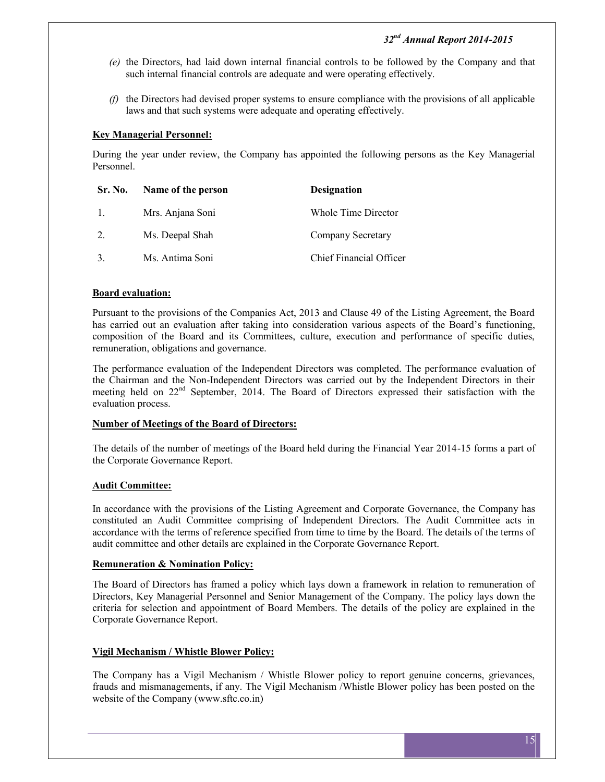- *(e)* the Directors, had laid down internal financial controls to be followed by the Company and that such internal financial controls are adequate and were operating effectively.
- *(f)* the Directors had devised proper systems to ensure compliance with the provisions of all applicable laws and that such systems were adequate and operating effectively.

## **Key Managerial Personnel:**

During the year under review, the Company has appointed the following persons as the Key Managerial Personnel.

| Sr. No. | Name of the person | <b>Designation</b>             |
|---------|--------------------|--------------------------------|
| $\pm$   | Mrs. Anjana Soni   | Whole Time Director            |
| 2.      | Ms. Deepal Shah    | Company Secretary              |
|         | Ms. Antima Soni    | <b>Chief Financial Officer</b> |

#### **Board evaluation:**

Pursuant to the provisions of the Companies Act, 2013 and Clause 49 of the Listing Agreement, the Board has carried out an evaluation after taking into consideration various aspects of the Board's functioning, composition of the Board and its Committees, culture, execution and performance of specific duties, remuneration, obligations and governance.

The performance evaluation of the Independent Directors was completed. The performance evaluation of the Chairman and the Non-Independent Directors was carried out by the Independent Directors in their meeting held on 22<sup>nd</sup> September, 2014. The Board of Directors expressed their satisfaction with the evaluation process.

#### **Number of Meetings of the Board of Directors:**

The details of the number of meetings of the Board held during the Financial Year 2014-15 forms a part of the Corporate Governance Report.

## **Audit Committee:**

In accordance with the provisions of the Listing Agreement and Corporate Governance, the Company has constituted an Audit Committee comprising of Independent Directors. The Audit Committee acts in accordance with the terms of reference specified from time to time by the Board. The details of the terms of audit committee and other details are explained in the Corporate Governance Report.

#### **Remuneration & Nomination Policy:**

The Board of Directors has framed a policy which lays down a framework in relation to remuneration of Directors, Key Managerial Personnel and Senior Management of the Company. The policy lays down the criteria for selection and appointment of Board Members. The details of the policy are explained in the Corporate Governance Report.

## **Vigil Mechanism / Whistle Blower Policy:**

The Company has a Vigil Mechanism / Whistle Blower policy to report genuine concerns, grievances, frauds and mismanagements, if any. The Vigil Mechanism /Whistle Blower policy has been posted on the website of the Company (www.sftc.co.in)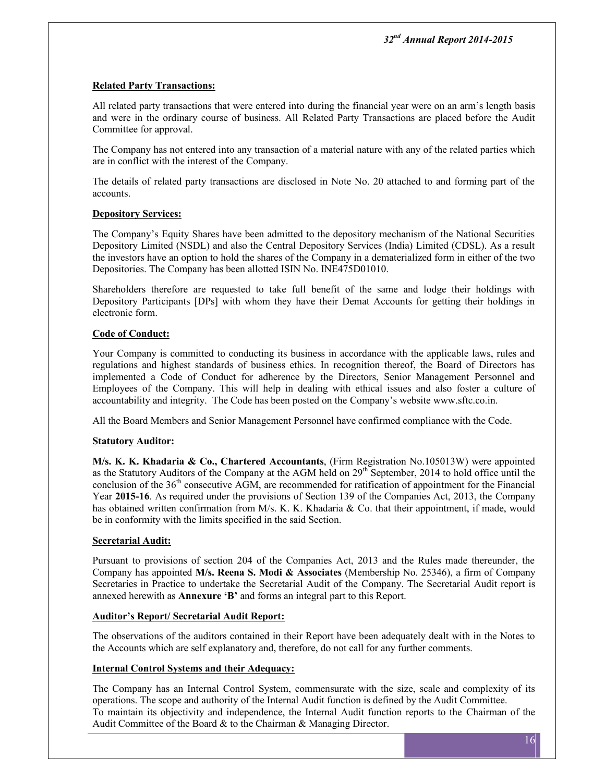## **Related Party Transactions:**

All related party transactions that were entered into during the financial year were on an arm's length basis and were in the ordinary course of business. All Related Party Transactions are placed before the Audit Committee for approval.

The Company has not entered into any transaction of a material nature with any of the related parties which are in conflict with the interest of the Company.

The details of related party transactions are disclosed in Note No. 20 attached to and forming part of the accounts.

## **Depository Services:**

The Company's Equity Shares have been admitted to the depository mechanism of the National Securities Depository Limited (NSDL) and also the Central Depository Services (India) Limited (CDSL). As a result the investors have an option to hold the shares of the Company in a dematerialized form in either of the two Depositories. The Company has been allotted ISIN No. INE475D01010.

Shareholders therefore are requested to take full benefit of the same and lodge their holdings with Depository Participants [DPs] with whom they have their Demat Accounts for getting their holdings in electronic form.

## **Code of Conduct:**

Your Company is committed to conducting its business in accordance with the applicable laws, rules and regulations and highest standards of business ethics. In recognition thereof, the Board of Directors has implemented a Code of Conduct for adherence by the Directors, Senior Management Personnel and Employees of the Company. This will help in dealing with ethical issues and also foster a culture of accountability and integrity. The Code has been posted on the Company's website www.sftc.co.in.

All the Board Members and Senior Management Personnel have confirmed compliance with the Code.

## **Statutory Auditor:**

**M/s. K. K. Khadaria & Co., Chartered Accountants**, (Firm Registration No.105013W) were appointed as the Statutory Auditors of the Company at the AGM held on 29<sup>th</sup> September, 2014 to hold office until the conclusion of the  $36<sup>th</sup>$  consecutive AGM, are recommended for ratification of appointment for the Financial Year **2015-16**. As required under the provisions of Section 139 of the Companies Act, 2013, the Company has obtained written confirmation from M/s. K. K. Khadaria & Co. that their appointment, if made, would be in conformity with the limits specified in the said Section.

## **Secretarial Audit:**

Pursuant to provisions of section 204 of the Companies Act, 2013 and the Rules made thereunder, the Company has appointed **M/s. Reena S. Modi & Associates** (Membership No. 25346), a firm of Company Secretaries in Practice to undertake the Secretarial Audit of the Company. The Secretarial Audit report is annexed herewith as **Annexure 'B'** and forms an integral part to this Report.

## **Auditor's Report/ Secretarial Audit Report:**

The observations of the auditors contained in their Report have been adequately dealt with in the Notes to the Accounts which are self explanatory and, therefore, do not call for any further comments.

## **Internal Control Systems and their Adequacy:**

The Company has an Internal Control System, commensurate with the size, scale and complexity of its operations. The scope and authority of the Internal Audit function is defined by the Audit Committee. To maintain its objectivity and independence, the Internal Audit function reports to the Chairman of the Audit Committee of the Board & to the Chairman & Managing Director.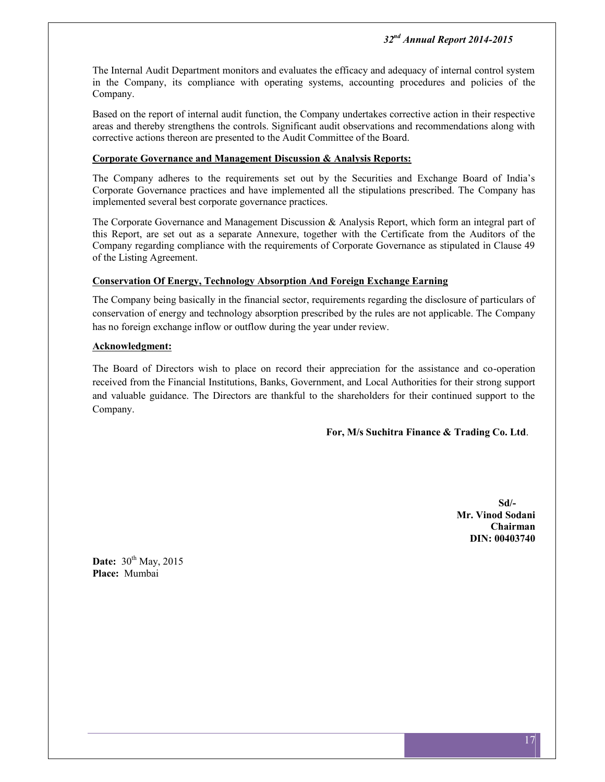The Internal Audit Department monitors and evaluates the efficacy and adequacy of internal control system in the Company, its compliance with operating systems, accounting procedures and policies of the Company.

Based on the report of internal audit function, the Company undertakes corrective action in their respective areas and thereby strengthens the controls. Significant audit observations and recommendations along with corrective actions thereon are presented to the Audit Committee of the Board.

## **Corporate Governance and Management Discussion & Analysis Reports:**

The Company adheres to the requirements set out by the Securities and Exchange Board of India's Corporate Governance practices and have implemented all the stipulations prescribed. The Company has implemented several best corporate governance practices.

The Corporate Governance and Management Discussion & Analysis Report, which form an integral part of this Report, are set out as a separate Annexure, together with the Certificate from the Auditors of the Company regarding compliance with the requirements of Corporate Governance as stipulated in Clause 49 of the Listing Agreement.

## **Conservation Of Energy, Technology Absorption And Foreign Exchange Earning**

The Company being basically in the financial sector, requirements regarding the disclosure of particulars of conservation of energy and technology absorption prescribed by the rules are not applicable. The Company has no foreign exchange inflow or outflow during the year under review.

## **Acknowledgment:**

The Board of Directors wish to place on record their appreciation for the assistance and co-operation received from the Financial Institutions, Banks, Government, and Local Authorities for their strong support and valuable guidance. The Directors are thankful to the shareholders for their continued support to the Company.

## **For, M/s Suchitra Finance & Trading Co. Ltd**.

**Sd/- Mr. Vinod Sodani Chairman DIN: 00403740**

**Date:** 30<sup>th</sup> May, 2015 **Place:** Mumbai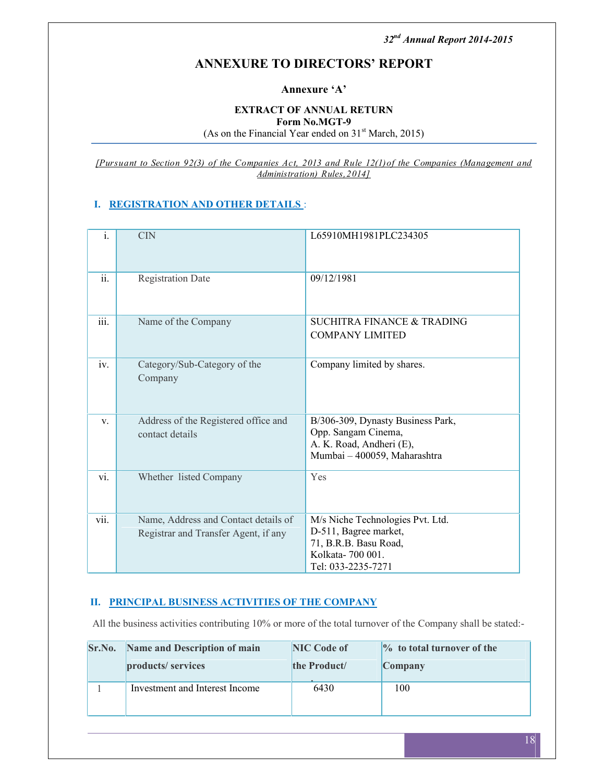## **ANNEXURE TO DIRECTORS' REPORT**

**Annexure 'A'**

#### **EXTRACT OF ANNUAL RETURN Form No.MGT-9** (As on the Financial Year ended on  $31<sup>st</sup> March, 2015$ )

*[Pursuant to Section 92(3) of the Companies Act, 2013 and Rule 12(1)of the Companies (Management and Administration) Rules,2014]*

## **I. REGISTRATION AND OTHER DETAILS** :

| $\overline{i}$ .          | <b>CIN</b>                                                                   | L65910MH1981PLC234305                                                                                                        |
|---------------------------|------------------------------------------------------------------------------|------------------------------------------------------------------------------------------------------------------------------|
| $\overline{ii}$ .         | <b>Registration Date</b>                                                     | 09/12/1981                                                                                                                   |
| $\overline{\text{iii}}$ . | Name of the Company                                                          | SUCHITRA FINANCE & TRADING<br><b>COMPANY LIMITED</b>                                                                         |
| iv.                       | Category/Sub-Category of the<br>Company                                      | Company limited by shares.                                                                                                   |
| $V_{-}$                   | Address of the Registered office and<br>contact details                      | B/306-309, Dynasty Business Park,<br>Opp. Sangam Cinema,<br>A. K. Road, Andheri (E),<br>Mumbai - 400059, Maharashtra         |
| vi.                       | Whether listed Company                                                       | Yes                                                                                                                          |
| $\overline{\text{vii}}$ . | Name, Address and Contact details of<br>Registrar and Transfer Agent, if any | M/s Niche Technologies Pvt. Ltd.<br>D-511, Bagree market,<br>71, B.R.B. Basu Road,<br>Kolkata-700 001.<br>Tel: 033-2235-7271 |

## **II. PRINCIPAL BUSINESS ACTIVITIES OF THE COMPANY**

All the business activities contributing 10% or more of the total turnover of the Company shall be stated:-

| Sr.No. | Name and Description of main   | <b>NIC Code of</b> | $\%$ to total turnover of the |
|--------|--------------------------------|--------------------|-------------------------------|
|        | products/ services             | the Product/       | Company                       |
|        | Investment and Interest Income | 6430               | 100                           |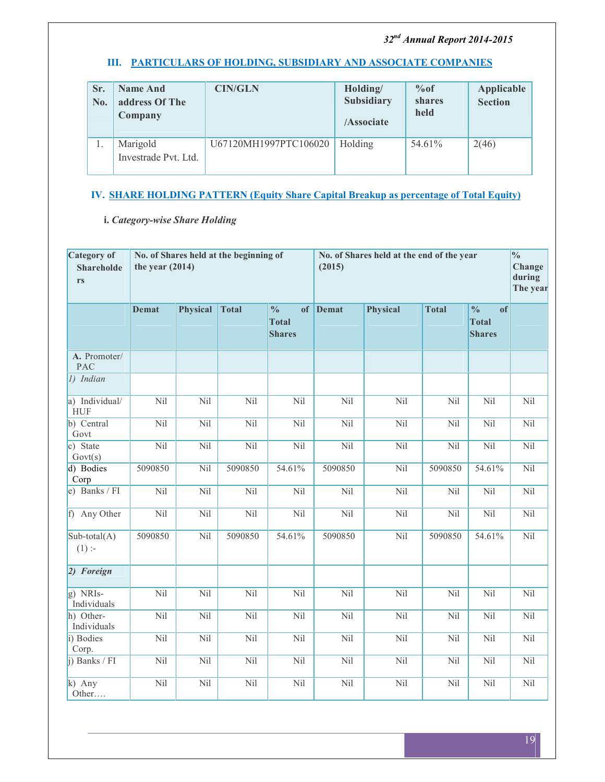## **III. PARTICULARS OF HOLDING, SUBSIDIARY AND ASSOCIATE COMPANIES**

| Sr.<br>No. | <b>Name And</b><br>address Of The<br>Company | <b>CIN/GLN</b>        | Holding/<br><b>Subsidiary</b><br>/Associate | %of<br>shares<br>held | Applicable<br><b>Section</b> |
|------------|----------------------------------------------|-----------------------|---------------------------------------------|-----------------------|------------------------------|
|            | Marigold<br>Investrade Pvt. Ltd.             | U67120MH1997PTC106020 | Holding                                     | 54.61%                | 2(46)                        |

## **IV. SHARE HOLDING PATTERN (Equity Share Capital Breakup as percentage of Total Equity)**

## **i.** *Category-wise Share Holding*

| Category of<br><b>Shareholde</b><br>rs | No. of Shares held at the beginning of<br>the year $(2014)$ |                 |              |                                                |          | No. of Shares held at the end of the year<br>(2015) |              |                                                      |     |
|----------------------------------------|-------------------------------------------------------------|-----------------|--------------|------------------------------------------------|----------|-----------------------------------------------------|--------------|------------------------------------------------------|-----|
|                                        | <b>Demat</b>                                                | <b>Physical</b> | <b>Total</b> | $\frac{0}{0}$<br><b>Total</b><br><b>Shares</b> | of Demat | <b>Physical</b>                                     | <b>Total</b> | $\frac{0}{0}$<br>of<br><b>Total</b><br><b>Shares</b> |     |
| A. Promoter/<br><b>PAC</b>             |                                                             |                 |              |                                                |          |                                                     |              |                                                      |     |
| $1)$ Indian                            |                                                             |                 |              |                                                |          |                                                     |              |                                                      |     |
| a) Individual/<br><b>HUF</b>           | Nil                                                         | Nil             | Nil          | Nil                                            | Nil      | Nil                                                 | Nil          | Nil                                                  | Nil |
| b) Central<br>Govt                     | Nil                                                         | Nil             | Nil          | Nil                                            | Nil      | Nil                                                 | Nil          | Nil                                                  | Nil |
| c) State<br>Govt(s)                    | Nil                                                         | Nil             | Nil          | Nil                                            | Nil      | Nil                                                 | Nil          | Nil                                                  | Nil |
| d) Bodies<br>Corp                      | 5090850                                                     | Nil             | 5090850      | 54.61%                                         | 5090850  | Nil                                                 | 5090850      | 54.61%                                               | Nil |
| e) Banks / FI                          | Nil                                                         | Nil             | Nil          | Nil                                            | Nil      | Nil                                                 | Nil          | Nil                                                  | Nil |
| f) Any Other                           | Nil                                                         | Nil             | Nil          | Nil                                            | Nil      | Nil                                                 | Nil          | Nil                                                  | Nil |
| $Sub-total(A)$<br>$(1)$ :-             | 5090850                                                     | Nil             | 5090850      | 54.61%                                         | 5090850  | Nil                                                 | 5090850      | 54.61%                                               | Nil |
| 2) Foreign                             |                                                             |                 |              |                                                |          |                                                     |              |                                                      |     |
| $g)$ NRIs-<br>Individuals              | Nil                                                         | Nil             | Nil          | Nil                                            | Nil      | Nil                                                 | Nil          | Nil                                                  | Nil |
| h) Other-<br>Individuals               | Nil                                                         | Nil             | Nil          | Nil                                            | Nil      | Nil                                                 | Nil          | Nil                                                  | Nil |
| i) Bodies<br>Corp.                     | Nil                                                         | Nil             | Nil          | Nil                                            | Nil      | Nil                                                 | Nil          | Nil                                                  | Nil |
| j) Banks / FI                          | Nil                                                         | Nil             | Nil          | Nil                                            | Nil      | Nil                                                 | Nil          | Nil                                                  | Nil |
| $k)$ Any<br>Other                      | Nil                                                         | Nil             | Nil          | Nil                                            | Nil      | Nil                                                 | Nil          | Nil                                                  | Nil |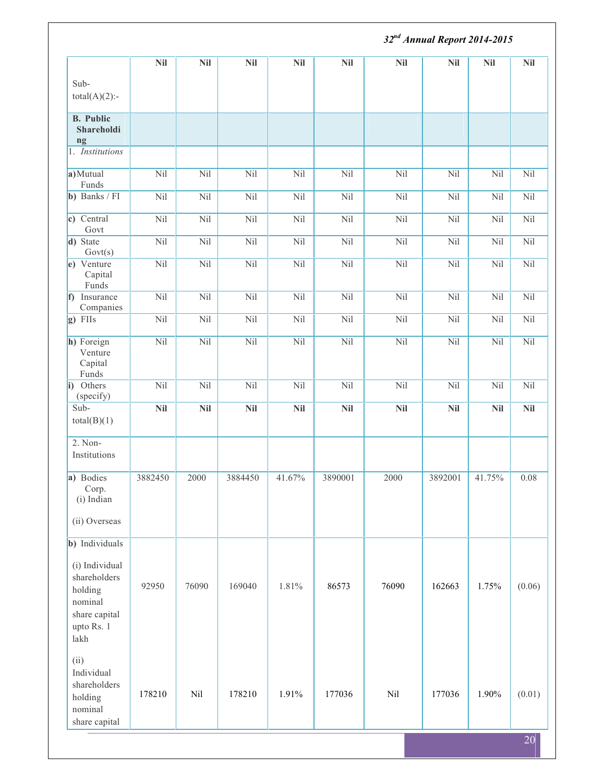|                                                                                             | 32 <sup>nd</sup> Annual Report 2014-2015 |            |            |            |            |            |            |            |                 |
|---------------------------------------------------------------------------------------------|------------------------------------------|------------|------------|------------|------------|------------|------------|------------|-----------------|
|                                                                                             | <b>Nil</b>                               | <b>Nil</b> | <b>Nil</b> | <b>Nil</b> | <b>Nil</b> | <b>Nil</b> | <b>Nil</b> | Nil        | <b>Nil</b>      |
| Sub-<br>$total(A)(2)$ :-                                                                    |                                          |            |            |            |            |            |            |            |                 |
| <b>B.</b> Public<br>Shareholdi<br>ng                                                        |                                          |            |            |            |            |            |            |            |                 |
| 1. Institutions                                                                             |                                          |            |            |            |            |            |            |            |                 |
| a) Mutual<br>Funds                                                                          | Nil                                      | Nil        | Nil        | Nil        | Nil        | Nil        | Nil        | Nil        | Nil             |
| b) Banks / FI                                                                               | Nil                                      | Nil        | Nil        | Nil        | Nil        | Nil        | Nil        | Nil        | Nil             |
| c) Central<br>Govt                                                                          | Nil                                      | Nil        | Nil        | Nil        | Nil        | Nil        | Nil        | Nil        | Nil             |
| d) State<br>Govt(s)                                                                         | Nil                                      | Nil        | Nil        | Nil        | Nil        | Nil        | Nil        | Nil        | Nil             |
| e) Venture<br>Capital<br>Funds                                                              | Nil                                      | Nil        | Nil        | Nil        | Nil        | Nil        | Nil        | Nil        | Nil             |
| f) Insurance<br>Companies                                                                   | Nil                                      | Nil        | Nil        | Nil        | Nil        | Nil        | Nil        | Nil        | Nil             |
| $g$ ) FIIs                                                                                  | Nil                                      | Nil        | Nil        | Nil        | Nil        | Nil        | Nil        | Nil        | Nil             |
| h) Foreign<br>Venture<br>Capital<br>$\ensuremath{\text{Funds}}$                             | Nil                                      | Nil        | Nil        | Nil        | Nil        | Nil        | Nil        | Nil        | Nil             |
| i) Others                                                                                   | Nil                                      | Nil        | Nil        | Nil        | Nil        | Nil        | Nil        | Nil        | Nil             |
| (specify)<br>Sub-<br>total(B)(1)                                                            | <b>Nil</b>                               | <b>Nil</b> | <b>Nil</b> | <b>Nil</b> | <b>Nil</b> | <b>Nil</b> | <b>Nil</b> | <b>Nil</b> | <b>Nil</b>      |
| $2. Non-$<br>Institutions                                                                   |                                          |            |            |            |            |            |            |            |                 |
| a) Bodies<br>Corp.<br>(i) Indian                                                            | 3882450                                  | 2000       | 3884450    | 41.67%     | 3890001    | 2000       | 3892001    | 41.75%     | 0.08            |
| (ii) Overseas                                                                               |                                          |            |            |            |            |            |            |            |                 |
| b) Individuals                                                                              |                                          |            |            |            |            |            |            |            |                 |
| (i) Individual<br>shareholders<br>holding<br>nominal<br>share capital<br>upto Rs. 1<br>lakh | 92950                                    | 76090      | 169040     | 1.81%      | 86573      | 76090      | 162663     | 1.75%      | (0.06)          |
| (ii)<br>Individual<br>shareholders<br>holding<br>nominal<br>share capital                   | 178210                                   | Nil        | 178210     | 1.91%      | 177036     | Nil        | 177036     | 1.90%      | (0.01)          |
|                                                                                             |                                          |            |            |            |            |            |            |            | 20 <sup>l</sup> |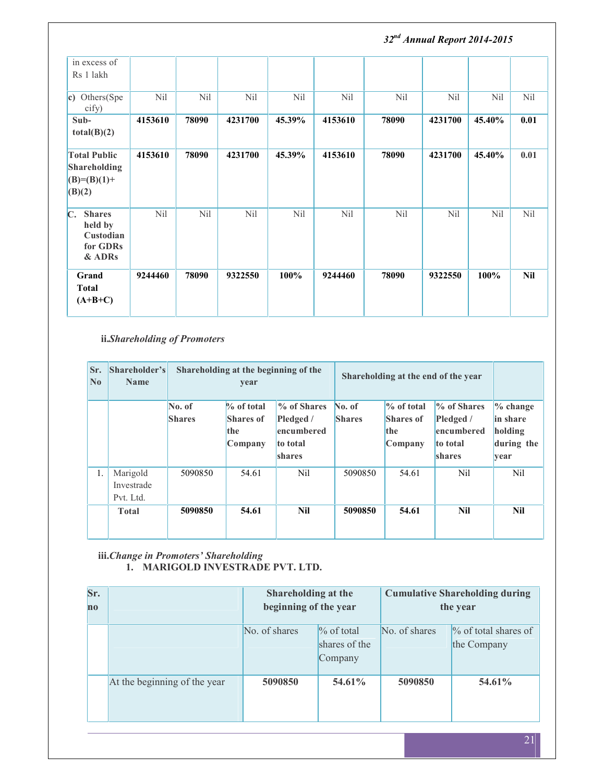*32nd Annual Report 2014-2015* in excess of Rs 1 lakh **c)** Others(Spe cify) Nil | Nil | Nil | Nil | Nil | Nil | Nil | Nil | **Subtotal(B)(2) 4153610 78090 4231700 45.39% 4153610 78090 4231700 45.40% 0.01 Total Public Shareholding (B)=(B)(1)+ (B)(2) 4153610 78090 4231700 45.39% 4153610 78090 4231700 45.40% 0.01 C. Shares held by Custodian for GDRs & ADRs** Nil | Nil | Nil | Nil | Nil | Nil | Nil | Nil | Grand 9244460 **Total (A+B+C) 9244460 78090 9322550 100% 9244460 78090 9322550 100% Nil**

**ii.***Shareholding of Promoters*

| Sr.<br>$\overline{\mathbf{N}}$ o | Shareholder's<br><b>Name</b>        |                         | Shareholding at the beginning of the<br>year        |                                                                     | Shareholding at the end of the year |                                                     |                                                                     |                                                                 |
|----------------------------------|-------------------------------------|-------------------------|-----------------------------------------------------|---------------------------------------------------------------------|-------------------------------------|-----------------------------------------------------|---------------------------------------------------------------------|-----------------------------------------------------------------|
|                                  |                                     | No. of<br><b>Shares</b> | $\%$ of total<br><b>Shares of</b><br>the<br>Company | % of Shares<br>Pledged /<br>encumbered<br>to total<br><b>shares</b> | No. of<br><b>Shares</b>             | $\%$ of total<br><b>Shares of</b><br>the<br>Company | % of Shares<br>Pledged /<br>encumbered<br>to total<br><b>shares</b> | $\%$ change<br>in share<br>holding<br>during the<br><b>vear</b> |
| 1.                               | Marigold<br>Investrade<br>Pvt. Ltd. | 5090850                 | 54.61                                               | Nil                                                                 | 5090850                             | 54.61                                               | Nil                                                                 | Nil                                                             |
|                                  | <b>Total</b>                        | 5090850                 | 54.61                                               | Nil                                                                 | 5090850                             | 54.61                                               | Nil                                                                 | <b>Nil</b>                                                      |

**iii.***Change in Promoters' Shareholding* **1. MARIGOLD INVESTRADE PVT. LTD.**

| Sr.<br>$\bf{no}$ |                              | Shareholding at the<br>beginning of the year |                                           | <b>Cumulative Shareholding during</b><br>the year |                                        |  |
|------------------|------------------------------|----------------------------------------------|-------------------------------------------|---------------------------------------------------|----------------------------------------|--|
|                  |                              | No. of shares                                | $\%$ of total<br>shares of the<br>Company | No. of shares                                     | $\%$ of total shares of<br>the Company |  |
|                  | At the beginning of the year | 5090850                                      | 54.61%                                    | 5090850                                           | 54.61%                                 |  |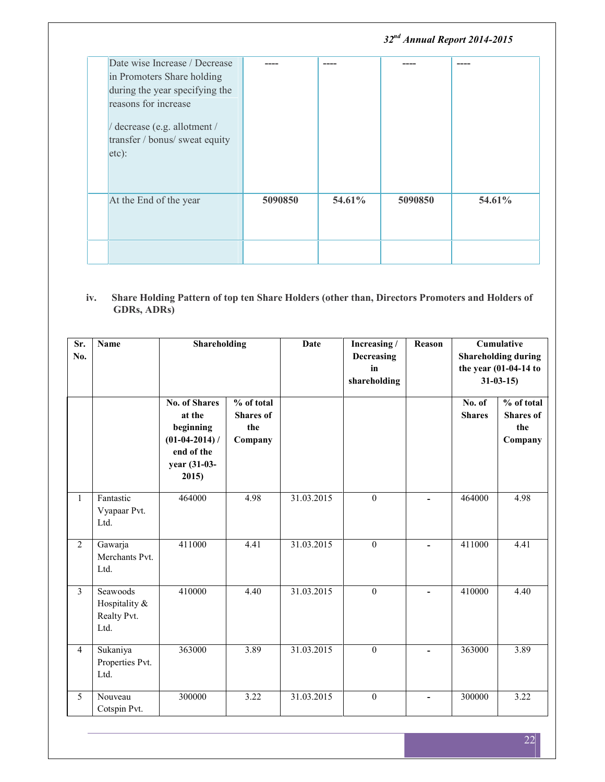|                                                                                                                                                                                                  |         |        | 32 <sup>nd</sup> Annual Report 2014-2015 |        |
|--------------------------------------------------------------------------------------------------------------------------------------------------------------------------------------------------|---------|--------|------------------------------------------|--------|
| Date wise Increase / Decrease<br>in Promoters Share holding<br>during the year specifying the<br>reasons for increase<br>/ decrease (e.g. allotment /<br>transfer / bonus/ sweat equity<br>etc): |         | ----   | ----                                     | ----   |
| At the End of the year                                                                                                                                                                           | 5090850 | 54.61% | 5090850                                  | 54.61% |
|                                                                                                                                                                                                  |         |        |                                          |        |

#### **iv. Share Holding Pattern of top ten Share Holders (other than, Directors Promoters and Holders of GDRs, ADRs)**

| Sr.<br>No.     | <b>Name</b>                                      | Shareholding                                                                                           |                                                  | Date       | Increasing /<br>Decreasing<br>in<br>shareholding | Reason                   | <b>Cumulative</b><br><b>Shareholding during</b><br>the year (01-04-14 to<br>$31 - 03 - 15$ |                                                  |
|----------------|--------------------------------------------------|--------------------------------------------------------------------------------------------------------|--------------------------------------------------|------------|--------------------------------------------------|--------------------------|--------------------------------------------------------------------------------------------|--------------------------------------------------|
|                |                                                  | <b>No. of Shares</b><br>at the<br>beginning<br>$(01-04-2014)$ /<br>end of the<br>year (31-03-<br>2015) | % of total<br><b>Shares</b> of<br>the<br>Company |            |                                                  |                          | No. of<br><b>Shares</b>                                                                    | % of total<br><b>Shares</b> of<br>the<br>Company |
| $\mathbf{1}$   | Fantastic<br>Vyapaar Pvt.<br>Ltd.                | 464000                                                                                                 | 4.98                                             | 31.03.2015 | $\boldsymbol{0}$                                 | $\blacksquare$           | 464000                                                                                     | 4.98                                             |
| $\overline{2}$ | Gawarja<br>Merchants Pvt.<br>Ltd.                | 411000                                                                                                 | 4.41                                             | 31.03.2015 | $\mathbf{0}$                                     |                          | 411000                                                                                     | 4.41                                             |
| $\overline{3}$ | Seawoods<br>Hospitality &<br>Realty Pvt.<br>Ltd. | 410000                                                                                                 | 4.40                                             | 31.03.2015 | $\mathbf{0}$                                     | $\overline{\phantom{a}}$ | 410000                                                                                     | 4.40                                             |
| $\overline{4}$ | Sukaniya<br>Properties Pvt.<br>Ltd.              | 363000                                                                                                 | 3.89                                             | 31.03.2015 | $\mathbf{0}$                                     | $\blacksquare$           | 363000                                                                                     | 3.89                                             |
| 5              | Nouveau<br>Cotspin Pvt.                          | 300000                                                                                                 | 3.22                                             | 31.03.2015 | $\theta$                                         | $\overline{a}$           | 300000                                                                                     | 3.22                                             |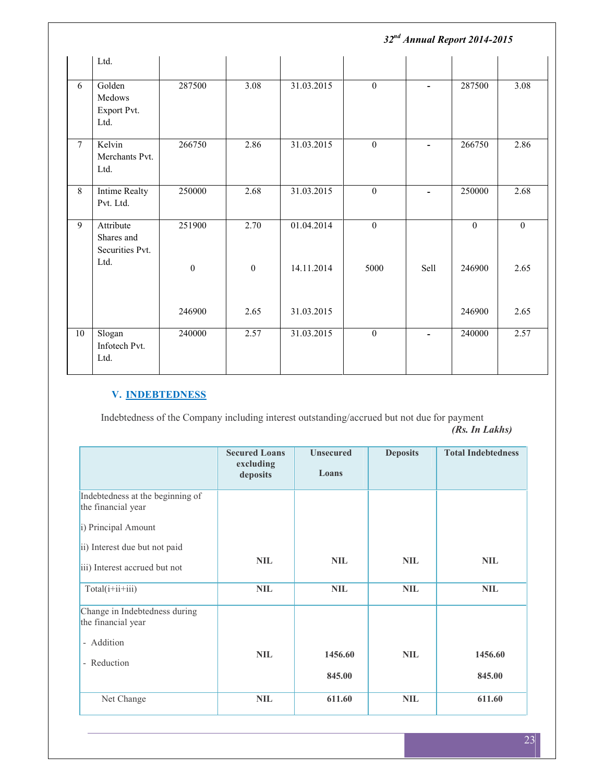|                 |                                            | 32 <sup>nd</sup> Annual Report 2014-2015 |                   |            |                  |                          |                  |                   |
|-----------------|--------------------------------------------|------------------------------------------|-------------------|------------|------------------|--------------------------|------------------|-------------------|
|                 | Ltd.                                       |                                          |                   |            |                  |                          |                  |                   |
| $\overline{6}$  | Golden<br>Medows<br>Export Pvt.<br>Ltd.    | 287500                                   | $\overline{3.08}$ | 31.03.2015 | $\boldsymbol{0}$ | $\blacksquare$           | 287500           | $\overline{3.08}$ |
| $7\overline{ }$ | Kelvin<br>Merchants Pvt.<br>Ltd.           | 266750                                   | 2.86              | 31.03.2015 | $\boldsymbol{0}$ | $\overline{\phantom{a}}$ | 266750           | 2.86              |
| 8               | Intime Realty<br>Pvt. Ltd.                 | 250000                                   | 2.68              | 31.03.2015 | $\boldsymbol{0}$ | $\blacksquare$           | 250000           | 2.68              |
| 9               | Attribute<br>Shares and<br>Securities Pvt. | 251900                                   | 2.70              | 01.04.2014 | $\boldsymbol{0}$ |                          | $\boldsymbol{0}$ | $\mathbf{0}$      |
|                 | Ltd.                                       | $\boldsymbol{0}$                         | $\boldsymbol{0}$  | 14.11.2014 | 5000             | Sell                     | 246900           | 2.65              |
|                 |                                            | 246900                                   | 2.65              | 31.03.2015 |                  |                          | 246900           | 2.65              |
| 10              | Slogan<br>Infotech Pvt.<br>Ltd.            | 240000                                   | 2.57              | 31.03.2015 | $\boldsymbol{0}$ | $\blacksquare$           | 240000           | 2.57              |

## **V. INDEBTEDNESS**

Indebtedness of the Company including interest outstanding/accrued but not due for payment *(Rs. In Lakhs)*

|                                                        | <b>Secured Loans</b><br>excluding<br>deposits | <b>Unsecured</b><br>Loans | <b>Deposits</b> | <b>Total Indebtedness</b> |
|--------------------------------------------------------|-----------------------------------------------|---------------------------|-----------------|---------------------------|
| Indebtedness at the beginning of<br>the financial year |                                               |                           |                 |                           |
| i) Principal Amount                                    |                                               |                           |                 |                           |
| ii) Interest due but not paid                          |                                               |                           |                 |                           |
| iii) Interest accrued but not                          | <b>NIL</b>                                    | <b>NIL</b>                | <b>NIL</b>      | <b>NIL</b>                |
| $Total(i+ii+iii)$                                      | <b>NIL</b>                                    | <b>NIL</b>                | <b>NIL</b>      | <b>NIL</b>                |
| Change in Indebtedness during<br>the financial year    |                                               |                           |                 |                           |
| - Addition                                             |                                               |                           |                 |                           |
| - Reduction                                            | <b>NIL</b>                                    | 1456.60                   | <b>NIL</b>      | 1456.60                   |
|                                                        |                                               | 845.00                    |                 | 845.00                    |
| Net Change                                             | <b>NIL</b>                                    | 611.60                    | <b>NIL</b>      | 611.60                    |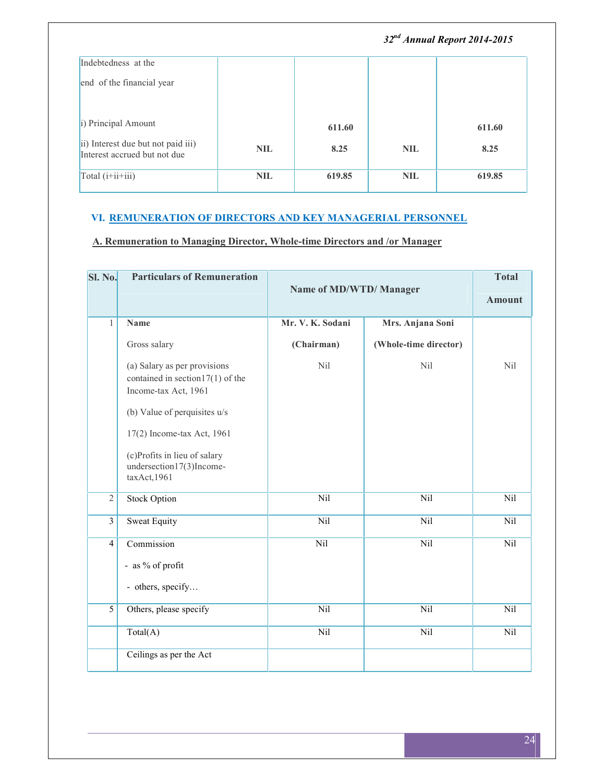|                                                                    |            |        |            | 32 <sup>nd</sup> Annual Report 2014-2015 |
|--------------------------------------------------------------------|------------|--------|------------|------------------------------------------|
| Indebtedness at the                                                |            |        |            |                                          |
| end of the financial year                                          |            |        |            |                                          |
| i) Principal Amount                                                |            | 611.60 |            | 611.60                                   |
| ii) Interest due but not paid iii)<br>Interest accrued but not due | <b>NIL</b> | 8.25   | <b>NIL</b> | 8.25                                     |
| Total $(i+i i+i i)$                                                | <b>NIL</b> | 619.85 | <b>NIL</b> | 619.85                                   |

## **VI. REMUNERATION OF DIRECTORS AND KEY MANAGERIAL PERSONNEL**

## **A. Remuneration to Managing Director, Whole-time Directors and /or Manager**

| Sl. No.        | <b>Particulars of Remuneration</b>                                                                                                                                                                                                    | Name of MD/WTD/ Manager |                       | <b>Total</b><br><b>Amount</b> |
|----------------|---------------------------------------------------------------------------------------------------------------------------------------------------------------------------------------------------------------------------------------|-------------------------|-----------------------|-------------------------------|
| $\mathbf{1}$   | <b>Name</b>                                                                                                                                                                                                                           | Mr. V. K. Sodani        | Mrs. Anjana Soni      |                               |
|                | Gross salary                                                                                                                                                                                                                          | (Chairman)              | (Whole-time director) |                               |
|                | (a) Salary as per provisions<br>contained in section $17(1)$ of the<br>Income-tax Act, 1961<br>(b) Value of perquisites u/s<br>17(2) Income-tax Act, 1961<br>(c)Profits in lieu of salary<br>undersection17(3)Income-<br>taxAct, 1961 | Nil                     | Nil                   | <b>Nil</b>                    |
| $\overline{2}$ | <b>Stock Option</b>                                                                                                                                                                                                                   | Nil                     | Nil                   | Nil                           |
| $\overline{3}$ | <b>Sweat Equity</b>                                                                                                                                                                                                                   | Nil                     | Nil                   | Nil                           |
| $\overline{4}$ | Commission<br>- as % of profit<br>- others, specify                                                                                                                                                                                   | Nil                     | Nil                   | Nil                           |
| $\overline{5}$ | Others, please specify                                                                                                                                                                                                                | Nil                     | Nil                   | Nil                           |
|                | Total(A)                                                                                                                                                                                                                              | Nil                     | Nil                   | Nil                           |
|                | Ceilings as per the Act                                                                                                                                                                                                               |                         |                       |                               |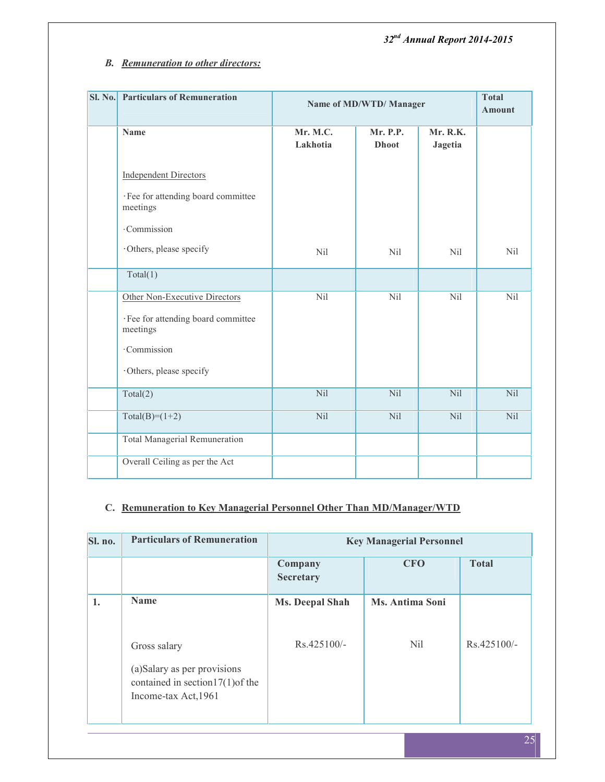## *B. Remuneration to other directors:*

| SI. No. | <b>Particulars of Remuneration</b>              |                      | Name of MD/WTD/ Manager  |                            | <b>Total</b><br><b>Amount</b> |
|---------|-------------------------------------------------|----------------------|--------------------------|----------------------------|-------------------------------|
|         | <b>Name</b>                                     | Mr. M.C.<br>Lakhotia | Mr. P.P.<br><b>Dhoot</b> | Mr. R.K.<br><b>Jagetia</b> |                               |
|         | <b>Independent Directors</b>                    |                      |                          |                            |                               |
|         | · Fee for attending board committee<br>meetings |                      |                          |                            |                               |
|         | ·Commission                                     |                      |                          |                            |                               |
|         | Others, please specify                          | <b>Nil</b>           | <b>Nil</b>               | <b>Nil</b>                 | Nil                           |
|         | Total(1)                                        |                      |                          |                            |                               |
|         | Other Non-Executive Directors                   | Nil                  | Nil                      | Nil                        | Nil                           |
|         | · Fee for attending board committee<br>meetings |                      |                          |                            |                               |
|         | ·Commission                                     |                      |                          |                            |                               |
|         | Others, please specify                          |                      |                          |                            |                               |
|         | Total(2)                                        | Nil                  | N <sub>il</sub>          | N <sub>il</sub>            | Nil                           |
|         | $Total(B)=(1+2)$                                | Nil                  | Nil                      | Nil                        | Nil                           |
|         | <b>Total Managerial Remuneration</b>            |                      |                          |                            |                               |
|         | Overall Ceiling as per the Act                  |                      |                          |                            |                               |

## **C. Remuneration to Key Managerial Personnel Other Than MD/Manager/WTD**

| <b>Particulars of Remuneration</b>                                                                         | <b>Key Managerial Personnel</b> |                 |               |  |  |  |
|------------------------------------------------------------------------------------------------------------|---------------------------------|-----------------|---------------|--|--|--|
|                                                                                                            | Company<br>Secretary            | <b>CFO</b>      | <b>Total</b>  |  |  |  |
| <b>Name</b>                                                                                                | <b>Ms. Deepal Shah</b>          | Ms. Antima Soni |               |  |  |  |
| Gross salary<br>(a)Salary as per provisions<br>contained in section $17(1)$ of the<br>Income-tax Act, 1961 | $Rs.425100/-$                   | <b>Nil</b>      | $Rs.425100/-$ |  |  |  |
|                                                                                                            |                                 |                 |               |  |  |  |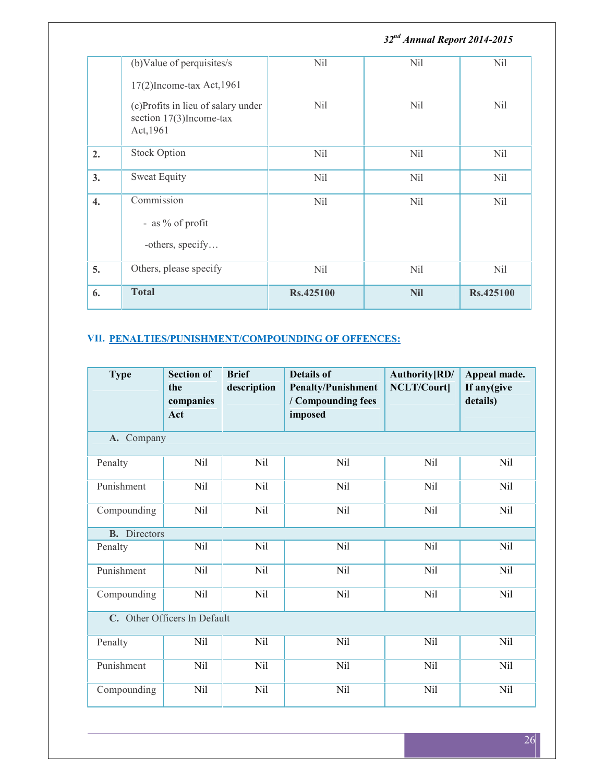|                  |                                                                               |                 | 32 <sup>nd</sup> Annual Report 2014-2015 |                 |  |
|------------------|-------------------------------------------------------------------------------|-----------------|------------------------------------------|-----------------|--|
|                  | (b) Value of perquisites/s                                                    | Nil             | <b>Nil</b>                               | Nil             |  |
|                  | $17(2)$ Income-tax Act, 1961                                                  |                 |                                          |                 |  |
|                  | (c)Profits in lieu of salary under<br>section $17(3)$ Income-tax<br>Act, 1961 | Nil             | Nil                                      | N <sub>il</sub> |  |
| 2.               | <b>Stock Option</b>                                                           | N <sub>il</sub> | <b>Nil</b>                               | <b>Nil</b>      |  |
| 3.               | <b>Sweat Equity</b>                                                           | N <sub>il</sub> | <b>Nil</b>                               | Nil             |  |
| $\overline{4}$ . | Commission<br>- as % of profit<br>-others, specify                            | Nil             | <b>Nil</b>                               | N <sub>il</sub> |  |
| 5.               | Others, please specify                                                        | <b>Nil</b>      | <b>Nil</b>                               | Nil             |  |
| 6.               | <b>Total</b>                                                                  | Rs.425100       | <b>Nil</b>                               | Rs.425100       |  |

## **VII. PENALTIES/PUNISHMENT/COMPOUNDING OF OFFENCES:**

| <b>Type</b>         | <b>Section of</b><br>the<br>companies<br>Act | <b>Brief</b><br>description | <b>Details of</b><br><b>Penalty/Punishment</b><br>/ Compounding fees<br>imposed | Authority [RD/<br><b>NCLT/Court]</b> | Appeal made.<br>If any(give<br>details) |
|---------------------|----------------------------------------------|-----------------------------|---------------------------------------------------------------------------------|--------------------------------------|-----------------------------------------|
| A. Company          |                                              |                             |                                                                                 |                                      |                                         |
| Penalty             | <b>Nil</b>                                   | Nil                         | Nil                                                                             | Nil                                  | Nil                                     |
| Punishment          | <b>Nil</b>                                   | Nil                         | Nil                                                                             | Nil                                  | <b>Nil</b>                              |
| Compounding         | Nil                                          | Nil                         | Nil                                                                             | Nil                                  | Nil                                     |
| <b>B.</b> Directors |                                              |                             |                                                                                 |                                      |                                         |
| Penalty             | <b>Nil</b>                                   | Nil                         | Nil                                                                             | Nil                                  | Nil                                     |
| Punishment          | <b>Nil</b>                                   | Nil                         | Nil                                                                             | Nil                                  | Nil                                     |
| Compounding         | Nil                                          | Nil                         | Nil                                                                             | Nil                                  | Nil                                     |
|                     | C. Other Officers In Default                 |                             |                                                                                 |                                      |                                         |
| Penalty             | Nil                                          | Nil                         | Nil                                                                             | Nil                                  | Nil                                     |
| Punishment          | Nil                                          | Nil                         | Nil                                                                             | Nil                                  | Nil                                     |
| Compounding         | Nil                                          | Nil                         | Nil                                                                             | Nil                                  | <b>Nil</b>                              |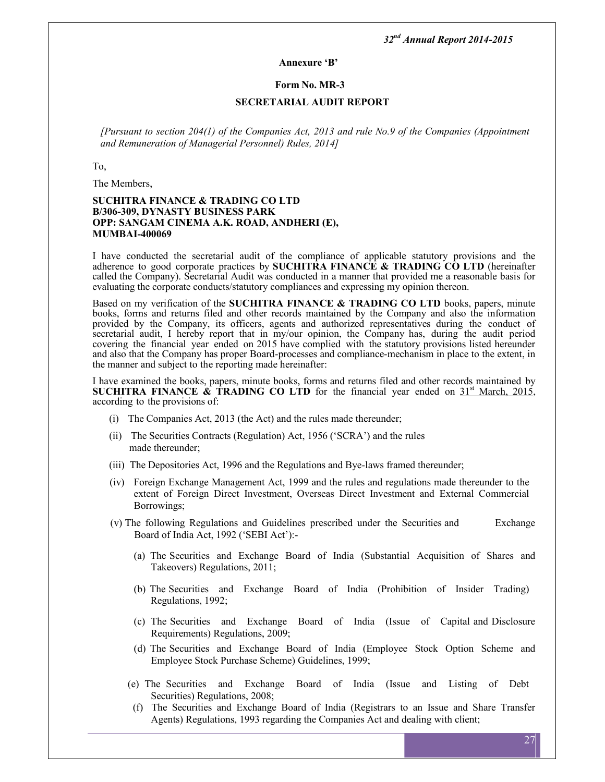#### **Annexure 'B'**

#### **Form No. MR-3**

#### **SECRETARIAL AUDIT REPORT**

*[Pursuant to section 204(1) of the Companies Act, 2013 and rule No.9 of the Companies (Appointment and Remuneration of Managerial Personnel) Rules, 2014]*

To,

The Members,

#### **SUCHITRA FINANCE & TRADING CO LTD B/306-309, DYNASTY BUSINESS PARK OPP: SANGAM CINEMA A.K. ROAD, ANDHERI (E), MUMBAI-400069**

I have conducted the secretarial audit of the compliance of applicable statutory provisions and the adherence to good corporate practices by **SUCHITRA FINANCE** & TRADING CO LTD (hereinafter called the Company). Secretarial Audit was conducted in a manner that provided me a reasonable basis for evaluating the corporate conducts/statutory compliances and expressing my opinion thereon.

Based on my verification of the **SUCHITRA FINANCE & TRADING CO LTD** books, papers, minute books, forms and returns filed and other records maintained by the Company and also the information provided by the Company, its officers, agents and authorized representatives during the conduct of secretarial audit, I hereby report that in my/our opinion, the Company has, during the audit period covering the financial year ended on 2015 have complied with the statutory provisions listed hereunder and also that the Company has proper Board-processes and compliance-mechanism in place to the extent, in the manner and subject to the reporting made hereinafter:

I have examined the books, papers, minute books, forms and returns filed and other records maintained by **SUCHITRA FINANCE**  $\hat{\mathbf{x}}$  **TRADING CO LTD** for the financial year ended on  $31^{\text{st}}$  March, 2015, according to the provisions of:

- (i) The Companies Act, 2013 (the Act) and the rules made thereunder;
- (ii) The Securities Contracts (Regulation) Act, 1956 ('SCRA') and the rules made thereunder;
- (iii) The Depositories Act, 1996 and the Regulations and Bye-laws framed thereunder;
- (iv) Foreign Exchange Management Act, 1999 and the rules and regulations made thereunder to the extent of Foreign Direct Investment, Overseas Direct Investment and External Commercial Borrowings;
- (v) The following Regulations and Guidelines prescribed under the Securities and Exchange Board of India Act, 1992 ('SEBI Act'):-
	- (a) The Securities and Exchange Board of India (Substantial Acquisition of Shares and Takeovers) Regulations, 2011;
	- (b) The Securities and Exchange Board of India (Prohibition of Insider Trading) Regulations, 1992;
	- (c) The Securities and Exchange Board of India (Issue of Capital and Disclosure Requirements) Regulations, 2009;
	- (d) The Securities and Exchange Board of India (Employee Stock Option Scheme and Employee Stock Purchase Scheme) Guidelines, 1999;
	- (e) The Securities and Exchange Board of India (Issue and Listing of Debt Securities) Regulations, 2008;
	- (f) The Securities and Exchange Board of India (Registrars to an Issue and Share Transfer Agents) Regulations, 1993 regarding the Companies Act and dealing with client;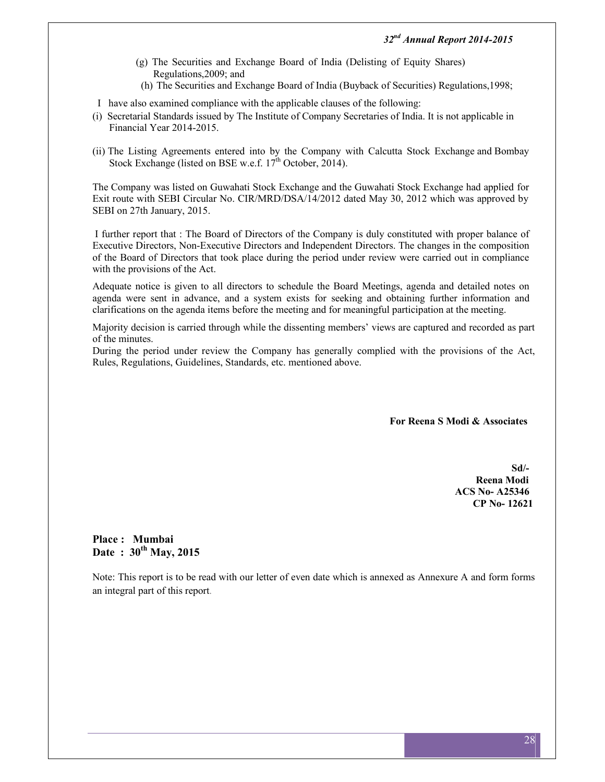- (g) The Securities and Exchange Board of India (Delisting of Equity Shares) Regulations,2009; and
- (h) The Securities and Exchange Board of India (Buyback of Securities) Regulations,1998;
- I have also examined compliance with the applicable clauses of the following:
- (i) Secretarial Standards issued by The Institute of Company Secretaries of India. It is not applicable in Financial Year 2014-2015.
- (ii) The Listing Agreements entered into by the Company with Calcutta Stock Exchange and Bombay Stock Exchange (listed on BSE w.e.f. 17<sup>th</sup> October, 2014).

The Company was listed on Guwahati Stock Exchange and the Guwahati Stock Exchange had applied for Exit route with SEBI Circular No. CIR/MRD/DSA/14/2012 dated May 30, 2012 which was approved by SEBI on 27th January, 2015.

I further report that : The Board of Directors of the Company is duly constituted with proper balance of Executive Directors, Non-Executive Directors and Independent Directors. The changes in the composition of the Board of Directors that took place during the period under review were carried out in compliance with the provisions of the Act.

Adequate notice is given to all directors to schedule the Board Meetings, agenda and detailed notes on agenda were sent in advance, and a system exists for seeking and obtaining further information and clarifications on the agenda items before the meeting and for meaningful participation at the meeting.

Majority decision is carried through while the dissenting members' views are captured and recorded as part of the minutes.

During the period under review the Company has generally complied with the provisions of the Act, Rules, Regulations, Guidelines, Standards, etc. mentioned above.

**For Reena S Modi & Associates**

**Sd/- Reena Modi ACS No- A25346 CP No- 12621**

**Place : Mumbai Date : 30th May, 2015**

Note: This report is to be read with our letter of even date which is annexed as Annexure A and form forms an integral part of this report*.*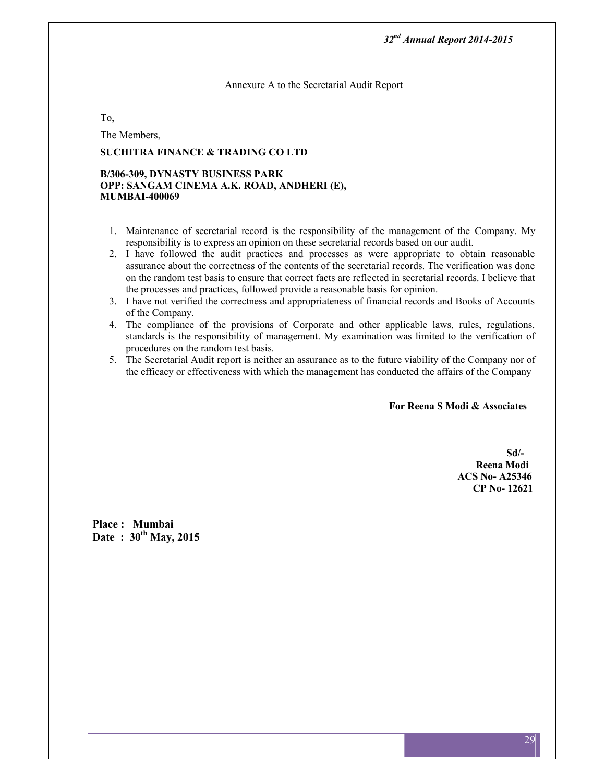Annexure A to the Secretarial Audit Report

To,

The Members,

## **SUCHITRA FINANCE & TRADING CO LTD**

#### **B/306-309, DYNASTY BUSINESS PARK OPP: SANGAM CINEMA A.K. ROAD, ANDHERI (E), MUMBAI-400069**

- 1. Maintenance of secretarial record is the responsibility of the management of the Company. My responsibility is to express an opinion on these secretarial records based on our audit.
- 2. I have followed the audit practices and processes as were appropriate to obtain reasonable assurance about the correctness of the contents of the secretarial records. The verification was done on the random test basis to ensure that correct facts are reflected in secretarial records. I believe that the processes and practices, followed provide a reasonable basis for opinion.
- 3. I have not verified the correctness and appropriateness of financial records and Books of Accounts of the Company.
- 4. The compliance of the provisions of Corporate and other applicable laws, rules, regulations, standards is the responsibility of management. My examination was limited to the verification of procedures on the random test basis.
- 5. The Secretarial Audit report is neither an assurance as to the future viability of the Company nor of the efficacy or effectiveness with which the management has conducted the affairs of the Company

**For Reena S Modi & Associates**

**Sd/- Reena Modi ACS No- A25346 CP No- 12621**

**Place : Mumbai Date : 30th May, 2015**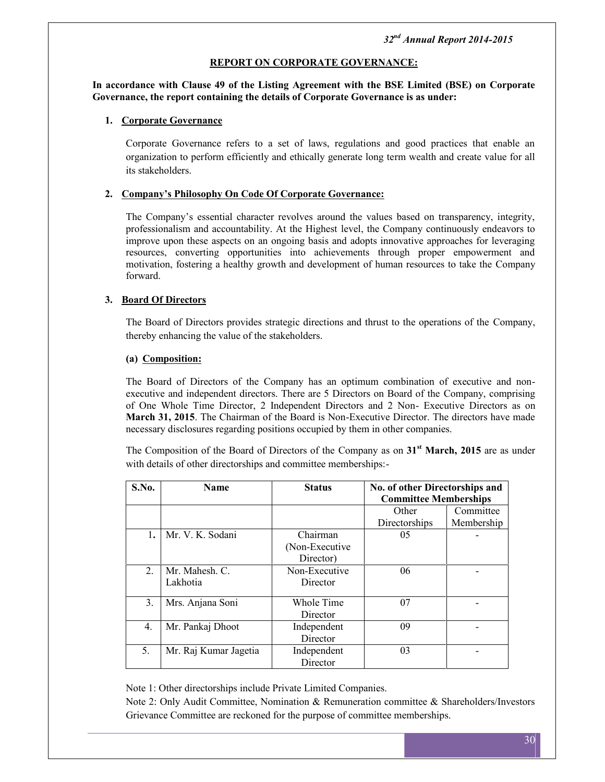## **REPORT ON CORPORATE GOVERNANCE:**

#### **In accordance with Clause 49 of the Listing Agreement with the BSE Limited (BSE) on Corporate Governance, the report containing the details of Corporate Governance is as under:**

## **1. Corporate Governance**

Corporate Governance refers to a set of laws, regulations and good practices that enable an organization to perform efficiently and ethically generate long term wealth and create value for all its stakeholders.

#### **2. Company's Philosophy On Code Of Corporate Governance:**

The Company's essential character revolves around the values based on transparency, integrity, professionalism and accountability. At the Highest level, the Company continuously endeavors to improve upon these aspects on an ongoing basis and adopts innovative approaches for leveraging resources, converting opportunities into achievements through proper empowerment and motivation, fostering a healthy growth and development of human resources to take the Company forward.

## **3. Board Of Directors**

The Board of Directors provides strategic directions and thrust to the operations of the Company, thereby enhancing the value of the stakeholders.

## **(a) Composition:**

The Board of Directors of the Company has an optimum combination of executive and non executive and independent directors. There are 5 Directors on Board of the Company, comprising of One Whole Time Director, 2 Independent Directors and 2 Non- Executive Directors as on **March 31, 2015**. The Chairman of the Board is Non-Executive Director. The directors have made necessary disclosures regarding positions occupied by them in other companies.

The Composition of the Board of Directors of the Company as on **31st March, 2015** are as under with details of other directorships and committee memberships:-

| S.No.       | <b>Name</b>           | <b>Status</b>   | No. of other Directorships and<br><b>Committee Memberships</b> |            |  |
|-------------|-----------------------|-----------------|----------------------------------------------------------------|------------|--|
|             |                       |                 | Other                                                          | Committee  |  |
|             |                       |                 | Directorships                                                  | Membership |  |
| 1.          | Mr. V. K. Sodani      | Chairman        | 05                                                             |            |  |
|             |                       | (Non-Executive) |                                                                |            |  |
|             |                       | Director)       |                                                                |            |  |
| $2_{\cdot}$ | Mr. Mahesh. C.        | Non-Executive   | 06                                                             |            |  |
|             | Lakhotia              | Director        |                                                                |            |  |
| 3.          | Mrs. Anjana Soni      | Whole Time      | 07                                                             |            |  |
|             |                       | Director        |                                                                |            |  |
| 4.          | Mr. Pankaj Dhoot      | Independent     | 09                                                             |            |  |
|             |                       | Director        |                                                                |            |  |
| 5.          | Mr. Raj Kumar Jagetia | Independent     | 03                                                             |            |  |
|             |                       | Director        |                                                                |            |  |

Note 1: Other directorships include Private Limited Companies.

Note 2: Only Audit Committee, Nomination & Remuneration committee & Shareholders/Investors Grievance Committee are reckoned for the purpose of committee memberships.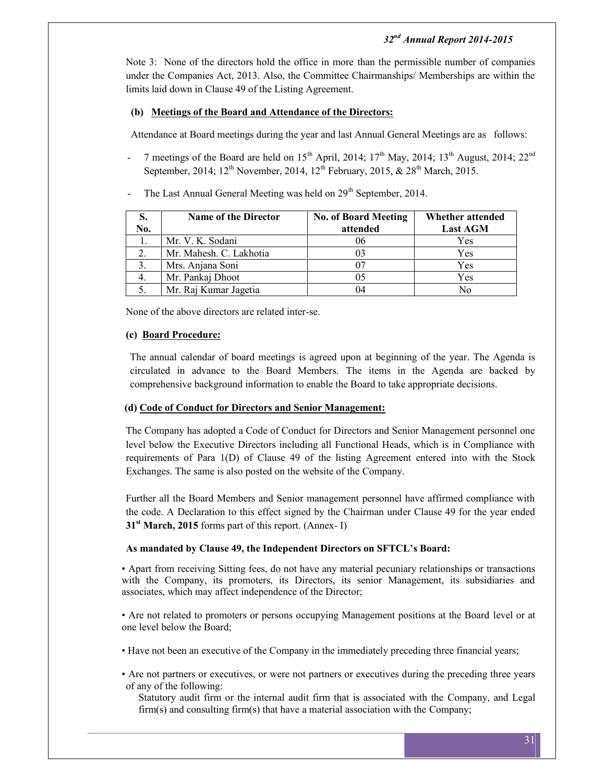Note 3: None of the directors hold the office in more than the permissible number of companies under the Companies Act, 2013. Also, the Committee Chairmanships/ Memberships are within the limits laid down in Clause 49 of the Listing Agreement.

## **(b) Meetings of the Board and Attendance of the Directors:**

Attendance at Board meetings during the year and last Annual General Meetings are as follows:

- 7 meetings of the Board are held on  $15<sup>th</sup>$  April, 2014;  $17<sup>th</sup>$  May, 2014;  $13<sup>th</sup>$  August, 2014;  $22<sup>nd</sup>$ September, 2014;  $12^{th}$  November, 2014,  $12^{th}$  February, 2015, &  $28^{th}$  March, 2015.
- The Last Annual General Meeting was held on 29<sup>th</sup> September, 2014.

| S.<br>No. | <b>Name of the Director</b> | <b>No. of Board Meeting</b><br>attended | Whether attended<br><b>Last AGM</b> |
|-----------|-----------------------------|-----------------------------------------|-------------------------------------|
|           | Mr. V. K. Sodani            | 06                                      | Yes                                 |
| 2.        | Mr. Mahesh. C. Lakhotia     | 03                                      | Yes                                 |
|           | Mrs. Anjana Soni            | 07                                      | Yes                                 |
| 4.        | Mr. Pankaj Dhoot            | 05                                      | Yes                                 |
|           | Mr. Raj Kumar Jagetia       | 04                                      | Nο                                  |

None of the above directors are related inter-se.

## **(c) Board Procedure:**

The annual calendar of board meetings is agreed upon at beginning of the year. The Agenda is circulated in advance to the Board Members. The items in the Agenda are backed by comprehensive background information to enable the Board to take appropriate decisions.

## **(d) Code of Conduct for Directors and Senior Management:**

The Company has adopted a Code of Conduct for Directors and Senior Management personnel one level below the Executive Directors including all Functional Heads, which is in Compliance with requirements of Para 1(D) of Clause 49 of the listing Agreement entered into with the Stock Exchanges. The same is also posted on the website of the Company.

Further all the Board Members and Senior management personnel have affirmed compliance with the code. A Declaration to this effect signed by the Chairman under Clause 49 for the year ended **31st March, 2015** forms part of this report. (Annex- I)

## **As mandated by Clause 49, the Independent Directors on SFTCL's Board:**

• Apart from receiving Sitting fees, do not have any material pecuniary relationships or transactions with the Company, its promoters, its Directors, its senior Management, its subsidiaries and associates, which may affect independence of the Director;

• Are not related to promoters or persons occupying Management positions at the Board level or at one level below the Board;

- Have not been an executive of the Company in the immediately preceding three financial years;
- Are not partners or executives, or were not partners or executives during the preceding three years of any of the following:

Statutory audit firm or the internal audit firm that is associated with the Company, and Legal firm(s) and consulting firm(s) that have a material association with the Company;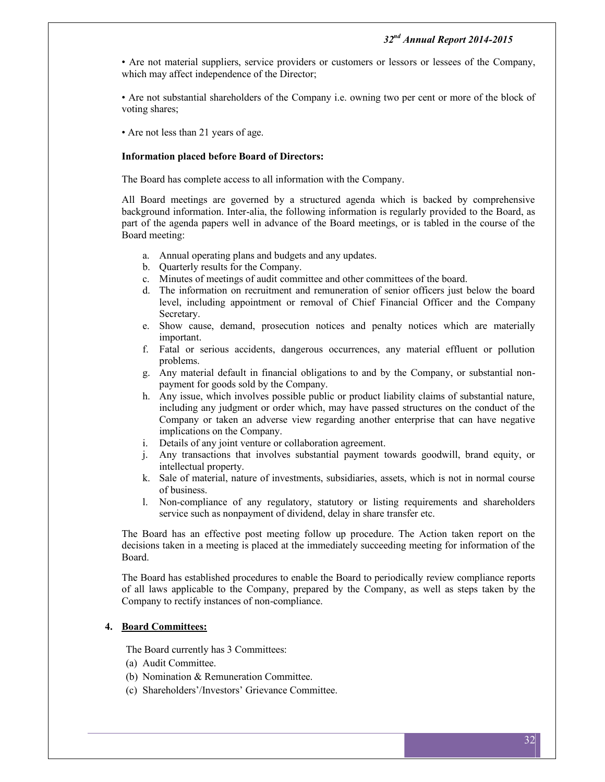• Are not material suppliers, service providers or customers or lessors or lessees of the Company, which may affect independence of the Director;

• Are not substantial shareholders of the Company i.e. owning two per cent or more of the block of voting shares;

• Are not less than 21 years of age.

#### **Information placed before Board of Directors:**

The Board has complete access to all information with the Company.

All Board meetings are governed by a structured agenda which is backed by comprehensive background information. Inter-alia, the following information is regularly provided to the Board, as part of the agenda papers well in advance of the Board meetings, or is tabled in the course of the Board meeting:

- a. Annual operating plans and budgets and any updates.
- b. Quarterly results for the Company.
- c. Minutes of meetings of audit committee and other committees of the board.
- d. The information on recruitment and remuneration of senior officers just below the board level, including appointment or removal of Chief Financial Officer and the Company Secretary.
- e. Show cause, demand, prosecution notices and penalty notices which are materially important.
- f. Fatal or serious accidents, dangerous occurrences, any material effluent or pollution problems.
- g. Any material default in financial obligations to and by the Company, or substantial non payment for goods sold by the Company.
- h. Any issue, which involves possible public or product liability claims of substantial nature, including any judgment or order which, may have passed structures on the conduct of the Company or taken an adverse view regarding another enterprise that can have negative implications on the Company.
- i. Details of any joint venture or collaboration agreement.
- j. Any transactions that involves substantial payment towards goodwill, brand equity, or intellectual property.
- k. Sale of material, nature of investments, subsidiaries, assets, which is not in normal course of business.
- l. Non-compliance of any regulatory, statutory or listing requirements and shareholders service such as nonpayment of dividend, delay in share transfer etc.

The Board has an effective post meeting follow up procedure. The Action taken report on the decisions taken in a meeting is placed at the immediately succeeding meeting for information of the Board.

The Board has established procedures to enable the Board to periodically review compliance reports of all laws applicable to the Company, prepared by the Company, as well as steps taken by the Company to rectify instances of non-compliance.

## **4. Board Committees:**

The Board currently has 3 Committees:

- (a) Audit Committee.
- (b) Nomination & Remuneration Committee.
- (c) Shareholders'/Investors' Grievance Committee.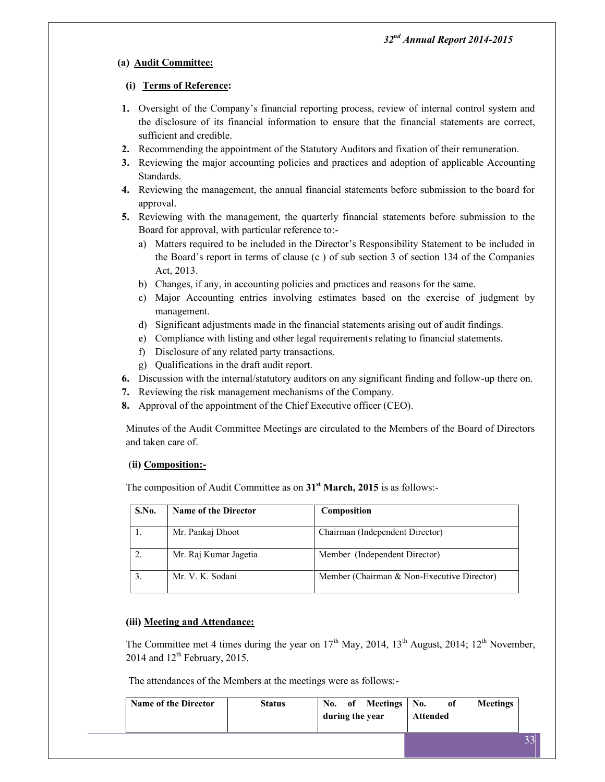## **(a) Audit Committee:**

## **(i) Terms of Reference:**

- **1.** Oversight of the Company's financial reporting process, review of internal control system and the disclosure of its financial information to ensure that the financial statements are correct, sufficient and credible.
- **2.** Recommending the appointment of the Statutory Auditors and fixation of their remuneration.
- **3.** Reviewing the major accounting policies and practices and adoption of applicable Accounting Standards.
- **4.** Reviewing the management, the annual financial statements before submission to the board for approval.
- **5.** Reviewing with the management, the quarterly financial statements before submission to the Board for approval, with particular reference to:
	- a) Matters required to be included in the Director's Responsibility Statement to be included in the Board's report in terms of clause (c ) of sub section 3 of section 134 of the Companies Act, 2013.
	- b) Changes, if any, in accounting policies and practices and reasons for the same.
	- c) Major Accounting entries involving estimates based on the exercise of judgment by management.
	- d) Significant adjustments made in the financial statements arising out of audit findings.
	- e) Compliance with listing and other legal requirements relating to financial statements.
	- f) Disclosure of any related party transactions.
	- g) Qualifications in the draft audit report.
- **6.** Discussion with the internal/statutory auditors on any significant finding and follow-up there on.
- **7.** Reviewing the risk management mechanisms of the Company.
- **8.** Approval of the appointment of the Chief Executive officer (CEO).

Minutes of the Audit Committee Meetings are circulated to the Members of the Board of Directors and taken care of.

## (**ii) Composition:-**

The composition of Audit Committee as on **31st March, 2015** is as follows:-

| S.No. | <b>Name of the Director</b> | Composition                                |
|-------|-----------------------------|--------------------------------------------|
|       | Mr. Pankaj Dhoot            | Chairman (Independent Director)            |
|       | Mr. Raj Kumar Jagetia       | Member (Independent Director)              |
|       | Mr. V. K. Sodani            | Member (Chairman & Non-Executive Director) |

## **(iii) Meeting and Attendance:**

The Committee met 4 times during the year on  $17<sup>th</sup>$  May, 2014,  $13<sup>th</sup>$  August, 2014;  $12<sup>th</sup>$  November, 2014 and  $12^{th}$  February, 2015.

The attendances of the Members at the meetings were as follows:-

| <b>Name of the Director</b> | <b>Status</b> | during the year | No. of Meetings No. | <b>Attended</b> | of | <b>Meetings</b> |  |
|-----------------------------|---------------|-----------------|---------------------|-----------------|----|-----------------|--|
|                             |               |                 |                     |                 |    |                 |  |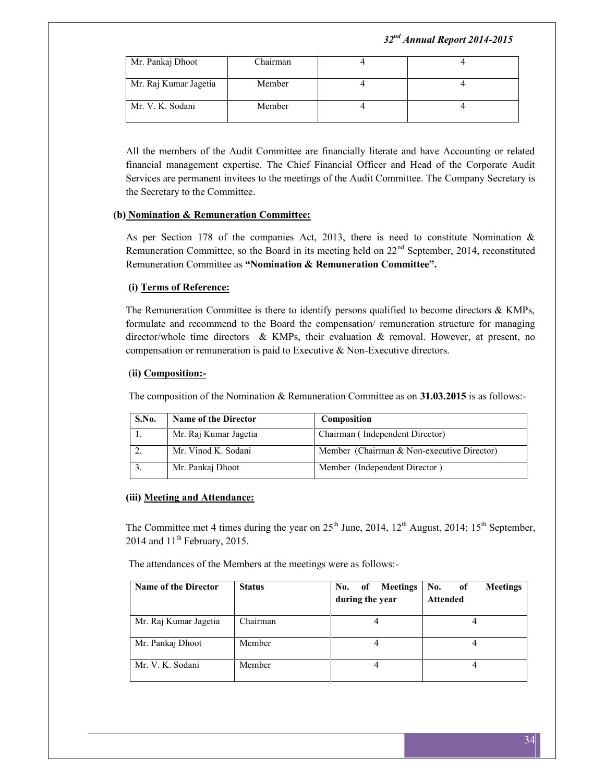| Mr. Pankaj Dhoot      | Chairman |  |
|-----------------------|----------|--|
| Mr. Raj Kumar Jagetia | Member   |  |
| Mr. V. K. Sodani      | Member   |  |

All the members of the Audit Committee are financially literate and have Accounting or related financial management expertise. The Chief Financial Officer and Head of the Corporate Audit Services are permanent invitees to the meetings of the Audit Committee. The Company Secretary is the Secretary to the Committee.

## **(b) Nomination & Remuneration Committee:**

As per Section 178 of the companies Act, 2013, there is need to constitute Nomination  $\&$ Remuneration Committee, so the Board in its meeting held on  $22<sup>nd</sup>$  September, 2014, reconstituted Remuneration Committee as **"Nomination & Remuneration Committee".**

#### **(i) Terms of Reference:**

The Remuneration Committee is there to identify persons qualified to become directors  $\&$  KMPs, formulate and recommend to the Board the compensation/ remuneration structure for managing director/whole time directors & KMPs, their evaluation & removal. However, at present, no compensation or remuneration is paid to Executive & Non-Executive directors.

#### (**ii) Composition:-**

The composition of the Nomination & Remuneration Committee as on **31.03.2015** is as follows:-

| S.No. | <b>Name of the Director</b> | Composition                                |
|-------|-----------------------------|--------------------------------------------|
|       | Mr. Raj Kumar Jagetia       | Chairman (Independent Director)            |
|       | Mr. Vinod K. Sodani         | Member (Chairman & Non-executive Director) |
|       | Mr. Pankaj Dhoot            | Member (Independent Director)              |

#### **(iii) Meeting and Attendance:**

The Committee met 4 times during the year on  $25<sup>th</sup>$  June, 2014, 12<sup>th</sup> August, 2014; 15<sup>th</sup> September, 2014 and  $11<sup>th</sup>$  February, 2015.

The attendances of the Members at the meetings were as follows:-

| <b>Name of the Director</b> | <b>Status</b> | No.<br>Meetings<br>of<br>during the year | No.<br><b>Meetings</b><br>of<br><b>Attended</b> |
|-----------------------------|---------------|------------------------------------------|-------------------------------------------------|
| Mr. Raj Kumar Jagetia       | Chairman      |                                          |                                                 |
| Mr. Pankaj Dhoot            | Member        |                                          |                                                 |
| Mr. V. K. Sodani            | Member        |                                          |                                                 |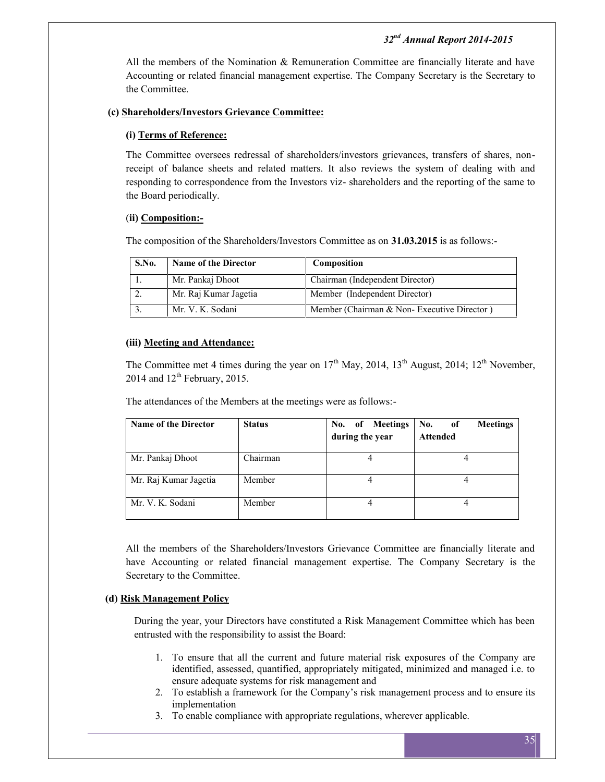All the members of the Nomination & Remuneration Committee are financially literate and have Accounting or related financial management expertise. The Company Secretary is the Secretary to the Committee.

## **(c) Shareholders/Investors Grievance Committee:**

#### **(i) Terms of Reference:**

The Committee oversees redressal of shareholders/investors grievances, transfers of shares, nonreceipt of balance sheets and related matters. It also reviews the system of dealing with and responding to correspondence from the Investors viz- shareholders and the reporting of the same to the Board periodically.

### (**ii) Composition:-**

The composition of the Shareholders/Investors Committee as on **31.03.2015** is as follows:-

| S.No. | <b>Name of the Director</b> | Composition                                |  |
|-------|-----------------------------|--------------------------------------------|--|
|       | Mr. Pankaj Dhoot            | Chairman (Independent Director)            |  |
|       | Mr. Raj Kumar Jagetia       | Member (Independent Director)              |  |
|       | Mr. V. K. Sodani            | Member (Chairman & Non-Executive Director) |  |

#### **(iii) Meeting and Attendance:**

The Committee met 4 times during the year on  $17<sup>th</sup>$  May, 2014,  $13<sup>th</sup>$  August, 2014;  $12<sup>th</sup>$  November,  $2014$  and  $12<sup>th</sup>$  February, 2015.

The attendances of the Members at the meetings were as follows:-

| <b>Name of the Director</b> | <b>Status</b> | No. of Meetings<br>during the year | No.<br><b>Meetings</b><br>of<br><b>Attended</b> |
|-----------------------------|---------------|------------------------------------|-------------------------------------------------|
| Mr. Pankaj Dhoot            | Chairman      | 4                                  |                                                 |
| Mr. Raj Kumar Jagetia       | Member        |                                    |                                                 |
| Mr. V. K. Sodani            | Member        | 4                                  |                                                 |

All the members of the Shareholders/Investors Grievance Committee are financially literate and have Accounting or related financial management expertise. The Company Secretary is the Secretary to the Committee.

## **(d) Risk Management Policy**

During the year, your Directors have constituted a Risk Management Committee which has been entrusted with the responsibility to assist the Board:

- 1. To ensure that all the current and future material risk exposures of the Company are identified, assessed, quantified, appropriately mitigated, minimized and managed i.e. to ensure adequate systems for risk management and
- 2. To establish a framework for the Company's risk management process and to ensure its implementation
- 3. To enable compliance with appropriate regulations, wherever applicable.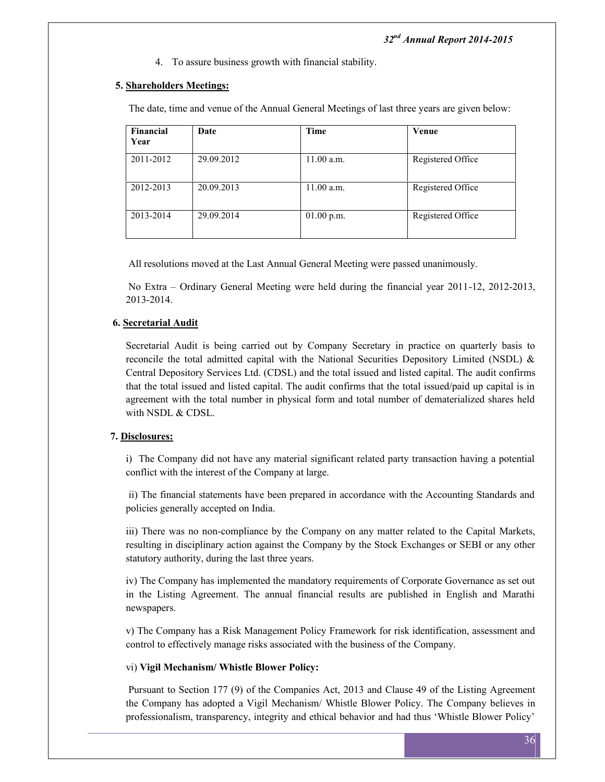4. To assure business growth with financial stability.

## **5. Shareholders Meetings:**

The date, time and venue of the Annual General Meetings of last three years are given below:

| Financial<br>Year | Date       | <b>Time</b>  | Venue             |
|-------------------|------------|--------------|-------------------|
| 2011-2012         | 29.09.2012 | 11.00 a.m.   | Registered Office |
| 2012-2013         | 20.09.2013 | 11.00 a.m.   | Registered Office |
| 2013-2014         | 29.09.2014 | $01.00$ p.m. | Registered Office |

All resolutions moved at the Last Annual General Meeting were passed unanimously.

No Extra – Ordinary General Meeting were held during the financial year 2011-12, 2012-2013, 2013-2014.

## **6. Secretarial Audit**

Secretarial Audit is being carried out by Company Secretary in practice on quarterly basis to reconcile the total admitted capital with the National Securities Depository Limited (NSDL)  $\&$ Central Depository Services Ltd. (CDSL) and the total issued and listed capital. The audit confirms that the total issued and listed capital. The audit confirms that the total issued/paid up capital is in agreement with the total number in physical form and total number of dematerialized shares held with NSDL & CDSL.

## **7. Disclosures:**

i) The Company did not have any material significant related party transaction having a potential conflict with the interest of the Company at large.

ii) The financial statements have been prepared in accordance with the Accounting Standards and policies generally accepted on India.

iii) There was no non-compliance by the Company on any matter related to the Capital Markets, resulting in disciplinary action against the Company by the Stock Exchanges or SEBI or any other statutory authority, during the last three years.

iv) The Company has implemented the mandatory requirements of Corporate Governance as set out in the Listing Agreement. The annual financial results are published in English and Marathi newspapers.

v) The Company has a Risk Management Policy Framework for risk identification, assessment and control to effectively manage risks associated with the business of the Company.

## vi) **Vigil Mechanism/ Whistle Blower Policy:**

Pursuant to Section 177 (9) of the Companies Act, 2013 and Clause 49 of the Listing Agreement the Company has adopted a Vigil Mechanism/ Whistle Blower Policy. The Company believes in professionalism, transparency, integrity and ethical behavior and had thus 'Whistle Blower Policy'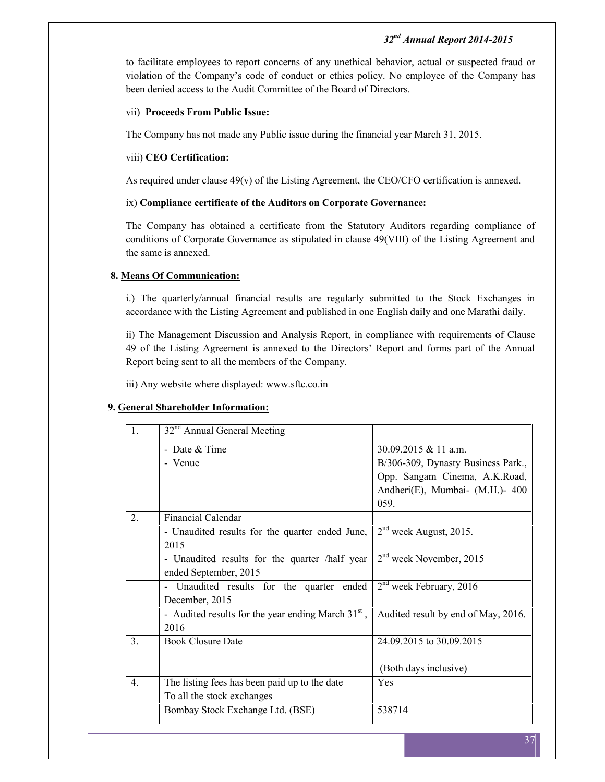to facilitate employees to report concerns of any unethical behavior, actual or suspected fraud or violation of the Company's code of conduct or ethics policy. No employee of the Company has been denied access to the Audit Committee of the Board of Directors.

#### vii) **Proceeds From Public Issue:**

The Company has not made any Public issue during the financial year March 31, 2015.

## viii) **CEO Certification:**

As required under clause 49(v) of the Listing Agreement, the CEO/CFO certification is annexed.

#### ix) **Compliance certificate of the Auditors on Corporate Governance:**

The Company has obtained a certificate from the Statutory Auditors regarding compliance of conditions of Corporate Governance as stipulated in clause 49(VIII) of the Listing Agreement and the same is annexed.

#### **8. Means Of Communication:**

i.) The quarterly/annual financial results are regularly submitted to the Stock Exchanges in accordance with the Listing Agreement and published in one English daily and one Marathi daily.

ii) The Management Discussion and Analysis Report, in compliance with requirements of Clause 49 of the Listing Agreement is annexed to the Directors' Report and forms part of the Annual Report being sent to all the members of the Company.

iii) Any website where displayed: www.sftc.co.in

## **9. General Shareholder Information:**

| 32 <sup>nd</sup> Annual General Meeting              |                                     |
|------------------------------------------------------|-------------------------------------|
| - Date & Time                                        | 30.09.2015 & 11 a.m.                |
| - Venue                                              | B/306-309, Dynasty Business Park.,  |
|                                                      | Opp. Sangam Cinema, A.K.Road,       |
|                                                      | Andheri(E), Mumbai- (M.H.)- 400     |
|                                                      | 059.                                |
| <b>Financial Calendar</b>                            |                                     |
| - Unaudited results for the quarter ended June,      | $2nd$ week August, 2015.            |
| 2015                                                 |                                     |
| - Unaudited results for the quarter /half year       | $2nd$ week November, 2015           |
| ended September, 2015                                |                                     |
| - Unaudited results for the quarter ended            | $2nd$ week February, 2016           |
| December, 2015                                       |                                     |
| - Audited results for the year ending March $31st$ , | Audited result by end of May, 2016. |
| 2016                                                 |                                     |
| <b>Book Closure Date</b>                             | 24.09.2015 to 30.09.2015            |
|                                                      |                                     |
|                                                      | (Both days inclusive)               |
| The listing fees has been paid up to the date        | Yes                                 |
| To all the stock exchanges                           |                                     |
| Bombay Stock Exchange Ltd. (BSE)                     | 538714                              |
|                                                      |                                     |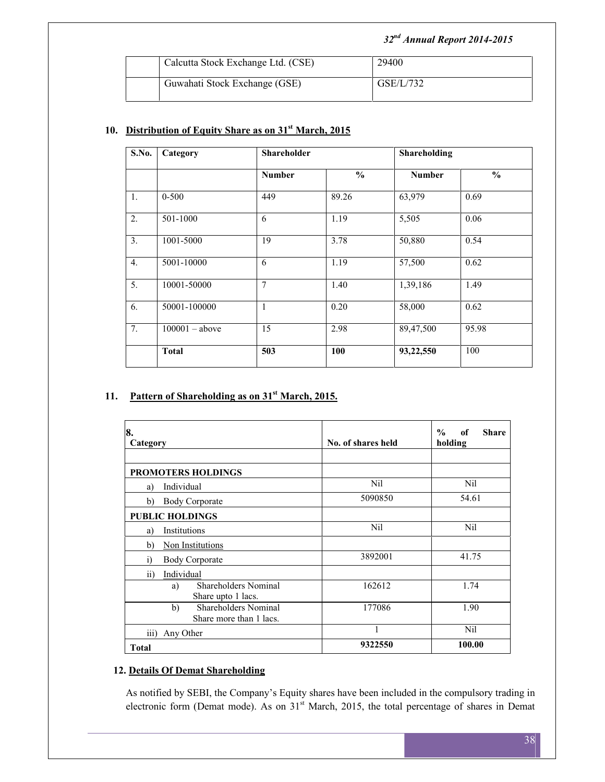| Calcutta Stock Exchange Ltd. (CSE) | 29400     |
|------------------------------------|-----------|
| Guwahati Stock Exchange (GSE)      | GSE/L/732 |

## **10. Distribution of Equity Share as on 31st March, 2015**

| S.No.            | Category         |                | Shareholder   |               | Shareholding  |
|------------------|------------------|----------------|---------------|---------------|---------------|
|                  |                  | <b>Number</b>  | $\frac{0}{0}$ | <b>Number</b> | $\frac{6}{6}$ |
| 1.               | $0 - 500$        | 449            | 89.26         | 63,979        | 0.69          |
| 2.               | 501-1000         | 6              | 1.19          | 5,505         | 0.06          |
| 3.               | 1001-5000        | 19             | 3.78          | 50,880        | 0.54          |
| $\overline{4}$ . | 5001-10000       | 6              | 1.19          | 57,500        | 0.62          |
| 5.               | 10001-50000      | $\overline{7}$ | 1.40          | 1,39,186      | 1.49          |
| 6.               | 50001-100000     | 1              | 0.20          | 58,000        | 0.62          |
| 7.               | $100001 - above$ | 15             | 2.98          | 89,47,500     | 95.98         |
|                  | <b>Total</b>     | 503            | 100           | 93,22,550     | 100           |

## **11. Pattern of Shareholding as on 31st March, 2015.**

| 8.<br>Category                                          | No. of shares held | $\frac{0}{0}$<br>of<br><b>Share</b><br>holding |  |
|---------------------------------------------------------|--------------------|------------------------------------------------|--|
| <b>PROMOTERS HOLDINGS</b>                               |                    |                                                |  |
| Individual<br>a)                                        | Nil                | Nil                                            |  |
| <b>Body Corporate</b><br>b)                             | 5090850            | 54.61                                          |  |
| <b>PUBLIC HOLDINGS</b>                                  |                    |                                                |  |
| Institutions<br>a)                                      | Nil                | Nil                                            |  |
| Non Institutions<br>b)                                  |                    |                                                |  |
| $\ddot{1}$<br><b>Body Corporate</b>                     | 3892001            | 41.75                                          |  |
| $\overline{ii}$<br>Individual                           |                    |                                                |  |
| <b>Shareholders Nominal</b><br>a)<br>Share upto 1 lacs. | 162612             | 1.74                                           |  |
| Shareholders Nominal<br>b)<br>Share more than 1 lacs.   | 177086             | 1.90                                           |  |
| $\overline{iii}$<br>Any Other                           | 1                  | <b>Nil</b>                                     |  |
| <b>Total</b>                                            | 9322550            | 100.00                                         |  |

## **12. Details Of Demat Shareholding**

As notified by SEBI, the Company's Equity shares have been included in the compulsory trading in electronic form (Demat mode). As on  $31<sup>st</sup>$  March, 2015, the total percentage of shares in Demat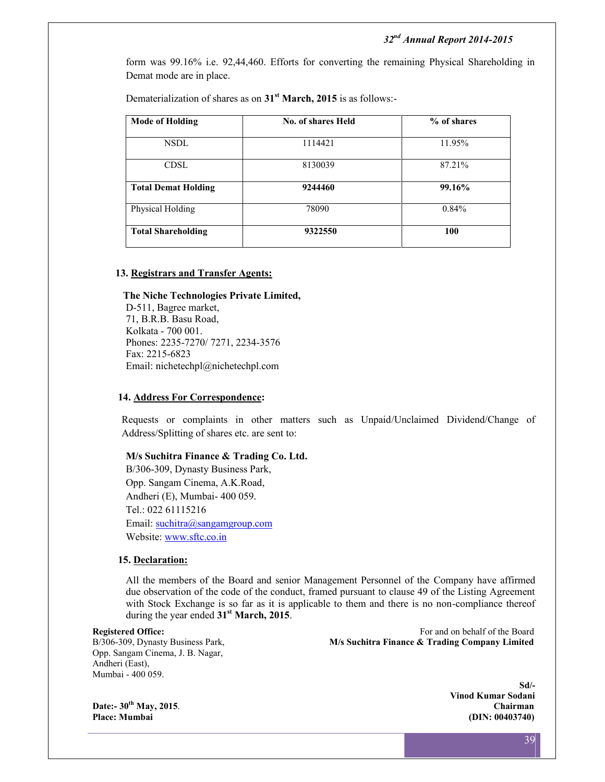form was 99.16% i.e. 92,44,460. Efforts for converting the remaining Physical Shareholding in Demat mode are in place.

Dematerialization of shares as on **31st March, 2015** is as follows:-

| <b>Mode of Holding</b>     | <b>No. of shares Held</b> | % of shares |
|----------------------------|---------------------------|-------------|
| NSDL.                      | 1114421                   | 11.95%      |
| CDSL                       | 8130039                   | 87.21%      |
| <b>Total Demat Holding</b> | 9244460                   | 99.16%      |
| Physical Holding           | 78090                     | 0.84%       |
| <b>Total Shareholding</b>  | 9322550                   | 100         |
|                            |                           |             |

#### **13. Registrars and Transfer Agents:**

#### **The Niche Technologies Private Limited,**

D-511, Bagree market, 71, B.R.B. Basu Road, Kolkata - 700 001. Phones: 2235-7270/ 7271, 2234-3576 Fax: 2215-6823 Email: nichetechpl@nichetechpl.com

## **14. Address For Correspondence:**

Requests or complaints in other matters such as Unpaid/Unclaimed Dividend/Change of Address/Splitting of shares etc. are sent to:

#### **M/s Suchitra Finance & Trading Co. Ltd.**

B/306-309, Dynasty Business Park, Opp. Sangam Cinema, A.K.Road, Andheri (E), Mumbai- 400 059. Tel.: 022 61115216 Email: suchitra@sangamgroup.com Website: www.sftc.co.in

#### **15. Declaration:**

All the members of the Board and senior Management Personnel of the Company have affirmed due observation of the code of the conduct, framed pursuant to clause 49 of the Listing Agreement with Stock Exchange is so far as it is applicable to them and there is no non-compliance thereof during the year ended **31st March, 2015**.

Opp. Sangam Cinema, J. B. Nagar, Andheri (East), Mumbai - 400 059.

**Registered Office:** For and on behalf of the Board<br>B/306-309, Dynasty Business Park, **M/s Suchitra Finance & Trading Company Limited** B/306-309, Dynasty Business Park, **M/s Suchitra Finance & Trading Company Limited**

**Place: Mumbai (DIN: 00403740)**

**Sd/- Vinod Kumar Sodani Date:- 30th May, 2015**. **Chairman**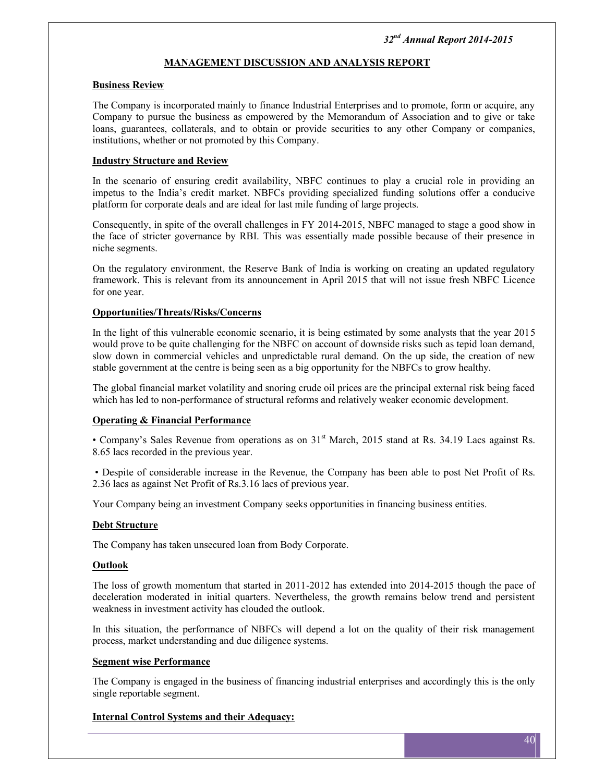## **MANAGEMENT DISCUSSION AND ANALYSIS REPORT**

#### **Business Review**

The Company is incorporated mainly to finance Industrial Enterprises and to promote, form or acquire, any Company to pursue the business as empowered by the Memorandum of Association and to give or take loans, guarantees, collaterals, and to obtain or provide securities to any other Company or companies, institutions, whether or not promoted by this Company.

#### **Industry Structure and Review**

In the scenario of ensuring credit availability, NBFC continues to play a crucial role in providing an impetus to the India's credit market. NBFCs providing specialized funding solutions offer a conducive platform for corporate deals and are ideal for last mile funding of large projects.

Consequently, in spite of the overall challenges in FY 2014-2015, NBFC managed to stage a good show in the face of stricter governance by RBI. This was essentially made possible because of their presence in niche segments.

On the regulatory environment, the Reserve Bank of India is working on creating an updated regulatory framework. This is relevant from its announcement in April 2015 that will not issue fresh NBFC Licence for one year.

#### **Opportunities/Threats/Risks/Concerns**

In the light of this vulnerable economic scenario, it is being estimated by some analysts that the year 2015 would prove to be quite challenging for the NBFC on account of downside risks such as tepid loan demand, slow down in commercial vehicles and unpredictable rural demand. On the up side, the creation of new stable government at the centre is being seen as a big opportunity for the NBFCs to grow healthy.

The global financial market volatility and snoring crude oil prices are the principal external risk being faced which has led to non-performance of structural reforms and relatively weaker economic development.

## **Operating & Financial Performance**

• Company's Sales Revenue from operations as on 31<sup>st</sup> March, 2015 stand at Rs. 34.19 Lacs against Rs. 8.65 lacs recorded in the previous year.

• Despite of considerable increase in the Revenue, the Company has been able to post Net Profit of Rs. 2.36 lacs as against Net Profit of Rs.3.16 lacs of previous year.

Your Company being an investment Company seeks opportunities in financing business entities.

## **Debt Structure**

The Company has taken unsecured loan from Body Corporate.

#### **Outlook**

The loss of growth momentum that started in 2011-2012 has extended into 2014-2015 though the pace of deceleration moderated in initial quarters. Nevertheless, the growth remains below trend and persistent weakness in investment activity has clouded the outlook.

In this situation, the performance of NBFCs will depend a lot on the quality of their risk management process, market understanding and due diligence systems.

#### **Segment wise Performance**

The Company is engaged in the business of financing industrial enterprises and accordingly this is the only single reportable segment.

## **Internal Control Systems and their Adequacy:**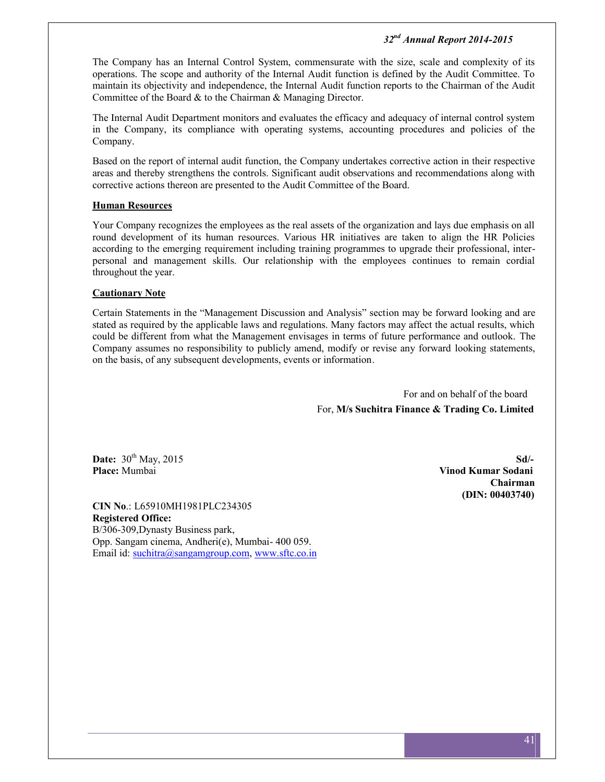The Company has an Internal Control System, commensurate with the size, scale and complexity of its operations. The scope and authority of the Internal Audit function is defined by the Audit Committee. To maintain its objectivity and independence, the Internal Audit function reports to the Chairman of the Audit Committee of the Board & to the Chairman & Managing Director.

The Internal Audit Department monitors and evaluates the efficacy and adequacy of internal control system in the Company, its compliance with operating systems, accounting procedures and policies of the Company.

Based on the report of internal audit function, the Company undertakes corrective action in their respective areas and thereby strengthens the controls. Significant audit observations and recommendations along with corrective actions thereon are presented to the Audit Committee of the Board.

#### **Human Resources**

Your Company recognizes the employees as the real assets of the organization and lays due emphasis on all round development of its human resources. Various HR initiatives are taken to align the HR Policies according to the emerging requirement including training programmes to upgrade their professional, inter personal and management skills. Our relationship with the employees continues to remain cordial throughout the year.

#### **Cautionary Note**

Certain Statements in the "Management Discussion and Analysis" section may be forward looking and are stated as required by the applicable laws and regulations. Many factors may affect the actual results, which could be different from what the Management envisages in terms of future performance and outlook. The Company assumes no responsibility to publicly amend, modify or revise any forward looking statements, on the basis, of any subsequent developments, events or information.

> For and on behalf of the board For, **M/s Suchitra Finance & Trading Co. Limited**

**Date:**  $30^{\text{th}}$  May,  $2015$  **Sd**/-

**CIN No**.: L65910MH1981PLC234305 **Registered Office:** B/306-309,Dynasty Business park, Opp. Sangam cinema, Andheri(e), Mumbai- 400 059. Email id: suchitra@sangamgroup.com, www.sftc.co.in

**Place:** Mumbai **Vinod Kumar Sodani Chairman (DIN: 00403740)**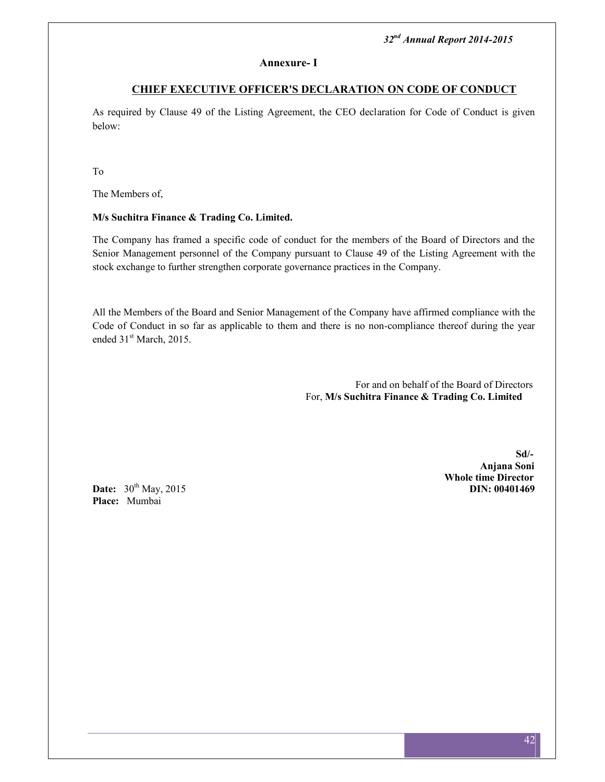#### **Annexure- I**

## **CHIEF EXECUTIVE OFFICER'S DECLARATION ON CODE OF CONDUCT**

As required by Clause 49 of the Listing Agreement, the CEO declaration for Code of Conduct is given below:

To

The Members of,

## **M/s Suchitra Finance & Trading Co. Limited.**

The Company has framed a specific code of conduct for the members of the Board of Directors and the Senior Management personnel of the Company pursuant to Clause 49 of the Listing Agreement with the stock exchange to further strengthen corporate governance practices in the Company.

All the Members of the Board and Senior Management of the Company have affirmed compliance with the Code of Conduct in so far as applicable to them and there is no non-compliance thereof during the year ended 31<sup>st</sup> March, 2015.

> For and on behalf of the Board of Directors For, **M/s Suchitra Finance & Trading Co. Limited**

> > **Sd/- Anjana Soni Whole time Director**

**Date:**  $30^{th}$  May, 2015 **Place:** Mumbai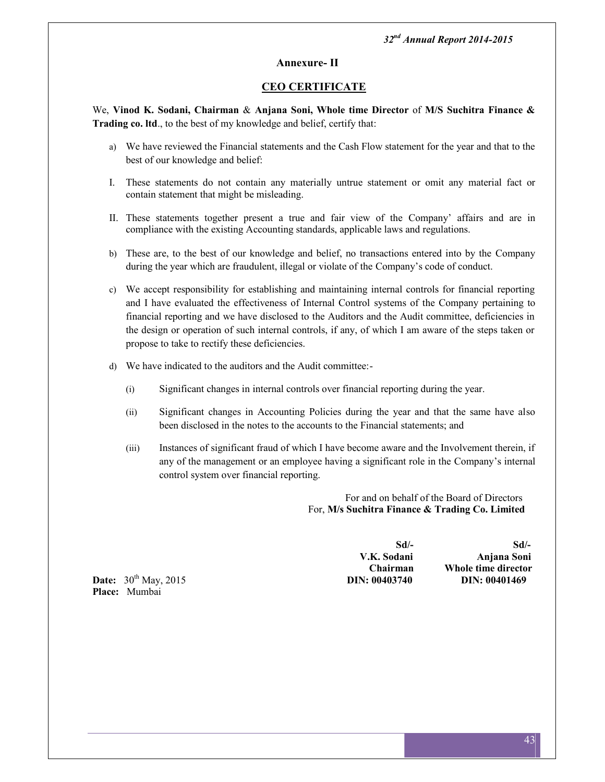## **Annexure- II**

## **CEO CERTIFICATE**

We, **Vinod K. Sodani, Chairman** & **Anjana Soni, Whole time Director** of **M/S Suchitra Finance & Trading co. ltd**., to the best of my knowledge and belief, certify that:

- a) We have reviewed the Financial statements and the Cash Flow statement for the year and that to the best of our knowledge and belief:
- I. These statements do not contain any materially untrue statement or omit any material fact or contain statement that might be misleading.
- II. These statements together present a true and fair view of the Company' affairs and are in compliance with the existing Accounting standards, applicable laws and regulations.
- b) These are, to the best of our knowledge and belief, no transactions entered into by the Company during the year which are fraudulent, illegal or violate of the Company's code of conduct.
- c) We accept responsibility for establishing and maintaining internal controls for financial reporting and I have evaluated the effectiveness of Internal Control systems of the Company pertaining to financial reporting and we have disclosed to the Auditors and the Audit committee, deficiencies in the design or operation of such internal controls, if any, of which I am aware of the steps taken or propose to take to rectify these deficiencies.
- d) We have indicated to the auditors and the Audit committee:-
	- (i) Significant changes in internal controls over financial reporting during the year.
	- (ii) Significant changes in Accounting Policies during the year and that the same have also been disclosed in the notes to the accounts to the Financial statements; and
	- (iii) Instances of significant fraud of which I have become aware and the Involvement therein, if any of the management or an employee having a significant role in the Company's internal control system over financial reporting.

For and on behalf of the Board of Directors For, **M/s Suchitra Finance & Trading Co. Limited**

**Sd/- Sd/- V.K. Sodani Anjana Soni Chairman Whole time director**

**Date:**  $30^{\text{th}}$  May, 2015 **DIN: 00403740 DIN: 00401469 Place:** Mumbai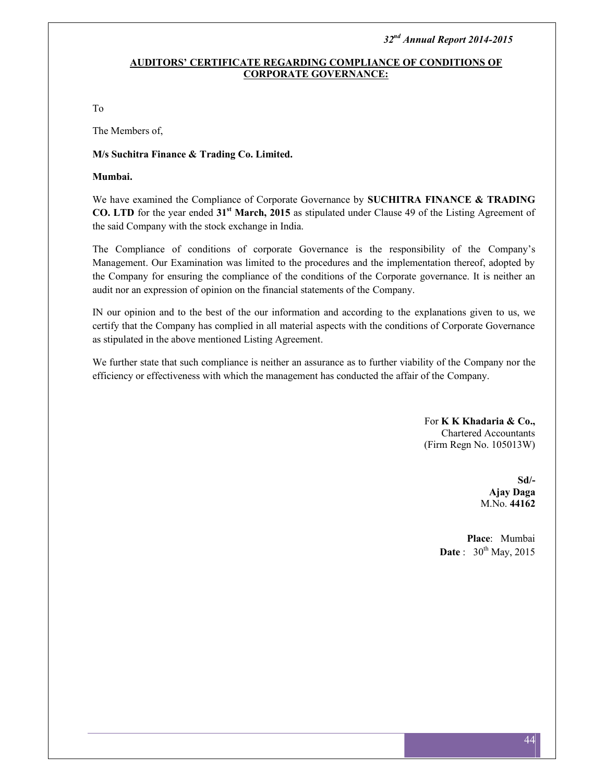## **AUDITORS' CERTIFICATE REGARDING COMPLIANCE OF CONDITIONS OF CORPORATE GOVERNANCE:**

To

The Members of,

#### **M/s Suchitra Finance & Trading Co. Limited.**

#### **Mumbai.**

We have examined the Compliance of Corporate Governance by **SUCHITRA FINANCE & TRADING CO. LTD** for the year ended **31st March, 2015** as stipulated under Clause 49 of the Listing Agreement of the said Company with the stock exchange in India.

The Compliance of conditions of corporate Governance is the responsibility of the Company's Management. Our Examination was limited to the procedures and the implementation thereof, adopted by the Company for ensuring the compliance of the conditions of the Corporate governance. It is neither an audit nor an expression of opinion on the financial statements of the Company.

IN our opinion and to the best of the our information and according to the explanations given to us, we certify that the Company has complied in all material aspects with the conditions of Corporate Governance as stipulated in the above mentioned Listing Agreement.

We further state that such compliance is neither an assurance as to further viability of the Company nor the efficiency or effectiveness with which the management has conducted the affair of the Company.

> For **K K Khadaria & Co.,** Chartered Accountants (Firm Regn No. 105013W)

> > **Sd/- Ajay Daga** M.No. **44162**

**Place**: Mumbai **Date** : 30<sup>th</sup> May, 2015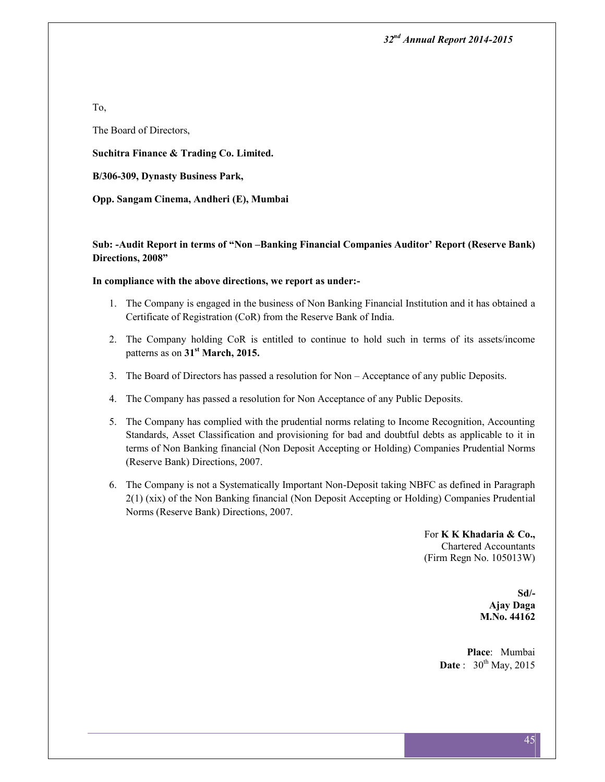To,

The Board of Directors,

**Suchitra Finance & Trading Co. Limited.**

**B/306-309, Dynasty Business Park,**

**Opp. Sangam Cinema, Andheri (E), Mumbai**

**Sub: -Audit Report in terms of "Non –Banking Financial Companies Auditor' Report (Reserve Bank) Directions, 2008"**

#### **In compliance with the above directions, we report as under:-**

- 1. The Company is engaged in the business of Non Banking Financial Institution and it has obtained a Certificate of Registration (CoR) from the Reserve Bank of India.
- 2. The Company holding CoR is entitled to continue to hold such in terms of its assets/income patterns as on **31st March, 2015.**
- 3. The Board of Directors has passed a resolution for Non Acceptance of any public Deposits.
- 4. The Company has passed a resolution for Non Acceptance of any Public Deposits.
- 5. The Company has complied with the prudential norms relating to Income Recognition, Accounting Standards, Asset Classification and provisioning for bad and doubtful debts as applicable to it in terms of Non Banking financial (Non Deposit Accepting or Holding) Companies Prudential Norms (Reserve Bank) Directions, 2007.
- 6. The Company is not a Systematically Important Non-Deposit taking NBFC as defined in Paragraph 2(1) (xix) of the Non Banking financial (Non Deposit Accepting or Holding) Companies Prudential Norms (Reserve Bank) Directions, 2007.

For **K K Khadaria & Co.,** Chartered Accountants (Firm Regn No. 105013W)

> **Sd/- Ajay Daga M.No. 44162**

**Place**: Mumbai **Date** : 30<sup>th</sup> May, 2015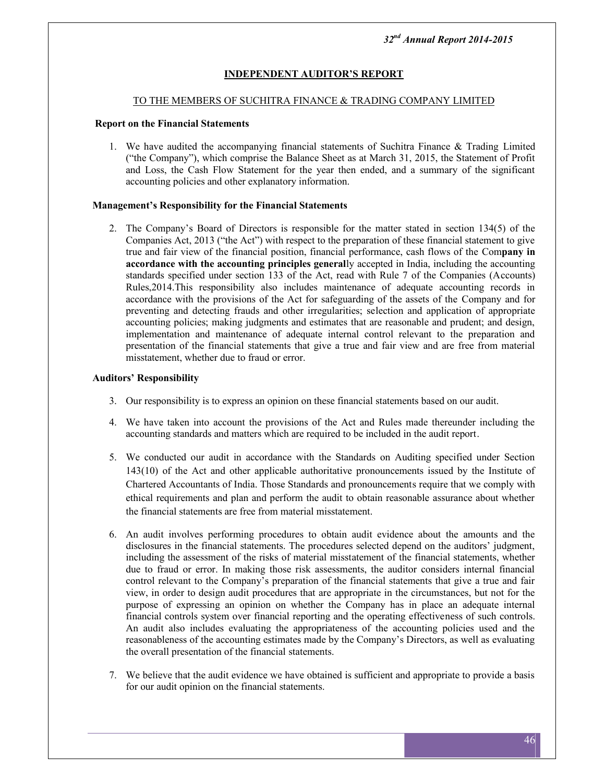## **INDEPENDENT AUDITOR'S REPORT**

#### TO THE MEMBERS OF SUCHITRA FINANCE & TRADING COMPANY LIMITED

#### **Report on the Financial Statements**

1. We have audited the accompanying financial statements of Suchitra Finance & Trading Limited ("the Company"), which comprise the Balance Sheet as at March 31, 2015, the Statement of Profit and Loss, the Cash Flow Statement for the year then ended, and a summary of the significant accounting policies and other explanatory information.

#### **Management's Responsibility for the Financial Statements**

2. The Company's Board of Directors is responsible for the matter stated in section 134(5) of the Companies Act, 2013 ("the Act") with respect to the preparation of these financial statement to give true and fair view of the financial position, financial performance, cash flows of the Com**pany in accordance with the accounting principles general**ly accepted in India, including the accounting standards specified under section 133 of the Act, read with Rule 7 of the Companies (Accounts) Rules,2014.This responsibility also includes maintenance of adequate accounting records in accordance with the provisions of the Act for safeguarding of the assets of the Company and for preventing and detecting frauds and other irregularities; selection and application of appropriate accounting policies; making judgments and estimates that are reasonable and prudent; and design, implementation and maintenance of adequate internal control relevant to the preparation and presentation of the financial statements that give a true and fair view and are free from material misstatement, whether due to fraud or error.

#### **Auditors' Responsibility**

- 3. Our responsibility is to express an opinion on these financial statements based on our audit.
- 4. We have taken into account the provisions of the Act and Rules made thereunder including the accounting standards and matters which are required to be included in the audit report.
- 5. We conducted our audit in accordance with the Standards on Auditing specified under Section 143(10) of the Act and other applicable authoritative pronouncements issued by the Institute of Chartered Accountants of India. Those Standards and pronouncements require that we comply with ethical requirements and plan and perform the audit to obtain reasonable assurance about whether the financial statements are free from material misstatement.
- 6. An audit involves performing procedures to obtain audit evidence about the amounts and the disclosures in the financial statements. The procedures selected depend on the auditors' judgment, including the assessment of the risks of material misstatement of the financial statements, whether due to fraud or error. In making those risk assessments, the auditor considers internal financial control relevant to the Company's preparation of the financial statements that give a true and fair view, in order to design audit procedures that are appropriate in the circumstances, but not for the purpose of expressing an opinion on whether the Company has in place an adequate internal financial controls system over financial reporting and the operating effectiveness of such controls. An audit also includes evaluating the appropriateness of the accounting policies used and the reasonableness of the accounting estimates made by the Company's Directors, as well as evaluating the overall presentation of the financial statements.
- 7. We believe that the audit evidence we have obtained is sufficient and appropriate to provide a basis for our audit opinion on the financial statements.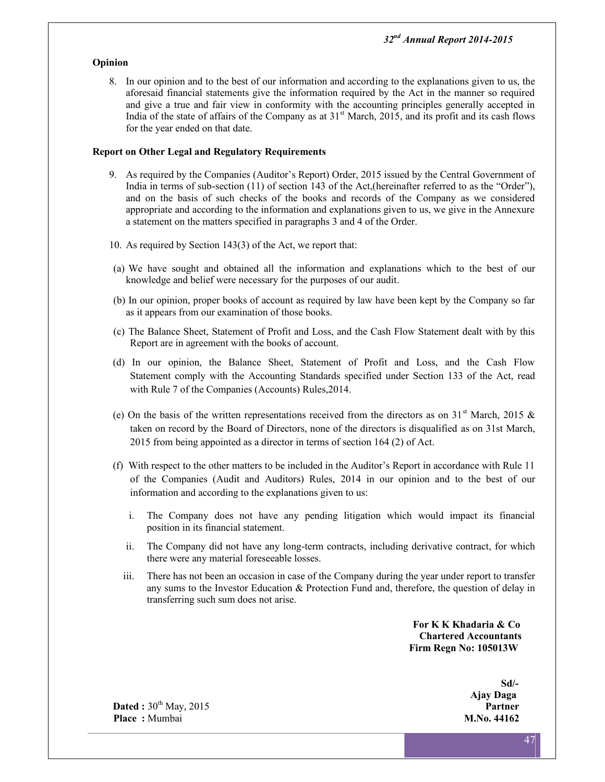#### **Opinion**

8. In our opinion and to the best of our information and according to the explanations given to us, the aforesaid financial statements give the information required by the Act in the manner so required and give a true and fair view in conformity with the accounting principles generally accepted in India of the state of affairs of the Company as at  $31<sup>st</sup>$  March, 2015, and its profit and its cash flows for the year ended on that date.

#### **Report on Other Legal and Regulatory Requirements**

- 9. As required by the Companies (Auditor's Report) Order, 2015 issued by the Central Government of India in terms of sub-section (11) of section 143 of the Act,(hereinafter referred to as the "Order"), and on the basis of such checks of the books and records of the Company as we considered appropriate and according to the information and explanations given to us, we give in the Annexure a statement on the matters specified in paragraphs 3 and 4 of the Order.
- 10. As required by Section 143(3) of the Act, we report that:
- (a) We have sought and obtained all the information and explanations which to the best of our knowledge and belief were necessary for the purposes of our audit.
- (b) In our opinion, proper books of account as required by law have been kept by the Company so far as it appears from our examination of those books.
- (c) The Balance Sheet, Statement of Profit and Loss, and the Cash Flow Statement dealt with by this Report are in agreement with the books of account.
- (d) In our opinion, the Balance Sheet, Statement of Profit and Loss, and the Cash Flow Statement comply with the Accounting Standards specified under Section 133 of the Act, read with Rule 7 of the Companies (Accounts) Rules,2014.
- (e) On the basis of the written representations received from the directors as on  $31<sup>st</sup>$  March, 2015 & taken on record by the Board of Directors, none of the directors is disqualified as on 31st March, 2015 from being appointed as a director in terms of section 164 (2) of Act.
- (f) With respect to the other matters to be included in the Auditor's Report in accordance with Rule 11 of the Companies (Audit and Auditors) Rules, 2014 in our opinion and to the best of our information and according to the explanations given to us:
	- i. The Company does not have any pending litigation which would impact its financial position in its financial statement.
	- ii. The Company did not have any long-term contracts, including derivative contract, for which there were any material foreseeable losses.
	- iii. There has not been an occasion in case of the Company during the year under report to transfer any sums to the Investor Education & Protection Fund and, therefore, the question of delay in transferring such sum does not arise.

**For K K Khadaria & Co Chartered Accountants Firm Regn No: 105013W**

> **Sd/- Ajay Daga**

**Dated :** 30<sup>th</sup> May, 2015 **Place :** Mumbai **M.No. 44162**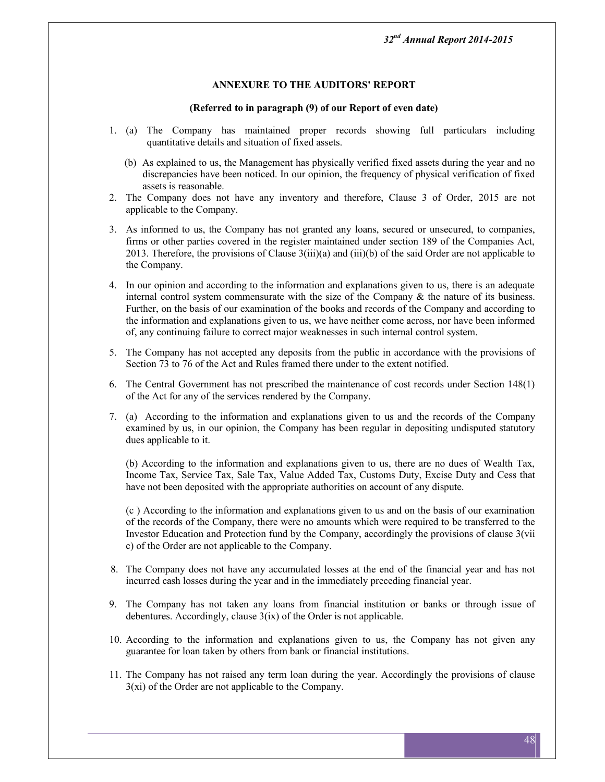#### **ANNEXURE TO THE AUDITORS' REPORT**

#### **(Referred to in paragraph (9) of our Report of even date)**

- 1. (a) The Company has maintained proper records showing full particulars including quantitative details and situation of fixed assets.
	- (b) As explained to us, the Management has physically verified fixed assets during the year and no discrepancies have been noticed. In our opinion, the frequency of physical verification of fixed assets is reasonable.
- 2. The Company does not have any inventory and therefore, Clause 3 of Order, 2015 are not applicable to the Company.
- 3. As informed to us, the Company has not granted any loans, secured or unsecured, to companies, firms or other parties covered in the register maintained under section 189 of the Companies Act, 2013. Therefore, the provisions of Clause 3(iii)(a) and (iii)(b) of the said Order are not applicable to the Company.
- 4. In our opinion and according to the information and explanations given to us, there is an adequate internal control system commensurate with the size of the Company  $\&$  the nature of its business. Further, on the basis of our examination of the books and records of the Company and according to the information and explanations given to us, we have neither come across, nor have been informed of, any continuing failure to correct major weaknesses in such internal control system.
- 5. The Company has not accepted any deposits from the public in accordance with the provisions of Section 73 to 76 of the Act and Rules framed there under to the extent notified.
- 6. The Central Government has not prescribed the maintenance of cost records under Section 148(1) of the Act for any of the services rendered by the Company.
- 7. (a) According to the information and explanations given to us and the records of the Company examined by us, in our opinion, the Company has been regular in depositing undisputed statutory dues applicable to it.

(b) According to the information and explanations given to us, there are no dues of Wealth Tax, Income Tax, Service Tax, Sale Tax, Value Added Tax, Customs Duty, Excise Duty and Cess that have not been deposited with the appropriate authorities on account of any dispute.

(c ) According to the information and explanations given to us and on the basis of our examination of the records of the Company, there were no amounts which were required to be transferred to the Investor Education and Protection fund by the Company, accordingly the provisions of clause 3(vii c) of the Order are not applicable to the Company.

- 8. The Company does not have any accumulated losses at the end of the financial year and has not incurred cash losses during the year and in the immediately preceding financial year.
- 9. The Company has not taken any loans from financial institution or banks or through issue of debentures. Accordingly, clause 3(ix) of the Order is not applicable.
- 10. According to the information and explanations given to us, the Company has not given any guarantee for loan taken by others from bank or financial institutions.
- 11. The Company has not raised any term loan during the year. Accordingly the provisions of clause 3(xi) of the Order are not applicable to the Company.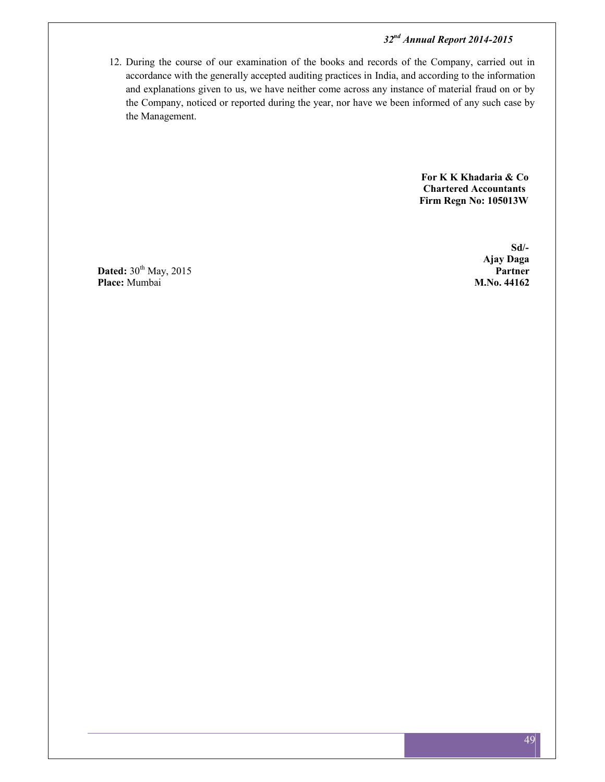12. During the course of our examination of the books and records of the Company, carried out in accordance with the generally accepted auditing practices in India, and according to the information and explanations given to us, we have neither come across any instance of material fraud on or by the Company, noticed or reported during the year, nor have we been informed of any such case by the Management.

> **For K K Khadaria & Co Chartered Accountants Firm Regn No: 105013W**

**Dated:**  $30^{\text{th}}$  May, 2015 **Partner**<br>**Place:** Mumbai **Partner Place:** Mumbai

**Sd/- Ajay Daga**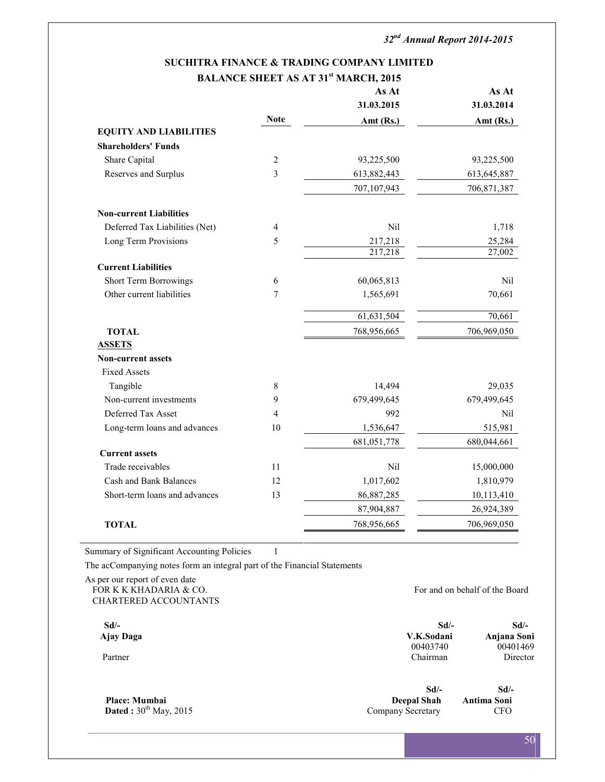|                                |                | BALANCE SHEET AS AT 31" MARCH, 2015<br>As At | As At       |
|--------------------------------|----------------|----------------------------------------------|-------------|
|                                |                | 31.03.2015                                   | 31.03.2014  |
|                                | <b>Note</b>    | Amt (Rs.)                                    | Amt $(Rs.)$ |
| <b>EQUITY AND LIABILITIES</b>  |                |                                              |             |
| <b>Shareholders' Funds</b>     |                |                                              |             |
| Share Capital                  | $\overline{2}$ | 93,225,500                                   | 93,225,500  |
| Reserves and Surplus           | 3              | 613,882,443                                  | 613,645,887 |
|                                |                | 707,107,943                                  | 706,871,387 |
| <b>Non-current Liabilities</b> |                |                                              |             |
| Deferred Tax Liabilities (Net) | 4              | Nil                                          | 1,718       |
| Long Term Provisions           | 5              | 217,218                                      | 25,284      |
|                                |                | 217,218                                      | 27,002      |
| <b>Current Liabilities</b>     |                |                                              |             |
| Short Term Borrowings          | 6              | 60,065,813                                   | Nil         |
| Other current liabilities      | 7              | 1,565,691                                    | 70,661      |
|                                |                | 61,631,504                                   | 70,661      |
| <b>TOTAL</b>                   |                | 768,956,665                                  | 706,969,050 |
| <b>ASSETS</b>                  |                |                                              |             |
| <b>Non-current assets</b>      |                |                                              |             |
| <b>Fixed Assets</b>            |                |                                              |             |
| Tangible                       | 8              | 14,494                                       | 29,035      |
| Non-current investments        | 9              | 679,499,645                                  | 679,499,645 |
| Deferred Tax Asset             | 4              | 992                                          | Nil         |
| Long-term loans and advances   | 10             | 1,536,647                                    | 515,981     |
|                                |                | 681,051,778                                  | 680,044,661 |
| <b>Current assets</b>          |                |                                              |             |
| Trade receivables              | 11             | Nil                                          | 15,000,000  |
| Cash and Bank Balances         | 12             | 1,017,602                                    | 1,810,979   |
| Short-term loans and advances  | 13             | 86,887,285                                   | 10,113,410  |
|                                |                | 87,904,887                                   | 26,924,389  |
| <b>TOTAL</b>                   |                | 768,956,665                                  | 706,969,050 |

## **SUCHITRA FINANCE & TRADING COMPANY LIMITED BALANCE SHEET AS AT 31st MARCH, 2015**

Summary of Significant Accounting Policies 1

The acCompanying notes form an integral part of the Financial Statements

As per our report of even date FOR K K KHADARIA & CO. **FOR K K** KHADARIA & CO. CHARTERED ACCOUNTANTS

**Sd/- Sd/- Sd/- Ajay Daga V.K.Sodani Anjana Soni** Partner Chairman

Dated :  $30<sup>th</sup>$  May, 2015

00401469<br>Director

**Sd/- Sd/- Place: Mumbai Deepal Shah Antima Soni Deepal Shah Antima Soni Company Secretary CFO**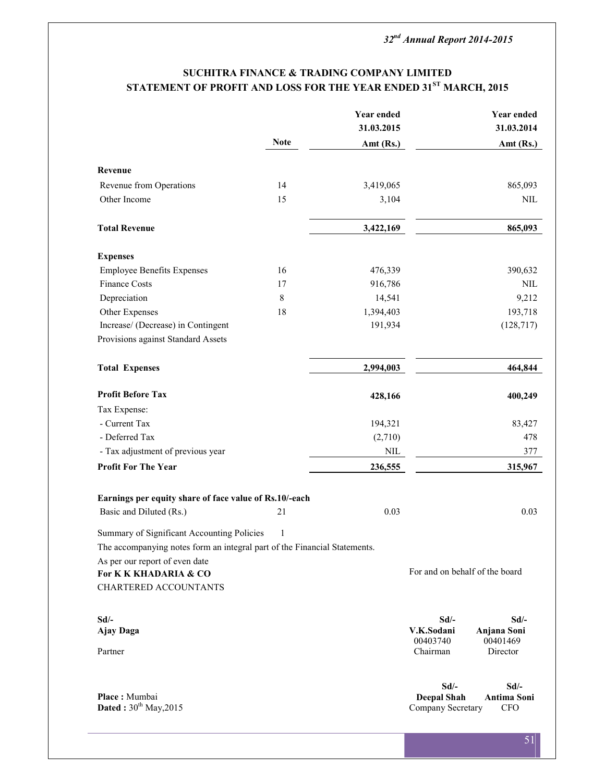## **SUCHITRA FINANCE & TRADING COMPANY LIMITED STATEMENT OF PROFIT AND LOSS FOR THE YEAR ENDED 31ST MARCH, 2015**

|                                                                           |             | <b>Year ended</b> | <b>Year ended</b>                 |
|---------------------------------------------------------------------------|-------------|-------------------|-----------------------------------|
|                                                                           |             | 31.03.2015        | 31.03.2014                        |
|                                                                           | <b>Note</b> | Amt (Rs.)         | Amt $(Rs.)$                       |
|                                                                           |             |                   |                                   |
| Revenue                                                                   | 14          |                   |                                   |
| Revenue from Operations                                                   | 15          | 3,419,065         | 865,093                           |
| Other Income                                                              |             | 3,104             | $\mbox{NIL}$                      |
| <b>Total Revenue</b>                                                      |             | 3,422,169         | 865,093                           |
| <b>Expenses</b>                                                           |             |                   |                                   |
| <b>Employee Benefits Expenses</b>                                         | 16          | 476,339           | 390,632                           |
| <b>Finance Costs</b>                                                      | 17          | 916,786           | <b>NIL</b>                        |
| Depreciation                                                              | $\,8\,$     | 14,541            | 9,212                             |
| Other Expenses                                                            | 18          | 1,394,403         | 193,718                           |
| Increase/ (Decrease) in Contingent                                        |             | 191,934           | (128, 717)                        |
| Provisions against Standard Assets                                        |             |                   |                                   |
| <b>Total Expenses</b>                                                     |             | 2,994,003         | 464,844                           |
| <b>Profit Before Tax</b>                                                  |             | 428,166           | 400,249                           |
| Tax Expense:                                                              |             |                   |                                   |
| - Current Tax                                                             |             | 194,321           | 83,427                            |
| - Deferred Tax                                                            |             | (2,710)           | 478                               |
| - Tax adjustment of previous year                                         |             | $\mbox{NIL}$      | 377                               |
| <b>Profit For The Year</b>                                                |             | 236,555           | 315,967                           |
| Earnings per equity share of face value of Rs.10/-each                    |             |                   |                                   |
| Basic and Diluted (Rs.)                                                   | 21          | 0.03              | 0.03                              |
| Summary of Significant Accounting Policies                                | 1           |                   |                                   |
| The accompanying notes form an integral part of the Financial Statements. |             |                   |                                   |
| As per our report of even date                                            |             |                   |                                   |
| For K K KHADARIA & CO                                                     |             |                   | For and on behalf of the board    |
| <b>CHARTERED ACCOUNTANTS</b>                                              |             |                   |                                   |
| $Sd$ /-                                                                   |             |                   | $Sd$ /-<br>$Sd$ /-                |
| Ajay Daga                                                                 |             |                   | V.K.Sodani<br>Anjana Soni         |
|                                                                           |             |                   | 00403740<br>00401469              |
| Partner                                                                   |             |                   | Chairman<br>Director              |
|                                                                           |             |                   | $Sd$ /-<br>$Sd$ /-                |
| Place: Mumbai                                                             |             |                   | Antima Soni<br><b>Deepal Shah</b> |
| Dated: 30th May, 2015                                                     |             |                   | Company Secretary<br><b>CFO</b>   |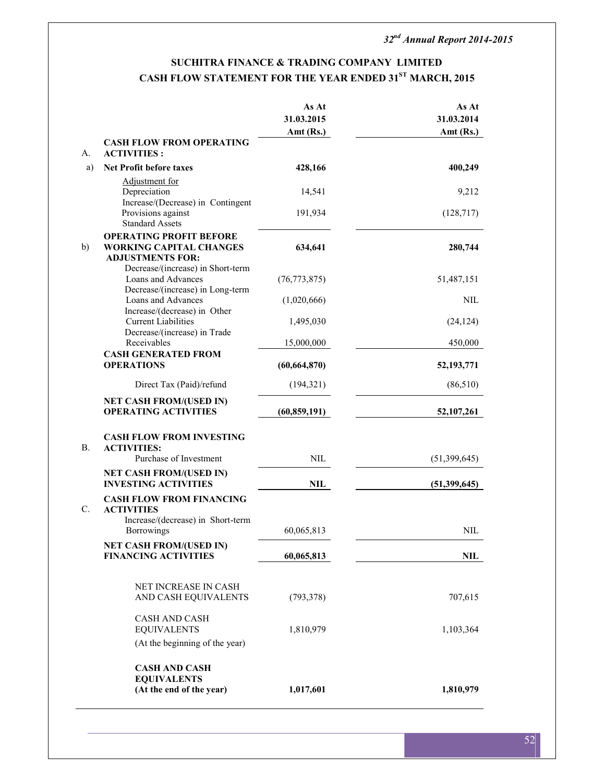## **SUCHITRA FINANCE & TRADING COMPANY LIMITED CASH FLOW STATEMENT FOR THE YEAR ENDED 31ST MARCH, 2015**

|           |                                                                                             | As At<br>31.03.2015<br>Amt (Rs.) | As At<br>31.03.2014<br>Amt (Rs.) |
|-----------|---------------------------------------------------------------------------------------------|----------------------------------|----------------------------------|
| А.        | <b>CASH FLOW FROM OPERATING</b><br><b>ACTIVITIES:</b>                                       |                                  |                                  |
| a)        | <b>Net Profit before taxes</b>                                                              | 428,166                          | 400,249                          |
|           | Adjustment for                                                                              |                                  |                                  |
|           | Depreciation<br>Increase/(Decrease) in Contingent                                           | 14,541                           | 9,212                            |
|           | Provisions against<br><b>Standard Assets</b>                                                | 191,934                          | (128, 717)                       |
| b)        | <b>OPERATING PROFIT BEFORE</b><br><b>WORKING CAPITAL CHANGES</b><br><b>ADJUSTMENTS FOR:</b> | 634,641                          | 280,744                          |
|           | Decrease/(increase) in Short-term<br>Loans and Advances<br>Decrease/(increase) in Long-term | (76, 773, 875)                   | 51,487,151                       |
|           | Loans and Advances                                                                          | (1,020,666)                      | <b>NIL</b>                       |
|           | Increase/(decrease) in Other<br><b>Current Liabilities</b>                                  | 1,495,030                        | (24, 124)                        |
|           | Decrease/(increase) in Trade<br>Receivables                                                 | 15,000,000                       | 450,000                          |
|           | <b>CASH GENERATED FROM</b><br><b>OPERATIONS</b>                                             | (60, 664, 870)                   | 52,193,771                       |
|           | Direct Tax (Paid)/refund                                                                    | (194, 321)                       | (86, 510)                        |
|           | <b>NET CASH FROM/(USED IN)</b><br><b>OPERATING ACTIVITIES</b>                               | (60, 859, 191)                   | 52,107,261                       |
| <b>B.</b> | <b>CASH FLOW FROM INVESTING</b><br><b>ACTIVITIES:</b>                                       |                                  |                                  |
|           | Purchase of Investment                                                                      | <b>NIL</b>                       | (51,399,645)                     |
|           | <b>NET CASH FROM/(USED IN)</b><br><b>INVESTING ACTIVITIES</b>                               | NIL                              | (51,399,645)                     |
| C.        | <b>CASH FLOW FROM FINANCING</b><br><b>ACTIVITIES</b>                                        |                                  |                                  |
|           | Increase/(decrease) in Short-term<br>Borrowings                                             | 60,065,813                       | <b>NIL</b>                       |
|           | <b>NET CASH FROM/(USED IN)</b><br><b>FINANCING ACTIVITIES</b>                               | 60,065,813                       | NIL                              |
|           | NET INCREASE IN CASH                                                                        |                                  |                                  |
|           | AND CASH EQUIVALENTS                                                                        | (793, 378)                       | 707,615                          |
|           | <b>CASH AND CASH</b><br><b>EQUIVALENTS</b>                                                  | 1,810,979                        | 1,103,364                        |
|           | (At the beginning of the year)                                                              |                                  |                                  |
|           | <b>CASH AND CASH</b>                                                                        |                                  |                                  |
|           | <b>EQUIVALENTS</b><br>(At the end of the year)                                              | 1,017,601                        | 1,810,979                        |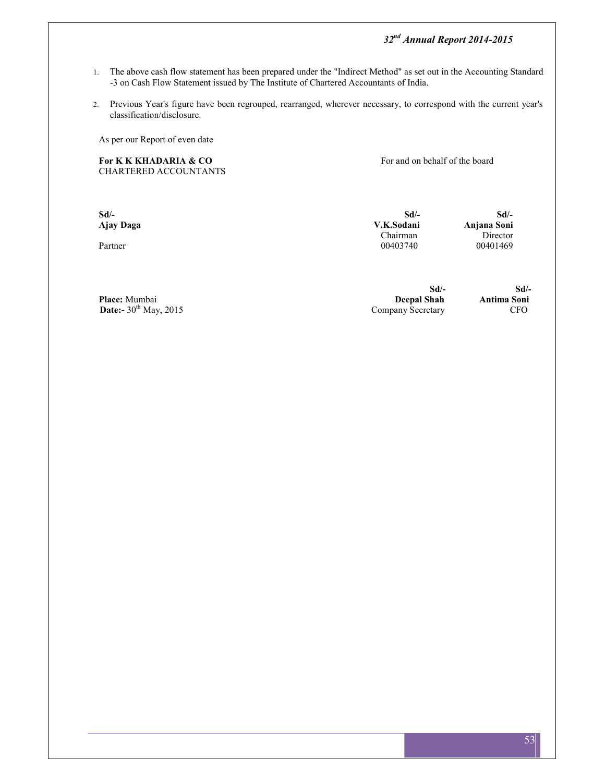- 1. The above cash flow statement has been prepared under the "Indirect Method" as set out in the Accounting Standard -3 on Cash Flow Statement issued by The Institute of Chartered Accountants of India.
- 2. Previous Year's figure have been regrouped, rearranged, wherever necessary, to correspond with the current year's classification/disclosure.

As per our Report of even date

For K K KHADARIA & CO **For and on behalf of the board** CHARTERED ACCOUNTANTS

| $Sd$ /-<br>Ajay Daga | Sd<br>V.K.Sodani | Sd<br>Anjana Soni |
|----------------------|------------------|-------------------|
|                      | Chairman         | Director          |
| Partner              | 00403740         | 00401469          |

**Place:** Mumbai **Sd/- Sd/- Deepal Shah Antima Soni**<br>Company Secretary **CFO Date:**- $30^{th}$  May, 2015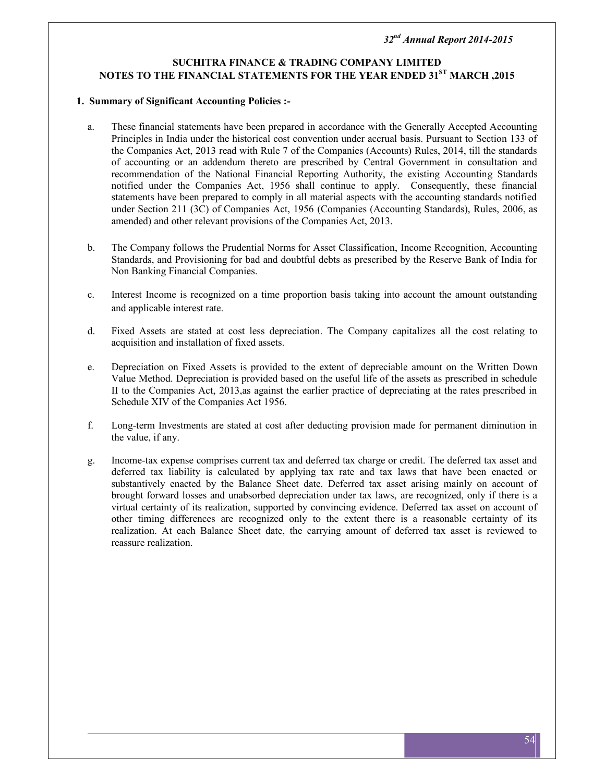## **SUCHITRA FINANCE & TRADING COMPANY LIMITED NOTES TO THE FINANCIAL STATEMENTS FOR THE YEAR ENDED 31ST MARCH ,2015**

#### **1. Summary of Significant Accounting Policies :-**

- a. These financial statements have been prepared in accordance with the Generally Accepted Accounting Principles in India under the historical cost convention under accrual basis. Pursuant to Section 133 of the Companies Act, 2013 read with Rule 7 of the Companies (Accounts) Rules, 2014, till the standards of accounting or an addendum thereto are prescribed by Central Government in consultation and recommendation of the National Financial Reporting Authority, the existing Accounting Standards notified under the Companies Act, 1956 shall continue to apply. Consequently, these financial statements have been prepared to comply in all material aspects with the accounting standards notified under Section 211 (3C) of Companies Act, 1956 (Companies (Accounting Standards), Rules, 2006, as amended) and other relevant provisions of the Companies Act, 2013.
- b. The Company follows the Prudential Norms for Asset Classification, Income Recognition, Accounting Standards, and Provisioning for bad and doubtful debts as prescribed by the Reserve Bank of India for Non Banking Financial Companies.
- c. Interest Income is recognized on a time proportion basis taking into account the amount outstanding and applicable interest rate.
- d. Fixed Assets are stated at cost less depreciation. The Company capitalizes all the cost relating to acquisition and installation of fixed assets.
- e. Depreciation on Fixed Assets is provided to the extent of depreciable amount on the Written Down Value Method. Depreciation is provided based on the useful life of the assets as prescribed in schedule II to the Companies Act, 2013,as against the earlier practice of depreciating at the rates prescribed in Schedule XIV of the Companies Act 1956.
- f. Long-term Investments are stated at cost after deducting provision made for permanent diminution in the value, if any.
- g. Income-tax expense comprises current tax and deferred tax charge or credit. The deferred tax asset and deferred tax liability is calculated by applying tax rate and tax laws that have been enacted or substantively enacted by the Balance Sheet date. Deferred tax asset arising mainly on account of brought forward losses and unabsorbed depreciation under tax laws, are recognized, only if there is a virtual certainty of its realization, supported by convincing evidence. Deferred tax asset on account of other timing differences are recognized only to the extent there is a reasonable certainty of its realization. At each Balance Sheet date, the carrying amount of deferred tax asset is reviewed to reassure realization.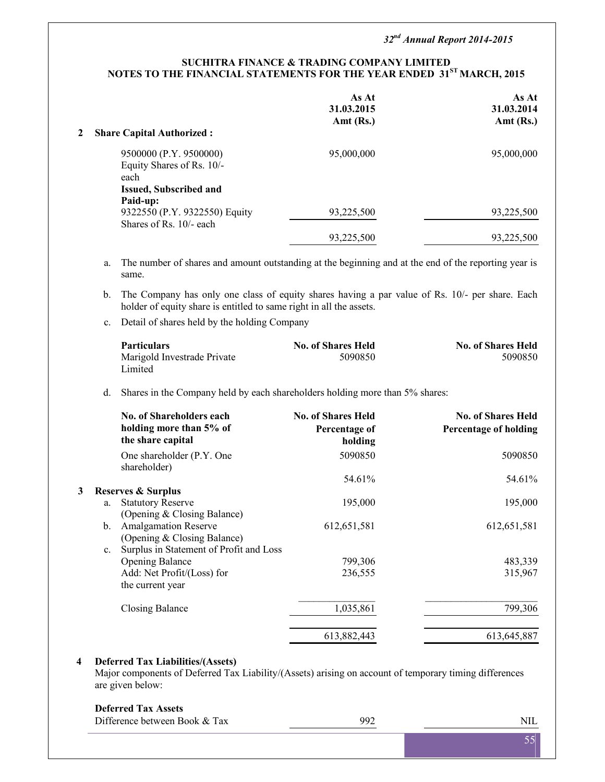#### **SUCHITRA FINANCE & TRADING COMPANY LIMITED NOTES TO THE FINANCIAL STATEMENTS FOR THE YEAR ENDED 31ST MARCH, 2015**

| $\mathbf{2}$ | <b>Share Capital Authorized:</b>                                                             | As At<br>31.03.2015<br>Amt $(Rs.)$ | As At<br>31.03.2014<br>Amt $(Rs.)$ |
|--------------|----------------------------------------------------------------------------------------------|------------------------------------|------------------------------------|
|              | 9500000 (P.Y. 9500000)<br>Equity Shares of Rs. 10/-<br>each<br><b>Issued, Subscribed and</b> | 95,000,000                         | 95,000,000                         |
|              | Paid-up:<br>9322550 (P.Y. 9322550) Equity                                                    | 93,225,500                         | 93,225,500                         |
|              | Shares of Rs. $10/-$ each                                                                    | 93,225,500                         | 93,225,500                         |

a. The number of shares and amount outstanding at the beginning and at the end of the reporting year is same.

- b. The Company has only one class of equity shares having a par value of Rs. 10/- per share. Each holder of equity share is entitled to same right in all the assets.
- c. Detail of shares held by the holding Company

| <b>Particulars</b>          | <b>No. of Shares Held</b> | <b>No. of Shares Held</b> |  |
|-----------------------------|---------------------------|---------------------------|--|
| Marigold Investrade Private | 5090850                   | 5090850                   |  |
| Limited                     |                           |                           |  |

d. Shares in the Company held by each shareholders holding more than 5% shares:

|   | <b>No. of Shareholders each</b><br>holding more than 5% of<br>the share capital | <b>No. of Shares Held</b><br>Percentage of<br>holding | <b>No. of Shares Held</b><br><b>Percentage of holding</b> |
|---|---------------------------------------------------------------------------------|-------------------------------------------------------|-----------------------------------------------------------|
|   | One shareholder (P.Y. One<br>shareholder)                                       | 5090850                                               | 5090850                                                   |
|   |                                                                                 | 54.61%                                                | 54.61%                                                    |
| 3 | <b>Reserves &amp; Surplus</b>                                                   |                                                       |                                                           |
|   | <b>Statutory Reserve</b><br>a.<br>(Opening & Closing Balance)                   | 195,000                                               | 195,000                                                   |
|   | <b>Amalgamation Reserve</b><br>$\mathbf{b}$ .<br>(Opening & Closing Balance)    | 612, 651, 581                                         | 612,651,581                                               |
|   | Surplus in Statement of Profit and Loss<br>$\mathbf{c}$ .                       |                                                       |                                                           |
|   | <b>Opening Balance</b>                                                          | 799,306                                               | 483,339                                                   |
|   | Add: Net Profit/(Loss) for<br>the current year                                  | 236,555                                               | 315,967                                                   |
|   | <b>Closing Balance</b>                                                          | 1,035,861                                             | 799,306                                                   |
|   |                                                                                 | 613,882,443                                           | 613,645,887                                               |

#### **4 Deferred Tax Liabilities/(Assets)**

Major components of Deferred Tax Liability/(Assets) arising on account of temporary timing differences are given below:

#### **Deferred Tax Assets**

| ___________________<br>Diff <sub>6</sub><br>fference between Book & Tax | $00^{\circ}$<br>- - |  |
|-------------------------------------------------------------------------|---------------------|--|
|                                                                         |                     |  |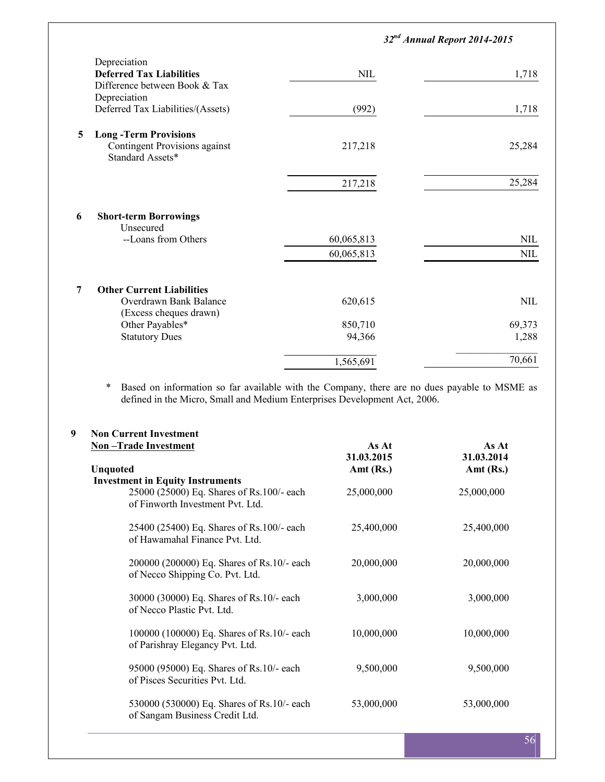|                                                   | $32nd$ Annual Report 2014-2015 |              |
|---------------------------------------------------|--------------------------------|--------------|
| Depreciation                                      |                                |              |
| <b>Deferred Tax Liabilities</b>                   | <b>NIL</b>                     | 1,718        |
| Difference between Book & Tax                     |                                |              |
| Depreciation                                      |                                |              |
| Deferred Tax Liabilities/(Assets)                 | (992)                          | 1,718        |
| <b>Long-Term Provisions</b><br>5                  |                                |              |
| Contingent Provisions against<br>Standard Assets* | 217,218                        | 25,284       |
|                                                   | 217,218                        | 25,284       |
|                                                   |                                |              |
| <b>Short-term Borrowings</b><br>6<br>Unsecured    |                                |              |
| --Loans from Others                               | 60,065,813                     | $\text{NIL}$ |
|                                                   | 60,065,813                     | $\text{NIL}$ |
|                                                   |                                |              |
| <b>Other Current Liabilities</b><br>7             |                                |              |
| Overdrawn Bank Balance                            | 620,615                        | $\text{NIL}$ |
| (Excess cheques drawn)                            |                                |              |
| Other Payables*                                   | 850,710                        | 69,373       |
| <b>Statutory Dues</b>                             | 94,366                         | 1,288        |
|                                                   | 1,565,691                      | 70,661       |

\* Based on information so far available with the Company, there are no dues payable to MSME as defined in the Micro, Small and Medium Enterprises Development Act, 2006.

| 9 | <b>Non Current Investment</b>                                                 |             |             |  |
|---|-------------------------------------------------------------------------------|-------------|-------------|--|
|   | <b>Non-Trade Investment</b>                                                   | As At       | As At       |  |
|   |                                                                               | 31.03.2015  | 31.03.2014  |  |
|   | <b>Unquoted</b>                                                               | Amt $(Rs.)$ | Amt $(Rs.)$ |  |
|   | <b>Investment in Equity Instruments</b>                                       |             |             |  |
|   | 25000 (25000) Eq. Shares of Rs.100/- each<br>of Finworth Investment Pvt. Ltd. | 25,000,000  | 25,000,000  |  |
|   | 25400 (25400) Eq. Shares of Rs.100/- each<br>of Hawamahal Finance Pvt. Ltd.   | 25,400,000  | 25,400,000  |  |
|   | 200000 (200000) Eq. Shares of Rs.10/- each<br>of Necco Shipping Co. Pvt. Ltd. | 20,000,000  | 20,000,000  |  |
|   | 30000 (30000) Eq. Shares of Rs.10/- each<br>of Necco Plastic Pvt. Ltd.        | 3,000,000   | 3,000,000   |  |
|   | 100000 (100000) Eq. Shares of Rs.10/- each<br>of Parishray Elegancy Pvt. Ltd. | 10,000,000  | 10,000,000  |  |
|   | 95000 (95000) Eq. Shares of Rs.10/- each<br>of Pisces Securities Pvt. Ltd.    | 9,500,000   | 9,500,000   |  |
|   | 530000 (530000) Eq. Shares of Rs.10/- each<br>of Sangam Business Credit Ltd.  | 53,000,000  | 53,000,000  |  |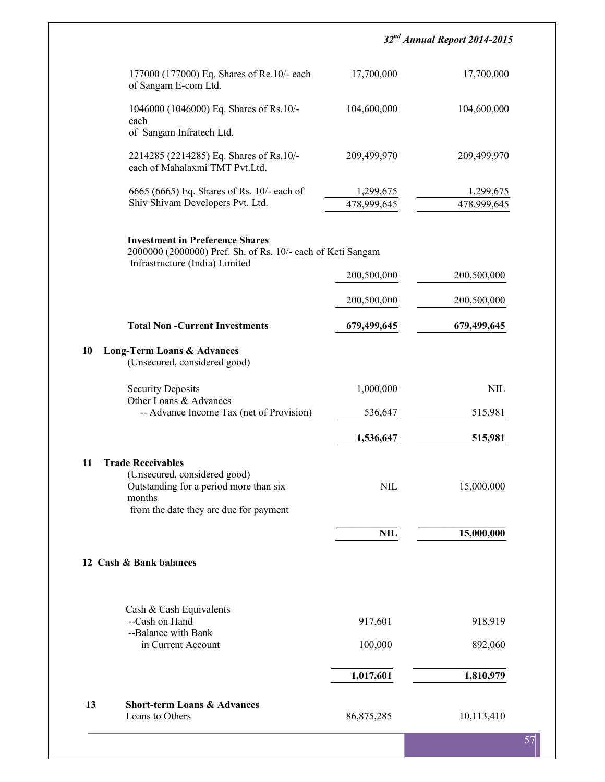|                                                                                                                                                        |                          | $32nd$ Annual Report 2014-2015 |
|--------------------------------------------------------------------------------------------------------------------------------------------------------|--------------------------|--------------------------------|
| 177000 (177000) Eq. Shares of Re.10/- each<br>of Sangam E-com Ltd.                                                                                     | 17,700,000               | 17,700,000                     |
| 1046000 (1046000) Eq. Shares of Rs.10/-<br>each                                                                                                        | 104,600,000              | 104,600,000                    |
| of Sangam Infratech Ltd.                                                                                                                               |                          |                                |
| 2214285 (2214285) Eq. Shares of Rs.10/-<br>each of Mahalaxmi TMT Pvt.Ltd.                                                                              | 209,499,970              | 209,499,970                    |
| 6665 (6665) Eq. Shares of Rs. 10/- each of<br>Shiv Shivam Developers Pvt. Ltd.                                                                         | 1,299,675<br>478,999,645 | 1,299,675<br>478,999,645       |
| <b>Investment in Preference Shares</b><br>2000000 (2000000) Pref. Sh. of Rs. 10/- each of Keti Sangam<br>Infrastructure (India) Limited                |                          |                                |
|                                                                                                                                                        | 200,500,000              | 200,500,000                    |
|                                                                                                                                                        | 200,500,000              | 200,500,000                    |
| <b>Total Non-Current Investments</b>                                                                                                                   | 679,499,645              | 679,499,645                    |
| <b>Long-Term Loans &amp; Advances</b><br>(Unsecured, considered good)                                                                                  |                          |                                |
| <b>Security Deposits</b>                                                                                                                               | 1,000,000                | <b>NIL</b>                     |
| Other Loans & Advances<br>-- Advance Income Tax (net of Provision)                                                                                     | 536,647                  | 515,981                        |
|                                                                                                                                                        | 1,536,647                | 515,981                        |
| <b>Trade Receivables</b><br>(Unsecured, considered good)<br>Outstanding for a period more than six<br>months<br>from the date they are due for payment | $\text{NIL}$             | 15,000,000                     |
|                                                                                                                                                        | <b>NIL</b>               | 15,000,000                     |
| 12 Cash & Bank balances                                                                                                                                |                          |                                |
| Cash & Cash Equivalents<br>--Cash on Hand                                                                                                              | 917,601                  | 918,919                        |
| --Balance with Bank<br>in Current Account                                                                                                              | 100,000                  | 892,060                        |
|                                                                                                                                                        | 1,017,601                | 1,810,979                      |
|                                                                                                                                                        |                          |                                |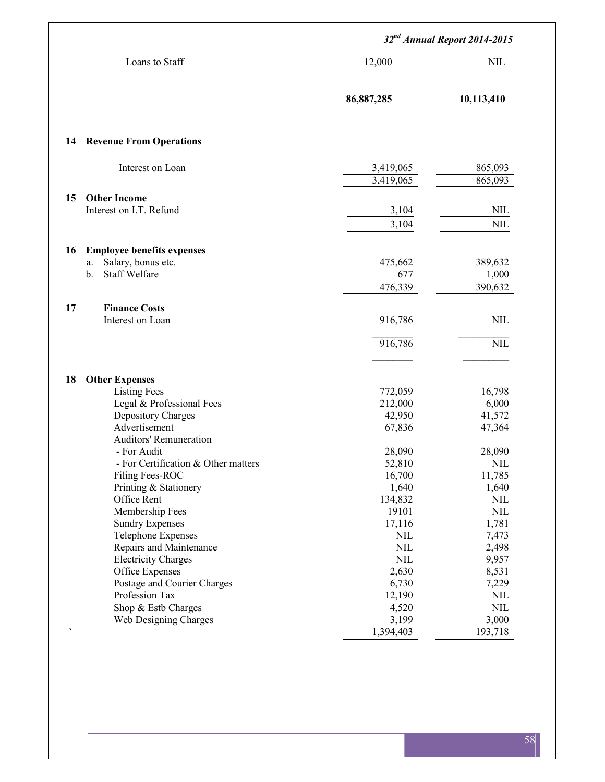|                                                  | 32 <sup>nd</sup> Annual Report 2014-2015 |                 |  |
|--------------------------------------------------|------------------------------------------|-----------------|--|
| Loans to Staff                                   | 12,000                                   | <b>NIL</b>      |  |
|                                                  | 86,887,285                               | 10,113,410      |  |
| <b>Revenue From Operations</b>                   |                                          |                 |  |
|                                                  |                                          |                 |  |
| Interest on Loan                                 | 3,419,065                                | 865,093         |  |
|                                                  | 3,419,065                                | 865,093         |  |
| <b>Other Income</b>                              |                                          |                 |  |
| Interest on I.T. Refund                          | 3,104                                    | <b>NIL</b>      |  |
|                                                  | 3,104                                    | $\text{NIL}$    |  |
| <b>Employee benefits expenses</b>                |                                          |                 |  |
| Salary, bonus etc.<br>a.                         | 475,662                                  | 389,632         |  |
| <b>Staff Welfare</b><br>$\mathbf{b}$ .           | 677                                      | 1,000           |  |
|                                                  | 476,339                                  | 390,632         |  |
| <b>Finance Costs</b>                             |                                          |                 |  |
| Interest on Loan                                 | 916,786                                  | <b>NIL</b>      |  |
|                                                  | 916,786                                  | <b>NIL</b>      |  |
|                                                  |                                          |                 |  |
| <b>Other Expenses</b>                            |                                          |                 |  |
| <b>Listing Fees</b><br>Legal & Professional Fees | 772,059<br>212,000                       | 16,798<br>6,000 |  |
| Depository Charges                               | 42,950                                   | 41,572          |  |
| Advertisement                                    | 67,836                                   | 47,364          |  |
| <b>Auditors' Remuneration</b>                    |                                          |                 |  |
| - For Audit                                      | 28,090                                   | 28,090          |  |
| - For Certification & Other matters              | 52,810                                   | <b>NIL</b>      |  |
| Filing Fees-ROC                                  | 16,700                                   | 11,785          |  |
| Printing & Stationery                            | 1,640                                    | 1,640           |  |
| Office Rent                                      | 134,832                                  | $\text{NIL}$    |  |
| Membership Fees                                  | 19101                                    | $\mbox{NIL}$    |  |
| <b>Sundry Expenses</b>                           | 17,116                                   | 1,781           |  |
| <b>Telephone Expenses</b>                        | $\text{NIL}$                             | 7,473           |  |
| Repairs and Maintenance                          | $\mbox{NIL}$                             | 2,498           |  |
| <b>Electricity Charges</b>                       | $\mbox{NIL}$                             | 9,957           |  |
| Office Expenses                                  | 2,630                                    | 8,531           |  |
| Postage and Courier Charges                      | 6,730                                    | 7,229           |  |
| Profession Tax                                   | 12,190                                   | $\text{NIL}$    |  |
| Shop & Estb Charges                              | 4,520                                    | $\mbox{NIL}$    |  |
| Web Designing Charges                            | 3,199                                    | 3,000           |  |
|                                                  | 1,394,403                                | 193,718         |  |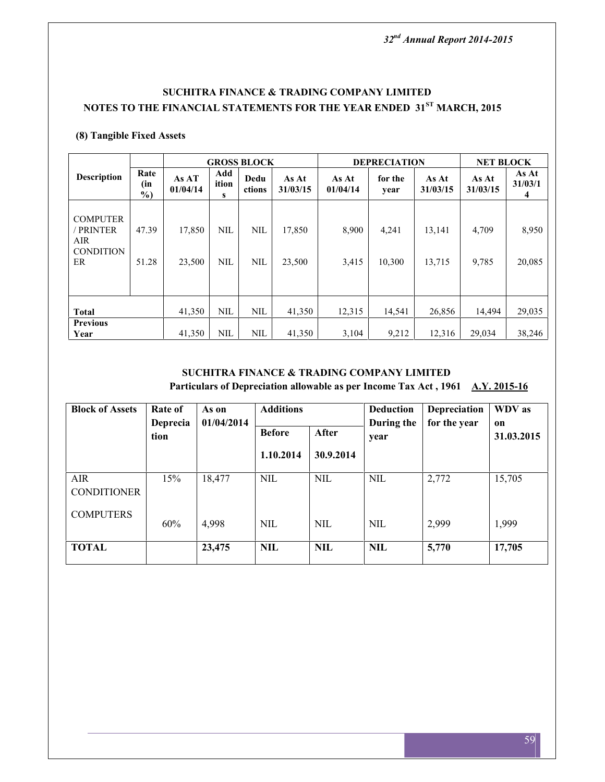## **SUCHITRA FINANCE & TRADING COMPANY LIMITED NOTES TO THE FINANCIAL STATEMENTS FOR THE YEAR ENDED 31ST MARCH, 2015**

## **(8) Tangible Fixed Assets**

|                                                             |                       |                   |                          | <b>GROSS BLOCK</b>       |                   |                   | <b>DEPRECIATION</b> |                   | <b>NET BLOCK</b>  |                       |
|-------------------------------------------------------------|-----------------------|-------------------|--------------------------|--------------------------|-------------------|-------------------|---------------------|-------------------|-------------------|-----------------------|
| <b>Description</b>                                          | Rate<br>(in<br>$\%$ ) | As AT<br>01/04/14 | Add<br>ition<br>s        | Dedu<br>ctions           | As At<br>31/03/15 | As At<br>01/04/14 | for the<br>year     | As At<br>31/03/15 | As At<br>31/03/15 | As At<br>31/03/1<br>4 |
| <b>COMPUTER</b><br>PRINTER<br>AIR<br><b>CONDITION</b><br>ER | 47.39<br>51.28        | 17,850<br>23,500  | <b>NIL</b><br><b>NIL</b> | <b>NIL</b><br><b>NIL</b> | 17,850<br>23,500  | 8,900<br>3,415    | 4,241<br>10,300     | 13,141<br>13,715  | 4,709<br>9,785    | 8,950<br>20,085       |
| <b>Total</b>                                                |                       | 41,350            | <b>NIL</b>               | <b>NIL</b>               | 41,350            | 12,315            | 14,541              | 26,856            | 14.494            | 29,035                |
| <b>Previous</b><br>Year                                     |                       | 41,350            | NIL                      | <b>NIL</b>               | 41,350            | 3,104             | 9,212               | 12,316            | 29,034            | 38,246                |

## **SUCHITRA FINANCE & TRADING COMPANY LIMITED**

Particulars of Depreciation allowable as per Income Tax Act, 1961 **A.Y. 2015-16** 

| <b>Block of Assets</b>           | Rate of<br>Deprecia | As on<br>01/04/2014 | <b>Additions</b> |              | <b>Deduction</b><br>During the | Depreciation<br>for the year | WDV as<br>on |
|----------------------------------|---------------------|---------------------|------------------|--------------|--------------------------------|------------------------------|--------------|
|                                  | tion                |                     | <b>Before</b>    | <b>After</b> | year                           |                              | 31.03.2015   |
|                                  |                     |                     | 1.10.2014        | 30.9.2014    |                                |                              |              |
| <b>AIR</b><br><b>CONDITIONER</b> | 15%                 | 18,477              | NIL              | <b>NIL</b>   | <b>NIL</b>                     | 2,772                        | 15,705       |
| <b>COMPUTERS</b>                 | 60%                 | 4,998               | <b>NIL</b>       | NIL          | <b>NIL</b>                     | 2,999                        | 1,999        |
| <b>TOTAL</b>                     |                     | 23,475              | <b>NIL</b>       | <b>NIL</b>   | <b>NIL</b>                     | 5,770                        | 17,705       |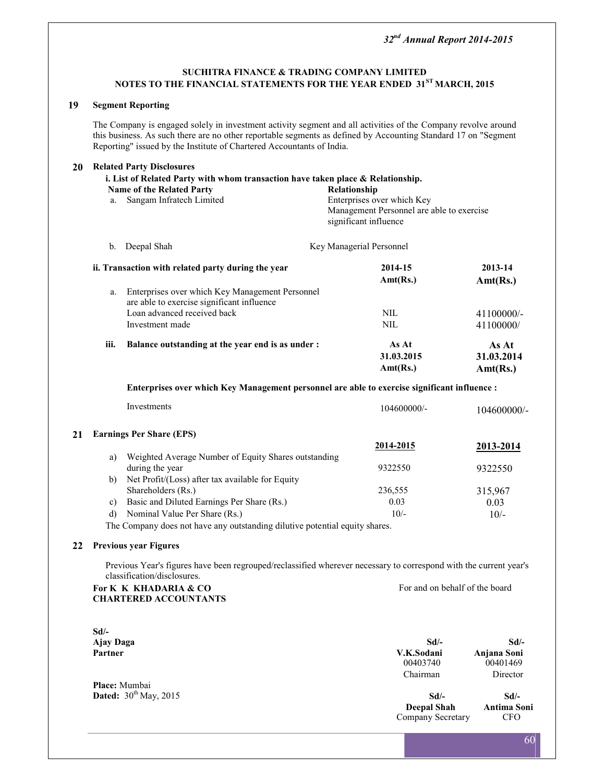### **SUCHITRA FINANCE & TRADING COMPANY LIMITED NOTES TO THE FINANCIAL STATEMENTS FOR THE YEAR ENDED 31ST MARCH, 2015**

#### **19 Segment Reporting**

The Company is engaged solely in investment activity segment and all activities of the Company revolve around this business. As such there are no other reportable segments as defined by Accounting Standard 17 on "Segment Reporting" issued by the Institute of Chartered Accountants of India.

| 20      |                  | <b>Related Party Disclosures</b>                                                                                                                 |                                                                                                  |                                 |
|---------|------------------|--------------------------------------------------------------------------------------------------------------------------------------------------|--------------------------------------------------------------------------------------------------|---------------------------------|
|         |                  | i. List of Related Party with whom transaction have taken place & Relationship.                                                                  |                                                                                                  |                                 |
|         |                  | <b>Name of the Related Party</b>                                                                                                                 | Relationship                                                                                     |                                 |
|         | a.               | Sangam Infratech Limited                                                                                                                         | Enterprises over which Key<br>Management Personnel are able to exercise<br>significant influence |                                 |
|         | $b_{\cdot}$      | Deepal Shah                                                                                                                                      | Key Managerial Personnel                                                                         |                                 |
|         |                  | ii. Transaction with related party during the year                                                                                               | 2014-15                                                                                          | 2013-14                         |
|         |                  |                                                                                                                                                  | Ant(Rs.)                                                                                         | Ant(Rs.)                        |
|         | a.               | Enterprises over which Key Management Personnel<br>are able to exercise significant influence                                                    |                                                                                                  |                                 |
|         |                  | Loan advanced received back                                                                                                                      | <b>NIL</b>                                                                                       | 41100000/-                      |
|         |                  | Investment made                                                                                                                                  | $\mbox{NIL}$                                                                                     | 41100000/                       |
|         | iii.             | Balance outstanding at the year end is as under :                                                                                                | As At<br>31.03.2015<br>Amt(Rs.)                                                                  | As At<br>31.03.2014<br>Ant(Rs.) |
|         |                  | Enterprises over which Key Management personnel are able to exercise significant influence :                                                     |                                                                                                  |                                 |
|         |                  | Investments                                                                                                                                      | 104600000/-                                                                                      | 104600000/-                     |
| 21      |                  | <b>Earnings Per Share (EPS)</b>                                                                                                                  |                                                                                                  |                                 |
|         |                  |                                                                                                                                                  | <u>2014-2015</u>                                                                                 | 2013-2014                       |
|         | a)               | Weighted Average Number of Equity Shares outstanding<br>during the year                                                                          | 9322550                                                                                          | 9322550                         |
|         | b)               | Net Profit/(Loss) after tax available for Equity<br>Shareholders (Rs.)                                                                           | 236,555                                                                                          | 315,967                         |
|         | c)               | Basic and Diluted Earnings Per Share (Rs.)                                                                                                       | 0.03                                                                                             | 0.03                            |
|         | d)               | Nominal Value Per Share (Rs.)                                                                                                                    | $10/-$                                                                                           | $10/-$                          |
|         |                  | The Company does not have any outstanding dilutive potential equity shares.                                                                      |                                                                                                  |                                 |
| 22      |                  | <b>Previous year Figures</b>                                                                                                                     |                                                                                                  |                                 |
|         |                  | Previous Year's figures have been regrouped/reclassified wherever necessary to correspond with the current year's<br>classification/disclosures. |                                                                                                  |                                 |
|         |                  | For K K KHADARIA & CO<br><b>CHARTERED ACCOUNTANTS</b>                                                                                            | For and on behalf of the board                                                                   |                                 |
| $Sd$ /- |                  |                                                                                                                                                  |                                                                                                  |                                 |
|         | <b>Ajay Daga</b> |                                                                                                                                                  | $Sd$ /-                                                                                          | $Sd$ /-                         |
|         | Partner          |                                                                                                                                                  | V.K.Sodani<br>00403740                                                                           | Anjana Soni<br>00401469         |
|         |                  |                                                                                                                                                  | Chairman                                                                                         | Director                        |

**Dated:**  $30^{th}$  May, 2015 **Sd/- Sd/- Deepal Shah Antima Soni Deepal Shah Antima Soning Secretary** CFO Company Secretary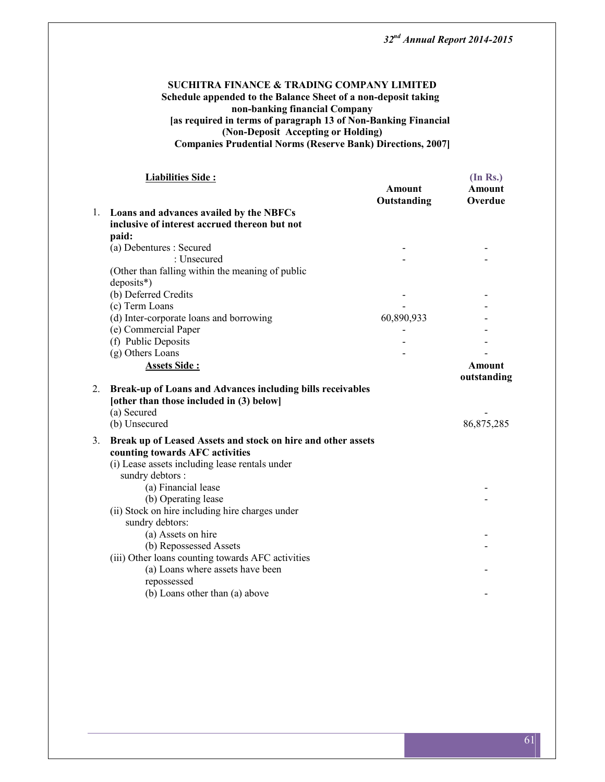#### **SUCHITRA FINANCE & TRADING COMPANY LIMITED Schedule appended to the Balance Sheet of a non-deposit taking non-banking financial Company [as required in terms of paragraph 13 of Non-Banking Financial (Non-Deposit Accepting or Holding) Companies Prudential Norms (Reserve Bank) Directions, 2007]**

|                | <b>Liabilities Side:</b>                                                                                                                                              | <b>Amount</b><br>Outstanding | (In Rs.)<br>Amount<br>Overdue |
|----------------|-----------------------------------------------------------------------------------------------------------------------------------------------------------------------|------------------------------|-------------------------------|
|                | 1. Loans and advances availed by the NBFCs                                                                                                                            |                              |                               |
|                | inclusive of interest accrued thereon but not<br>paid:                                                                                                                |                              |                               |
|                | (a) Debentures : Secured                                                                                                                                              |                              |                               |
|                | : Unsecured                                                                                                                                                           |                              |                               |
|                | (Other than falling within the meaning of public<br>$deposits^*)$                                                                                                     |                              |                               |
|                | (b) Deferred Credits                                                                                                                                                  |                              |                               |
|                | (c) Term Loans                                                                                                                                                        |                              |                               |
|                | (d) Inter-corporate loans and borrowing                                                                                                                               | 60,890,933                   |                               |
|                | (e) Commercial Paper                                                                                                                                                  |                              |                               |
|                | (f) Public Deposits                                                                                                                                                   |                              |                               |
|                | (g) Others Loans                                                                                                                                                      |                              |                               |
|                | Assets Side:                                                                                                                                                          |                              | <b>Amount</b><br>outstanding  |
| 2.             | Break-up of Loans and Advances including bills receivables<br>[other than those included in (3) below]<br>(a) Secured<br>(b) Unsecured                                |                              | 86,875,285                    |
| 3 <sub>1</sub> | Break up of Leased Assets and stock on hire and other assets<br>counting towards AFC activities<br>(i) Lease assets including lease rentals under<br>sundry debtors : |                              |                               |
|                | (a) Financial lease<br>(b) Operating lease<br>(ii) Stock on hire including hire charges under<br>sundry debtors:                                                      |                              |                               |
|                | (a) Assets on hire<br>(b) Repossessed Assets<br>(iii) Other loans counting towards AFC activities                                                                     |                              |                               |
|                | (a) Loans where assets have been<br>repossessed<br>(b) Loans other than (a) above                                                                                     |                              |                               |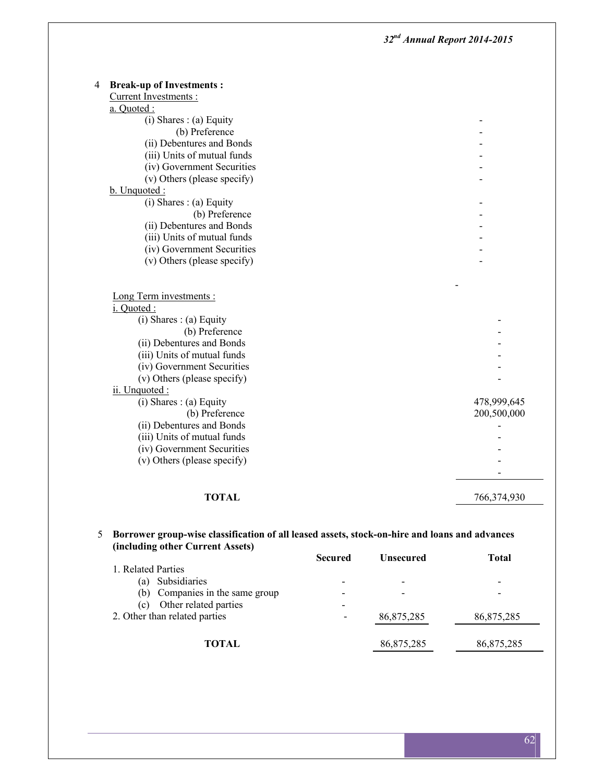| <b>Break-up of Investments:</b><br>4 |             |
|--------------------------------------|-------------|
| Current Investments:                 |             |
| a. Quoted :                          |             |
| $(i)$ Shares : $(a)$ Equity          |             |
| (b) Preference                       |             |
| (ii) Debentures and Bonds            |             |
| (iii) Units of mutual funds          |             |
| (iv) Government Securities           |             |
| (v) Others (please specify)          |             |
| b. Unquoted:                         |             |
| $(i)$ Shares : $(a)$ Equity          |             |
| (b) Preference                       |             |
| (ii) Debentures and Bonds            |             |
| (iii) Units of mutual funds          |             |
| (iv) Government Securities           |             |
| (v) Others (please specify)          |             |
| Long Term investments :              |             |
| i. Quoted :                          |             |
| (i) Shares: (a) Equity               |             |
| (b) Preference                       |             |
| (ii) Debentures and Bonds            |             |
| (iii) Units of mutual funds          |             |
| (iv) Government Securities           |             |
| (v) Others (please specify)          |             |
| ii. Unquoted :                       |             |
| (i) Shares : (a) Equity              | 478,999,645 |
| (b) Preference                       | 200,500,000 |
| (ii) Debentures and Bonds            |             |
| (iii) Units of mutual funds          |             |
| (iv) Government Securities           |             |
| (v) Others (please specify)          |             |
|                                      |             |
| <b>TOTAL</b>                         | 766,374,930 |

#### 5 **Borrower group-wise classification of all leased assets, stock-on-hire and loans and advances (including other Current Assets)**

|                                    | <b>Secured</b> | <b>Unsecured</b> | <b>Total</b> |
|------------------------------------|----------------|------------------|--------------|
| 1. Related Parties                 |                |                  |              |
| Subsidiaries<br>(a)                |                |                  |              |
| Companies in the same group<br>(b) |                |                  |              |
| Other related parties<br>(c)       |                |                  |              |
| 2. Other than related parties      | -              | 86,875,285       | 86,875,285   |
|                                    |                |                  |              |
| TOTAL                              |                | 86,875,285       | 86,875,285   |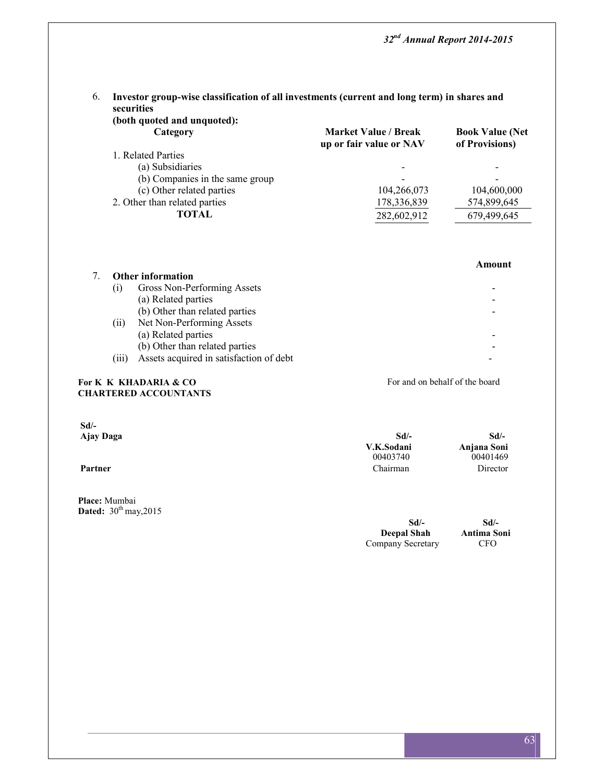## 6. **Investor group-wise classification of all investments (current and long term) in shares and securities**

| <b>Market Value / Break</b><br>up or fair value or NAV | <b>Book Value (Net</b><br>of Provisions) |
|--------------------------------------------------------|------------------------------------------|
|                                                        |                                          |
|                                                        |                                          |
|                                                        |                                          |
| 104,266,073                                            | 104,600,000                              |
| 178,336,839                                            | 574,899,645                              |
| 282,602,912                                            | 679,499,645                              |
|                                                        |                                          |

|                    |                                         | Amount |
|--------------------|-----------------------------------------|--------|
|                    | <b>Other information</b>                |        |
| (1)                | Gross Non-Performing Assets             |        |
|                    | (a) Related parties                     |        |
|                    | (b) Other than related parties          |        |
| (11)               | Net Non-Performing Assets               |        |
|                    | (a) Related parties                     |        |
|                    | (b) Other than related parties          |        |
| $\left(111\right)$ | Assets acquired in satisfaction of debt |        |

#### For **K** K KHADARIA & CO For and on behalf of the board **CHARTERED ACCOUNTANTS**

**Sd/- Ajay Daga Sd/-**

|         | V.K.Sodani | Anjana Soni |  |
|---------|------------|-------------|--|
|         | 00403740   | 00401469    |  |
| Partner | Chairman   | Director    |  |
|         |            |             |  |
|         |            |             |  |

**Place:** Mumbai **Dated:** 30<sup>th</sup> may, 2015

| Sd                 |   |
|--------------------|---|
| <b>Deepal Shah</b> | A |
| Company Secretary  |   |

**Sd/- Sd/- Deepal Shah Antima Soni**  $CFO$ 

**Sd/-**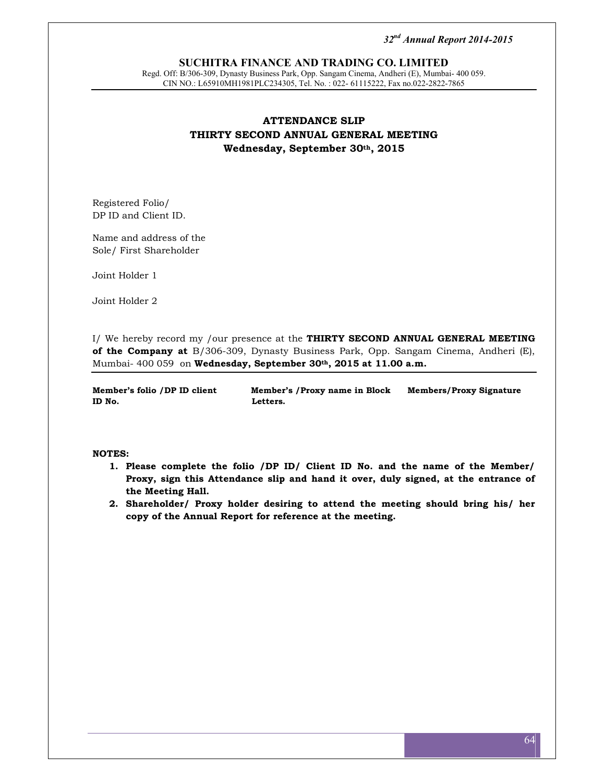#### **SUCHITRA FINANCE AND TRADING CO. LIMITED**

Regd. Off: B/306-309, Dynasty Business Park, Opp. Sangam Cinema, Andheri (E), Mumbai- 400 059. CIN NO.: L65910MH1981PLC234305, Tel. No. : 022- 61115222, Fax no.022-2822-7865

## **ATTENDANCE SLIP THIRTY SECOND ANNUAL GENERAL MEETING Wednesday, September 30th, 2015**

Registered Folio/ DP ID and Client ID.

Name and address of the Sole/ First Shareholder

Joint Holder 1

Joint Holder 2

I/ We hereby record my /our presence at the **THIRTY SECOND ANNUAL GENERAL MEETING of the Company at** B/306-309, Dynasty Business Park, Opp. Sangam Cinema, Andheri (E), Mumbai- 400 059 on **Wednesday, September 30th, 2015 at 11.00 a.m.**

**Member's folio /DP ID client Member's /Proxy name in Block Members/Proxy Signature ID No. Letters.**

#### **NOTES:**

- **1. Please complete the folio /DP ID/ Client ID No. and the name of the Member/ Proxy, sign this Attendance slip and hand it over, duly signed, at the entrance of the Meeting Hall.**
- **2. Shareholder/ Proxy holder desiring to attend the meeting should bring his/ her copy of the Annual Report for reference at the meeting.**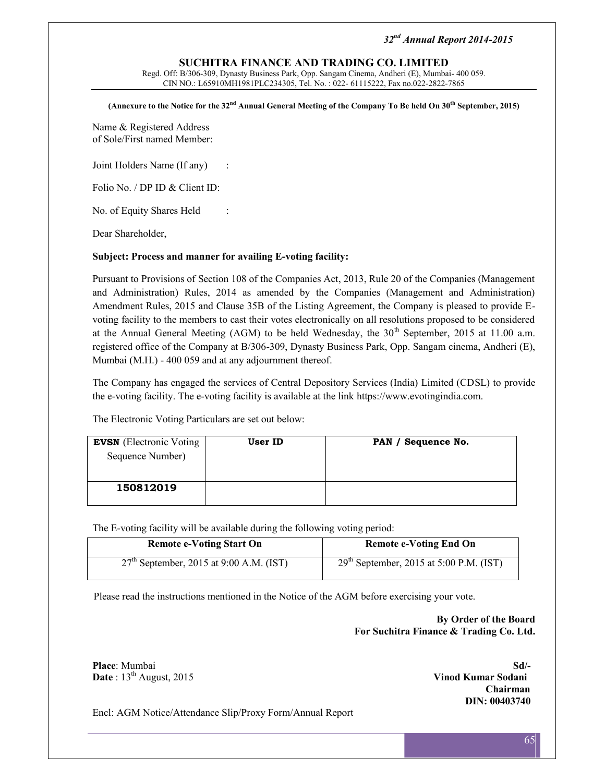#### **SUCHITRA FINANCE AND TRADING CO. LIMITED**

Regd. Off: B/306-309, Dynasty Business Park, Opp. Sangam Cinema, Andheri (E), Mumbai- 400 059. CIN NO.: L65910MH1981PLC234305, Tel. No. : 022- 61115222, Fax no.022-2822-7865

**(Annexure to the Notice for the 32nd Annual General Meeting of the Company To Be held On 30th September, 2015)**

Name & Registered Address of Sole/First named Member:

Joint Holders Name (If any) :

Folio No. / DP ID & Client ID:

No. of Equity Shares Held :

Dear Shareholder,

#### **Subject: Process and manner for availing E-voting facility:**

Pursuant to Provisions of Section 108 of the Companies Act, 2013, Rule 20 of the Companies (Management and Administration) Rules, 2014 as amended by the Companies (Management and Administration) Amendment Rules, 2015 and Clause 35B of the Listing Agreement, the Company is pleased to provide E voting facility to the members to cast their votes electronically on all resolutions proposed to be considered at the Annual General Meeting (AGM) to be held Wednesday, the  $30<sup>th</sup>$  September, 2015 at 11.00 a.m. registered office of the Company at B/306-309, Dynasty Business Park, Opp. Sangam cinema, Andheri (E), Mumbai (M.H.) - 400 059 and at any adjournment thereof.

The Company has engaged the services of Central Depository Services (India) Limited (CDSL) to provide the e-voting facility. The e-voting facility is available at the link https://www.evotingindia.com.

The Electronic Voting Particulars are set out below:

| <b>EVSN</b> (Electronic Voting<br>Sequence Number) | User ID | PAN / Sequence No. |
|----------------------------------------------------|---------|--------------------|
| 150812019                                          |         |                    |

The E-voting facility will be available during the following voting period:

| <b>Remote e-Voting Start On</b>           | <b>Remote e-Voting End On</b>             |
|-------------------------------------------|-------------------------------------------|
| $27th$ September, 2015 at 9:00 A.M. (IST) | $29th$ September, 2015 at 5:00 P.M. (IST) |

Please read the instructions mentioned in the Notice of the AGM before exercising your vote.

**By Order of the Board For Suchitra Finance & Trading Co. Ltd.**

**Place**: Mumbai **Sd/- Date** :  $13<sup>th</sup>$  August, 2015 **Vinod Kumar Sodani** 

**Chairman DIN: 00403740**

Encl: AGM Notice/Attendance Slip/Proxy Form/Annual Report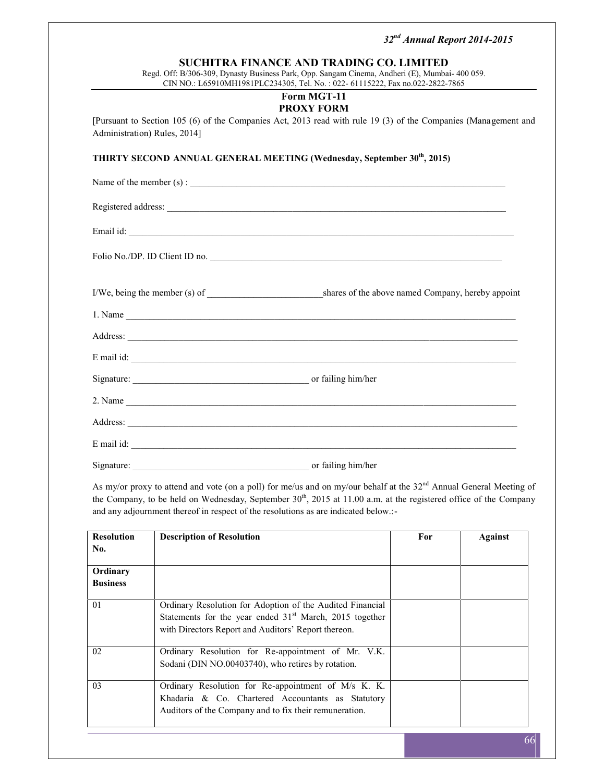#### **SUCHITRA FINANCE AND TRADING CO. LIMITED**

Regd. Off: B/306-309, Dynasty Business Park, Opp. Sangam Cinema, Andheri (E), Mumbai- 400 059. CIN NO.: L65910MH1981PLC234305, Tel. No. : 022- 61115222, Fax no.022-2822-7865

#### **Form MGT-11 PROXY FORM**

[Pursuant to Section 105 (6) of the Companies Act, 2013 read with rule 19 (3) of the Companies (Management and Administration) Rules, 2014]

**THIRTY SECOND ANNUAL GENERAL MEETING (Wednesday, September 30th, 2015)**

|            | Name of the member $(s)$ :                                                                                                                                                                                                                                              |
|------------|-------------------------------------------------------------------------------------------------------------------------------------------------------------------------------------------------------------------------------------------------------------------------|
|            |                                                                                                                                                                                                                                                                         |
|            |                                                                                                                                                                                                                                                                         |
|            | Folio No./DP. ID Client ID no.                                                                                                                                                                                                                                          |
|            |                                                                                                                                                                                                                                                                         |
|            | 1. Name                                                                                                                                                                                                                                                                 |
|            |                                                                                                                                                                                                                                                                         |
|            | E mail id: explored that the contract of the contract of the contract of the contract of the contract of the contract of the contract of the contract of the contract of the contract of the contract of the contract of the c                                          |
|            |                                                                                                                                                                                                                                                                         |
|            |                                                                                                                                                                                                                                                                         |
|            |                                                                                                                                                                                                                                                                         |
|            | E mail id: $\sqrt{2\pi}$ mail id: $\sqrt{2\pi}$ mail id: $\sqrt{2\pi}$ mail id: $\sqrt{2\pi}$ mail id: $\sqrt{2\pi}$ mail id: $\sqrt{2\pi}$ mail id: $\sqrt{2\pi}$ mail id: $\sqrt{2\pi}$ mail id: $\sqrt{2\pi}$ mail id: $\sqrt{2\pi}$ mail id: $\sqrt{2\pi}$ mail id: |
| Signature: | or failing him/her                                                                                                                                                                                                                                                      |

As my/or proxy to attend and vote (on a poll) for me/us and on my/our behalf at the  $32<sup>nd</sup>$  Annual General Meeting of the Company, to be held on Wednesday, September  $30<sup>th</sup>$ ,  $2015$  at 11.00 a.m. at the registered office of the Company and any adjournment thereof in respect of the resolutions as are indicated below.:-

| <b>Resolution</b> | <b>Description of Resolution</b>                                                                                                                                              | For | <b>Against</b> |
|-------------------|-------------------------------------------------------------------------------------------------------------------------------------------------------------------------------|-----|----------------|
| No.               |                                                                                                                                                                               |     |                |
| Ordinary          |                                                                                                                                                                               |     |                |
| <b>Business</b>   |                                                                                                                                                                               |     |                |
| 01                | Ordinary Resolution for Adoption of the Audited Financial<br>Statements for the year ended $31st$ March, 2015 together<br>with Directors Report and Auditors' Report thereon. |     |                |
| 02                | Ordinary Resolution for Re-appointment of Mr. V.K.<br>Sodani (DIN NO.00403740), who retires by rotation.                                                                      |     |                |
| 03                | Ordinary Resolution for Re-appointment of M/s K. K.<br>Khadaria & Co. Chartered Accountants as Statutory<br>Auditors of the Company and to fix their remuneration.            |     |                |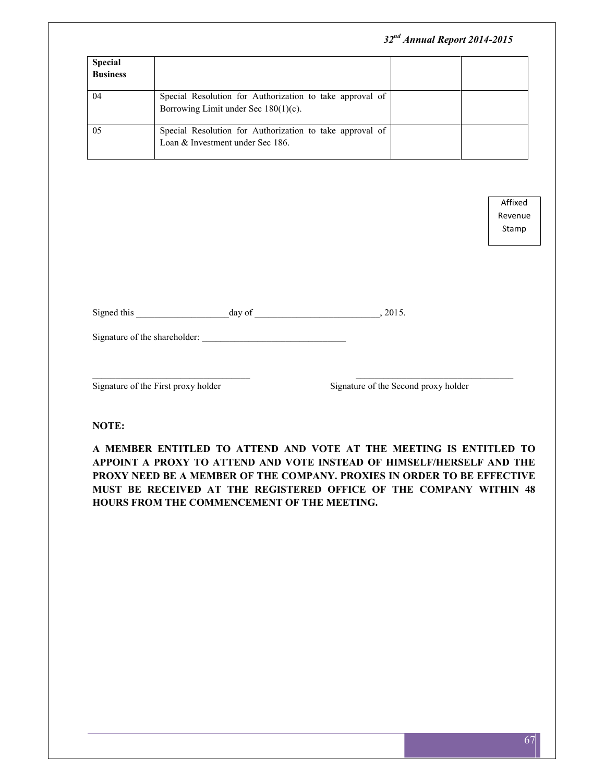|                                   | 32 <sup>nd</sup> Annual Report 2014-2015                                                            |  |
|-----------------------------------|-----------------------------------------------------------------------------------------------------|--|
| <b>Special</b><br><b>Business</b> |                                                                                                     |  |
| 04                                | Special Resolution for Authorization to take approval of<br>Borrowing Limit under Sec $180(1)(c)$ . |  |
| 05                                | Special Resolution for Authorization to take approval of<br>Loan & Investment under Sec 186.        |  |

Affixed Revenue Stamp

| Signed this | day of | .2015. |
|-------------|--------|--------|
|             |        |        |

Signature of the shareholder: \_\_\_\_\_\_\_\_\_\_\_\_\_\_\_\_\_\_\_\_\_\_\_\_\_\_\_\_\_\_\_

Signature of the First proxy holder Signature of the Second proxy holder

**NOTE:**

**A MEMBER ENTITLED TO ATTEND AND VOTE AT THE MEETING IS ENTITLED TO APPOINT A PROXY TO ATTEND AND VOTE INSTEAD OF HIMSELF/HERSELF AND THE PROXY NEED BE A MEMBER OF THE COMPANY. PROXIES IN ORDER TO BE EFFECTIVE MUST BE RECEIVED AT THE REGISTERED OFFICE OF THE COMPANY WITHIN 48 HOURS FROM THE COMMENCEMENT OF THE MEETING.**

 $\_$  , and the set of the set of the set of the set of the set of the set of the set of the set of the set of the set of the set of the set of the set of the set of the set of the set of the set of the set of the set of th